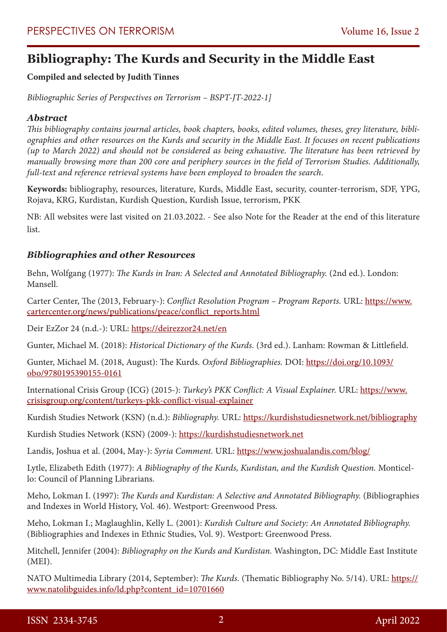# **Bibliography: The Kurds and Security in the Middle East**

# **Compiled and selected by Judith Tinnes**

*Bibliographic Series of Perspectives on Terrorism – BSPT-JT-2022-1]*

# *Abstract*

*This bibliography contains journal articles, book chapters, books, edited volumes, theses, grey literature, bibliographies and other resources on the Kurds and security in the Middle East. It focuses on recent publications (up to March 2022) and should not be considered as being exhaustive. The literature has been retrieved by manually browsing more than 200 core and periphery sources in the field of Terrorism Studies. Additionally, full-text and reference retrieval systems have been employed to broaden the search*.

**Keywords:** bibliography, resources, literature, Kurds, Middle East, security, counter-terrorism, SDF, YPG, Rojava, KRG, Kurdistan, Kurdish Question, Kurdish Issue, terrorism, PKK

NB: All websites were last visited on 21.03.2022. - See also Note for the Reader at the end of this literature list.

# *Bibliographies and other Resources*

Behn, Wolfgang (1977): *The Kurds in Iran: A Selected and Annotated Bibliography.* (2nd ed.). London: Mansell.

Carter Center, The (2013, February-): *Conflict Resolution Program – Program Reports.* URL: [https://www.](https://www.cartercenter.org/news/publications/peace/conflict_reports.html) [cartercenter.org/news/publications/peace/conflict\\_reports.html](https://www.cartercenter.org/news/publications/peace/conflict_reports.html)

Deir EzZor 24 (n.d.-): URL:<https://deirezzor24.net/en>

Gunter, Michael M. (2018): *Historical Dictionary of the Kurds.* (3rd ed.). Lanham: Rowman & Littlefield.

Gunter, Michael M. (2018, August): The Kurds. *Oxford Bibliographies.* DOI: [https://doi.org/10.1093/](https://doi.org/10.1093/obo/9780195390155-0161) [obo/9780195390155-0161](https://doi.org/10.1093/obo/9780195390155-0161)

International Crisis Group (ICG) (2015-): *Turkey's PKK Conflict: A Visual Explainer.* URL: [https://www.](https://www.crisisgroup.org/content/turkeys-pkk-conflict-visual-explainer) [crisisgroup.org/content/turkeys-pkk-conflict-visual-explainer](https://www.crisisgroup.org/content/turkeys-pkk-conflict-visual-explainer)

Kurdish Studies Network (KSN) (n.d.): *Bibliography.* URL:<https://kurdishstudiesnetwork.net/bibliography>

Kurdish Studies Network (KSN) (2009-): [https://kurdishstudiesnetwork.net](https://kurdishstudiesnetwork.net/)

Landis, Joshua et al. (2004, May-): *Syria Comment.* URL: <https://www.joshualandis.com/blog/>

Lytle, Elizabeth Edith (1977): *A Bibliography of the Kurds, Kurdistan, and the Kurdish Question.* Monticello: Council of Planning Librarians.

Meho, Lokman I. (1997): *The Kurds and Kurdistan: A Selective and Annotated Bibliography.* (Bibliographies and Indexes in World History, Vol. 46). Westport: Greenwood Press.

Meho, Lokman I.; Maglaughlin, Kelly L. (2001): *Kurdish Culture and Society: An Annotated Bibliography.* (Bibliographies and Indexes in Ethnic Studies, Vol. 9). Westport: Greenwood Press.

Mitchell, Jennifer (2004): *Bibliography on the Kurds and Kurdistan.* Washington, DC: Middle East Institute (MEI).

NATO Multimedia Library (2014, September): *The Kurds.* (Thematic Bibliography No. 5/14). URL: [https://](https://www.natolibguides.info/ld.php?content_id=10701660) [www.natolibguides.info/ld.php?content\\_id=10701660](https://www.natolibguides.info/ld.php?content_id=10701660)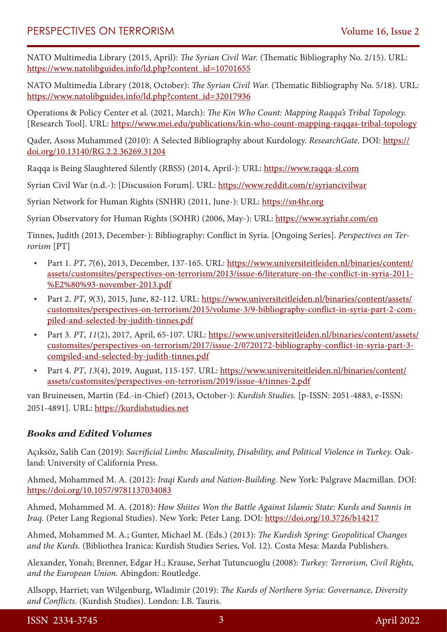NATO Multimedia Library (2015, April): *The Syrian Civil War.* (Thematic Bibliography No. 2/15). URL: [https://www.natolibguides.info/ld.php?content\\_id=10701655](https://www.natolibguides.info/ld.php?content_id=10701655)

NATO Multimedia Library (2018, October): *The Syrian Civil War.* (Thematic Bibliography No. 5/18). URL: [https://www.natolibguides.info/ld.php?content\\_id=32017936](https://www.natolibguides.info/ld.php?content_id=32017936)

Operations & Policy Center et al. (2021, March): *The Kin Who Count: Mapping Raqqa's Tribal Topology.* [Research Tool]. URL:<https://www.mei.edu/publications/kin-who-count-mapping-raqqas-tribal-topology>

Qader, Asoss Muhammed (2010): A Selected Bibliography about Kurdology. *ResearchGate.* DOI: [https://](https://doi.org/10.13140/RG.2.2.36269.31204) [doi.org/10.13140/RG.2.2.36269.31204](https://doi.org/10.13140/RG.2.2.36269.31204)

Raqqa is Being Slaughtered Silently (RBSS) (2014, April-): URL: [https://www.raqqa-sl.com](https://www.raqqa-sl.com/)

Syrian Civil War (n.d.-): [Discussion Forum]. URL: <https://www.reddit.com/r/syriancivilwar>

Syrian Network for Human Rights (SNHR) (2011, June-): URL: [https://sn4hr.org](https://sn4hr.org/)

Syrian Observatory for Human Rights (SOHR) (2006, May-): URL:<https://www.syriahr.com/en>

Tinnes, Judith (2013, December-): Bibliography: Conflict in Syria. [Ongoing Series]. *Perspectives on Terrorism* [PT]

- Part 1. *PT*, *7*(6), 2013, December, 137-165. URL: [https://www.universiteitleiden.nl/binaries/content/](https://www.universiteitleiden.nl/binaries/content/assets/customsites/perspectives-on-terrorism/2013/issue-6/literature-on-the-conflict-in-syria-2011-%E2%80%93-november-2013.pdf) [assets/customsites/perspectives-on-terrorism/2013/issue-6/literature-on-the-conflict-in-syria-2011-](https://www.universiteitleiden.nl/binaries/content/assets/customsites/perspectives-on-terrorism/2013/issue-6/literature-on-the-conflict-in-syria-2011-%E2%80%93-november-2013.pdf) [%E2%80%93-november-2013.pdf](https://www.universiteitleiden.nl/binaries/content/assets/customsites/perspectives-on-terrorism/2013/issue-6/literature-on-the-conflict-in-syria-2011-%E2%80%93-november-2013.pdf)
- Part 2. *PT*, 9(3), 2015, June, 82-112. URL: [https://www.universiteitleiden.nl/binaries/content/assets/](https://www.universiteitleiden.nl/binaries/content/assets/customsites/perspectives-on-terrorism/2015/volume-3/9-bibliography-conflict-in-syria-part-2-compiled-and-selected-by-judith-tinnes.pdf) [customsites/perspectives-on-terrorism/2015/volume-3/9-bibliography-conflict-in-syria-part-2-com](https://www.universiteitleiden.nl/binaries/content/assets/customsites/perspectives-on-terrorism/2015/volume-3/9-bibliography-conflict-in-syria-part-2-compiled-and-selected-by-judith-tinnes.pdf)[piled-and-selected-by-judith-tinnes.pdf](https://www.universiteitleiden.nl/binaries/content/assets/customsites/perspectives-on-terrorism/2015/volume-3/9-bibliography-conflict-in-syria-part-2-compiled-and-selected-by-judith-tinnes.pdf)
- • Part 3. *PT*, *11*(2), 2017, April, 65-107. URL: [https://www.universiteitleiden.nl/binaries/content/assets/](https://www.universiteitleiden.nl/binaries/content/assets/customsites/perspectives-on-terrorism/2017/issue-2/0720172-bibliography-conflict-in-syria-part-3-compiled-and-selected-by-judith-tinnes.pdf) [customsites/perspectives-on-terrorism/2017/issue-2/0720172-bibliography-conflict-in-syria-part-3](https://www.universiteitleiden.nl/binaries/content/assets/customsites/perspectives-on-terrorism/2017/issue-2/0720172-bibliography-conflict-in-syria-part-3-compiled-and-selected-by-judith-tinnes.pdf) [compiled-and-selected-by-judith-tinnes.pdf](https://www.universiteitleiden.nl/binaries/content/assets/customsites/perspectives-on-terrorism/2017/issue-2/0720172-bibliography-conflict-in-syria-part-3-compiled-and-selected-by-judith-tinnes.pdf)
- Part 4. PT, 13(4), 2019, August, 115-157. URL: [https://www.universiteitleiden.nl/binaries/content/](https://www.universiteitleiden.nl/binaries/content/assets/customsites/perspectives-on-terrorism/2019/issue-4/tinnes-2.pdf) [assets/customsites/perspectives-on-terrorism/2019/issue-4/tinnes-2.pdf](https://www.universiteitleiden.nl/binaries/content/assets/customsites/perspectives-on-terrorism/2019/issue-4/tinnes-2.pdf)

van Bruinessen, Martin (Ed.-in-Chief) (2013, October-): *Kurdish Studies.* [p-ISSN: 2051-4883, e-ISSN: 2051-4891]. URL: [https://kurdishstudies.net](https://kurdishstudies.net/)

## *Books and Edited Volumes*

Açıksöz, Salih Can (2019): *Sacrificial Limbs: Masculinity, Disability, and Political Violence in Turkey.* Oakland: University of California Press.

Ahmed, Mohammed M. A. (2012): *Iraqi Kurds and Nation-Building.* New York: Palgrave Macmillan. DOI: <https://doi.org/10.1057/9781137034083>

Ahmed, Mohammed M. A. (2018): *How Shiites Won the Battle Against Islamic State: Kurds and Sunnis in Iraq.* (Peter Lang Regional Studies). New York: Peter Lang. DOI: <https://doi.org/10.3726/b14217>

Ahmed, Mohammed M. A.; Gunter, Michael M. (Eds.) (2013): *The Kurdish Spring: Geopolitical Changes and the Kurds.* (Bibliothea Iranica: Kurdish Studies Series, Vol. 12). Costa Mesa: Mazda Publishers.

Alexander, Yonah; Brenner, Edgar H.; Krause, Serhat Tutuncuoglu (2008): *Turkey: Terrorism, Civil Rights, and the European Union.* Abingdon: Routledge.

Allsopp, Harriet; van Wilgenburg, Wladimir (2019): *The Kurds of Northern Syria: Governance, Diversity and Conflicts.* (Kurdish Studies). London: I.B. Tauris.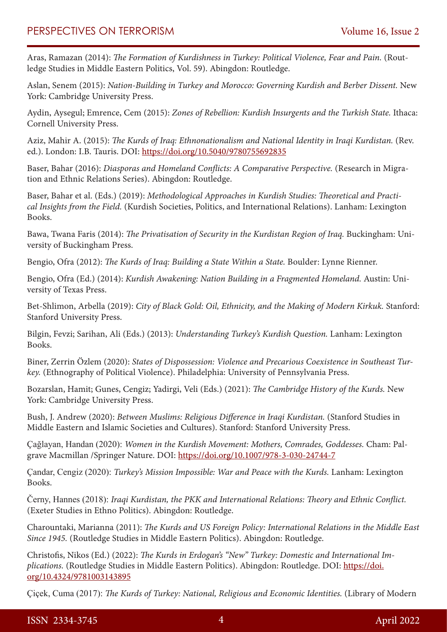Aras, Ramazan (2014): *The Formation of Kurdishness in Turkey: Political Violence, Fear and Pain.* (Routledge Studies in Middle Eastern Politics, Vol. 59). Abingdon: Routledge.

Aslan, Senem (2015): *Nation-Building in Turkey and Morocco: Governing Kurdish and Berber Dissent.* New York: Cambridge University Press.

Aydin, Aysegul; Emrence, Cem (2015): *Zones of Rebellion: Kurdish Insurgents and the Turkish State.* Ithaca: Cornell University Press.

Aziz, Mahir A. (2015): *The Kurds of Iraq: Ethnonationalism and National Identity in Iraqi Kurdistan.* (Rev. ed.). London: I.B. Tauris. DOI:<https://doi.org/10.5040/9780755692835>

Baser, Bahar (2016): *Diasporas and Homeland Conflicts: A Comparative Perspective.* (Research in Migration and Ethnic Relations Series). Abingdon: Routledge.

Baser, Bahar et al. (Eds.) (2019): *Methodological Approaches in Kurdish Studies: Theoretical and Practical Insights from the Field.* (Kurdish Societies, Politics, and International Relations). Lanham: Lexington Books.

Bawa, Twana Faris (2014): *The Privatisation of Security in the Kurdistan Region of Iraq.* Buckingham: University of Buckingham Press.

Bengio, Ofra (2012): *The Kurds of Iraq: Building a State Within a State.* Boulder: Lynne Rienner.

Bengio, Ofra (Ed.) (2014): *Kurdish Awakening: Nation Building in a Fragmented Homeland.* Austin: University of Texas Press.

Bet-Shlimon, Arbella (2019): *City of Black Gold: Oil, Ethnicity, and the Making of Modern Kirkuk.* Stanford: Stanford University Press.

Bilgin, Fevzi; Sarihan, Ali (Eds.) (2013): *Understanding Turkey's Kurdish Question.* Lanham: Lexington Books.

Biner, Zerrin Özlem (2020): *States of Dispossession: Violence and Precarious Coexistence in Southeast Turkey.* (Ethnography of Political Violence). Philadelphia: University of Pennsylvania Press.

Bozarslan, Hamit; Gunes, Cengiz; Yadirgi, Veli (Eds.) (2021): *The Cambridge History of the Kurds.* New York: Cambridge University Press.

Bush, J. Andrew (2020): *Between Muslims: Religious Difference in Iraqi Kurdistan.* (Stanford Studies in Middle Eastern and Islamic Societies and Cultures). Stanford: Stanford University Press.

Çağlayan, Handan (2020): *Women in the Kurdish Movement: Mothers, Comrades, Goddesses.* Cham: Palgrave Macmillan /Springer Nature. DOI:<https://doi.org/10.1007/978-3-030-24744-7>

Çandar, Cengiz (2020): *Turkey's Mission Impossible: War and Peace with the Kurds.* Lanham: Lexington Books.

Černy, Hannes (2018): *Iraqi Kurdistan, the PKK and International Relations: Theory and Ethnic Conflict.* (Exeter Studies in Ethno Politics). Abingdon: Routledge.

Charountaki, Marianna (2011): *The Kurds and US Foreign Policy: International Relations in the Middle East Since 1945.* (Routledge Studies in Middle Eastern Politics). Abingdon: Routledge.

Christofis, Nikos (Ed.) (2022): *The Kurds in Erdogan's "New" Turkey: Domestic and International Implications.* (Routledge Studies in Middle Eastern Politics). Abingdon: Routledge. DOI: [https://doi.](https://doi.org/10.4324/9781003143895) [org/10.4324/9781003143895](https://doi.org/10.4324/9781003143895)

Çiçek, Cuma (2017): *The Kurds of Turkey: National, Religious and Economic Identities.* (Library of Modern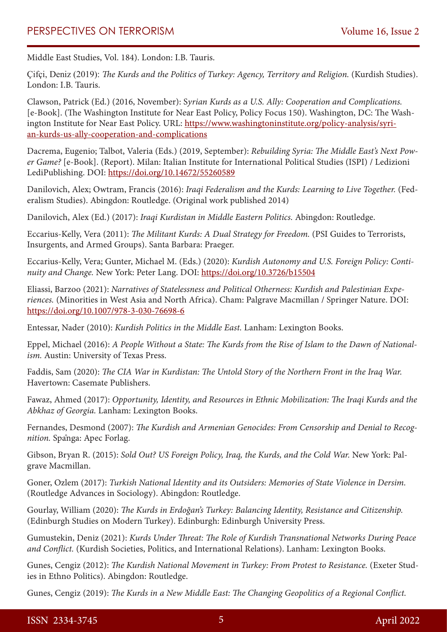Middle East Studies, Vol. 184). London: I.B. Tauris.

Çifçi, Deniz (2019): *The Kurds and the Politics of Turkey: Agency, Territory and Religion.* (Kurdish Studies). London: I.B. Tauris.

Clawson, Patrick (Ed.) (2016, November): S*yrian Kurds as a U.S. Ally: Cooperation and Complications.* [e-Book]. (The Washington Institute for Near East Policy, Policy Focus 150). Washington, DC: The Washington Institute for Near East Policy. URL: [https://www.washingtoninstitute.org/policy-analysis/syri](https://www.washingtoninstitute.org/policy-analysis/syrian-kurds-us-ally-cooperation-and-complications)[an-kurds-us-ally-cooperation-and-complications](https://www.washingtoninstitute.org/policy-analysis/syrian-kurds-us-ally-cooperation-and-complications)

Dacrema, Eugenio; Talbot, Valeria (Eds.) (2019, September): *Rebuilding Syria: The Middle East's Next Power Game?* [e-Book]. (Report). Milan: Italian Institute for International Political Studies (ISPI) / Ledizioni LediPublishing. DOI:<https://doi.org/10.14672/55260589>

Danilovich, Alex; Owtram, Francis (2016): *Iraqi Federalism and the Kurds: Learning to Live Together.* (Federalism Studies). Abingdon: Routledge. (Original work published 2014)

Danilovich, Alex (Ed.) (2017): *Iraqi Kurdistan in Middle Eastern Politics.* Abingdon: Routledge.

Eccarius-Kelly, Vera (2011): *The Militant Kurds: A Dual Strategy for Freedom.* (PSI Guides to Terrorists, Insurgents, and Armed Groups). Santa Barbara: Praeger.

Eccarius-Kelly, Vera; Gunter, Michael M. (Eds.) (2020): *Kurdish Autonomy and U.S. Foreign Policy: Continuity and Change.* New York: Peter Lang. DOI:<https://doi.org/10.3726/b15504>

Eliassi, Barzoo (2021): *Narratives of Statelessness and Political Otherness: Kurdish and Palestinian Experiences.* (Minorities in West Asia and North Africa). Cham: Palgrave Macmillan / Springer Nature. DOI: <https://doi.org/10.1007/978-3-030-76698-6>

Entessar, Nader (2010): *Kurdish Politics in the Middle East.* Lanham: Lexington Books.

Eppel, Michael (2016): *A People Without a State: The Kurds from the Rise of Islam to the Dawn of Nationalism.* Austin: University of Texas Press.

Faddis, Sam (2020): *The CIA War in Kurdistan: The Untold Story of the Northern Front in the Iraq War.* Havertown: Casemate Publishers.

Fawaz, Ahmed (2017): *Opportunity, Identity, and Resources in Ethnic Mobilization: The Iraqi Kurds and the Abkhaz of Georgia.* Lanham: Lexington Books.

Fernandes, Desmond (2007): *The Kurdish and Armenian Genocides: From Censorship and Denial to Recognition.* Spånga: Apec Forlag.

Gibson, Bryan R. (2015): *Sold Out? US Foreign Policy, Iraq, the Kurds, and the Cold War.* New York: Palgrave Macmillan.

Goner, Ozlem (2017): *Turkish National Identity and its Outsiders: Memories of State Violence in Dersim.* (Routledge Advances in Sociology). Abingdon: Routledge.

Gourlay, William (2020): *The Kurds in Erdoğan's Turkey: Balancing Identity, Resistance and Citizenship.* (Edinburgh Studies on Modern Turkey). Edinburgh: Edinburgh University Press.

Gumustekin, Deniz (2021): *Kurds Under Threat: The Role of Kurdish Transnational Networks During Peace and Conflict.* (Kurdish Societies, Politics, and International Relations). Lanham: Lexington Books.

Gunes, Cengiz (2012): *The Kurdish National Movement in Turkey: From Protest to Resistance.* (Exeter Studies in Ethno Politics). Abingdon: Routledge.

Gunes, Cengiz (2019): *The Kurds in a New Middle East: The Changing Geopolitics of a Regional Conflict.*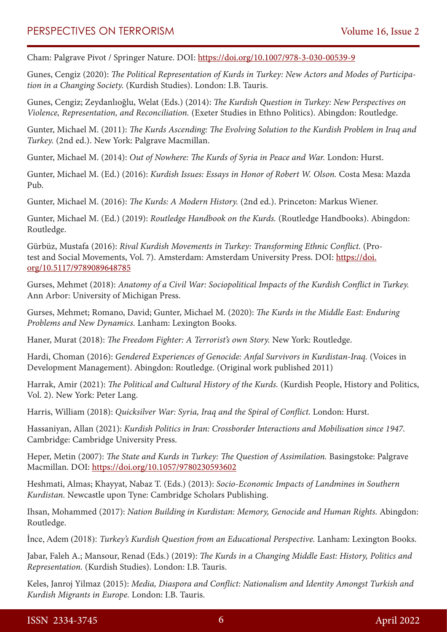Cham: Palgrave Pivot / Springer Nature. DOI: <https://doi.org/10.1007/978-3-030-00539-9>

Gunes, Cengiz (2020): *The Political Representation of Kurds in Turkey: New Actors and Modes of Participation in a Changing Society.* (Kurdish Studies). London: I.B. Tauris.

Gunes, Cengiz; Zeydanlıoğlu, Welat (Eds.) (2014): *The Kurdish Question in Turkey: New Perspectives on Violence, Representation, and Reconciliation.* (Exeter Studies in Ethno Politics). Abingdon: Routledge.

Gunter, Michael M. (2011): *The Kurds Ascending: The Evolving Solution to the Kurdish Problem in Iraq and Turkey.* (2nd ed.). New York: Palgrave Macmillan.

Gunter, Michael M. (2014): *Out of Nowhere: The Kurds of Syria in Peace and War.* London: Hurst.

Gunter, Michael M. (Ed.) (2016): *Kurdish Issues: Essays in Honor of Robert W. Olson.* Costa Mesa: Mazda Pub.

Gunter, Michael M. (2016): *The Kurds: A Modern History.* (2nd ed.). Princeton: Markus Wiener.

Gunter, Michael M. (Ed.) (2019): *Routledge Handbook on the Kurds.* (Routledge Handbooks). Abingdon: Routledge.

Gürbüz, Mustafa (2016): *Rival Kurdish Movements in Turkey: Transforming Ethnic Conflict.* (Protest and Social Movements, Vol. 7). Amsterdam: Amsterdam University Press. DOI: [https://doi.](https://doi.org/10.5117/9789089648785) [org/10.5117/9789089648785](https://doi.org/10.5117/9789089648785)

Gurses, Mehmet (2018): *Anatomy of a Civil War: Sociopolitical Impacts of the Kurdish Conflict in Turkey.* Ann Arbor: University of Michigan Press.

Gurses, Mehmet; Romano, David; Gunter, Michael M. (2020): *The Kurds in the Middle East: Enduring Problems and New Dynamics.* Lanham: Lexington Books.

Haner, Murat (2018): *The Freedom Fighter: A Terrorist's own Story.* New York: Routledge.

Hardi, Choman (2016): *Gendered Experiences of Genocide: Anfal Survivors in Kurdistan-Iraq.* (Voices in Development Management). Abingdon: Routledge. (Original work published 2011)

Harrak, Amir (2021): *The Political and Cultural History of the Kurds.* (Kurdish People, History and Politics, Vol. 2). New York: Peter Lang.

Harris, William (2018): *Quicksilver War: Syria, Iraq and the Spiral of Conflict.* London: Hurst.

Hassaniyan, Allan (2021): *Kurdish Politics in Iran: Crossborder Interactions and Mobilisation since 1947.* Cambridge: Cambridge University Press.

Heper, Metin (2007): *The State and Kurds in Turkey: The Question of Assimilation.* Basingstoke: Palgrave Macmillan. DOI: <https://doi.org/10.1057/9780230593602>

Heshmati, Almas; Khayyat, Nabaz T. (Eds.) (2013): *Socio-Economic Impacts of Landmines in Southern Kurdistan.* Newcastle upon Tyne: Cambridge Scholars Publishing.

Ihsan, Mohammed (2017): *Nation Building in Kurdistan: Memory, Genocide and Human Rights.* Abingdon: Routledge.

İnce, Adem (2018): *Turkey's Kurdish Question from an Educational Perspective.* Lanham: Lexington Books.

Jabar, Faleh A.; Mansour, Renad (Eds.) (2019): *The Kurds in a Changing Middle East: History, Politics and Representation.* (Kurdish Studies). London: I.B. Tauris.

Keles, Janroj Yilmaz (2015): *Media, Diaspora and Conflict: Nationalism and Identity Amongst Turkish and Kurdish Migrants in Europe.* London: I.B. Tauris.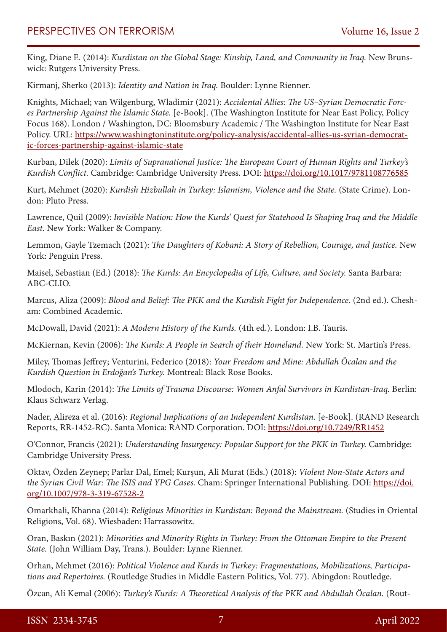King, Diane E. (2014): *Kurdistan on the Global Stage: Kinship, Land, and Community in Iraq.* New Brunswick: Rutgers University Press.

Kirmanj, Sherko (2013): *Identity and Nation in Iraq.* Boulder: Lynne Rienner.

Knights, Michael; van Wilgenburg, Wladimir (2021): *Accidental Allies: The US–Syrian Democratic Forces Partnership Against the Islamic State.* [e-Book]. (The Washington Institute for Near East Policy, Policy Focus 168). London / Washington, DC: Bloomsbury Academic / The Washington Institute for Near East Policy. URL: [https://www.washingtoninstitute.org/policy-analysis/accidental-allies-us-syrian-democrat](https://www.washingtoninstitute.org/policy-analysis/accidental-allies-us-syrian-democratic-forces-partnership-against-islamic-state)[ic-forces-partnership-against-islamic-state](https://www.washingtoninstitute.org/policy-analysis/accidental-allies-us-syrian-democratic-forces-partnership-against-islamic-state)

Kurban, Dilek (2020): *Limits of Supranational Justice: The European Court of Human Rights and Turkey's Kurdish Conflict.* Cambridge: Cambridge University Press. DOI: <https://doi.org/10.1017/9781108776585>

Kurt, Mehmet (2020): *Kurdish Hizbullah in Turkey: Islamism, Violence and the State.* (State Crime). London: Pluto Press.

Lawrence, Quil (2009): *Invisible Nation: How the Kurds' Quest for Statehood Is Shaping Iraq and the Middle East.* New York: Walker & Company.

Lemmon, Gayle Tzemach (2021): *The Daughters of Kobani: A Story of Rebellion, Courage, and Justice.* New York: Penguin Press.

Maisel, Sebastian (Ed.) (2018): *The Kurds: An Encyclopedia of Life, Culture, and Society.* Santa Barbara: ABC-CLIO.

Marcus, Aliza (2009): *Blood and Belief: The PKK and the Kurdish Fight for Independence.* (2nd ed.). Chesham: Combined Academic.

McDowall, David (2021): *A Modern History of the Kurds.* (4th ed.). London: I.B. Tauris.

McKiernan, Kevin (2006): *The Kurds: A People in Search of their Homeland.* New York: St. Martin's Press.

Miley, Thomas Jeffrey; Venturini, Federico (2018): *Your Freedom and Mine: Abdullah Öcalan and the Kurdish Question in Erdoğan's Turkey.* Montreal: Black Rose Books.

Mlodoch, Karin (2014): *The Limits of Trauma Discourse: Women Anfal Survivors in Kurdistan-Iraq.* Berlin: Klaus Schwarz Verlag.

Nader, Alireza et al. (2016): *Regional Implications of an Independent Kurdistan.* [e-Book]. (RAND Research Reports, RR-1452-RC). Santa Monica: RAND Corporation. DOI: <https://doi.org/10.7249/RR1452>

O'Connor, Francis (2021): *Understanding Insurgency: Popular Support for the PKK in Turkey.* Cambridge: Cambridge University Press.

Oktav, Özden Zeynep; Parlar Dal, Emel; Kurşun, Ali Murat (Eds.) (2018): *Violent Non-State Actors and the Syrian Civil War: The ISIS and YPG Cases.* Cham: Springer International Publishing. DOI: [https://doi.](https://doi.org/10.1007/978-3-319-67528-2) [org/10.1007/978-3-319-67528-2](https://doi.org/10.1007/978-3-319-67528-2)

Omarkhali, Khanna (2014): *Religious Minorities in Kurdistan: Beyond the Mainstream.* (Studies in Oriental Religions, Vol. 68). Wiesbaden: Harrassowitz.

Oran, Baskın (2021): *Minorities and Minority Rights in Turkey: From the Ottoman Empire to the Present State.* (John William Day, Trans.). Boulder: Lynne Rienner.

Orhan, Mehmet (2016): *Political Violence and Kurds in Turkey: Fragmentations, Mobilizations, Participations and Repertoires.* (Routledge Studies in Middle Eastern Politics, Vol. 77). Abingdon: Routledge.

Özcan, Ali Kemal (2006): *Turkey's Kurds: A Theoretical Analysis of the PKK and Abdullah Öcalan.* (Rout-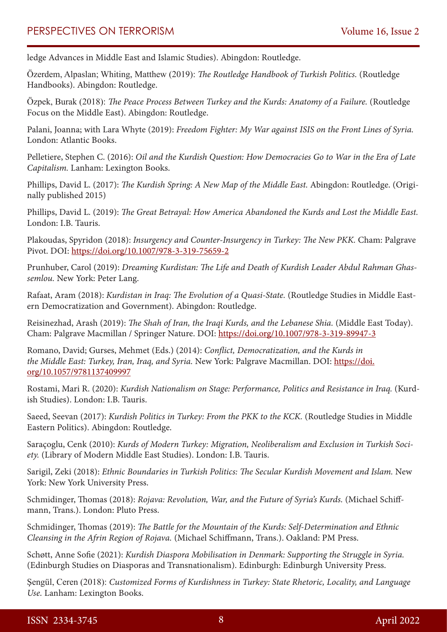ledge Advances in Middle East and Islamic Studies). Abingdon: Routledge.

Özerdem, Alpaslan; Whiting, Matthew (2019): *The Routledge Handbook of Turkish Politics.* (Routledge Handbooks). Abingdon: Routledge.

Özpek, Burak (2018): *The Peace Process Between Turkey and the Kurds: Anatomy of a Failure.* (Routledge Focus on the Middle East). Abingdon: Routledge.

Palani, Joanna; with Lara Whyte (2019): *Freedom Fighter: My War against ISIS on the Front Lines of Syria.* London: Atlantic Books.

Pelletiere, Stephen C. (2016): *Oil and the Kurdish Question: How Democracies Go to War in the Era of Late Capitalism.* Lanham: Lexington Books.

Phillips, David L. (2017): *The Kurdish Spring: A New Map of the Middle East.* Abingdon: Routledge. (Originally published 2015)

Phillips, David L. (2019): *The Great Betrayal: How America Abandoned the Kurds and Lost the Middle East.* London: I.B. Tauris.

Plakoudas, Spyridon (2018): *Insurgency and Counter-Insurgency in Turkey: The New PKK.* Cham: Palgrave Pivot. DOI:<https://doi.org/10.1007/978-3-319-75659-2>

Prunhuber, Carol (2019): *Dreaming Kurdistan: The Life and Death of Kurdish Leader Abdul Rahman Ghassemlou.* New York: Peter Lang.

Rafaat, Aram (2018): *Kurdistan in Iraq: The Evolution of a Quasi-State.* (Routledge Studies in Middle Eastern Democratization and Government). Abingdon: Routledge.

Reisinezhad, Arash (2019): *The Shah of Iran, the Iraqi Kurds, and the Lebanese Shia.* (Middle East Today). Cham: Palgrave Macmillan / Springer Nature. DOI: <https://doi.org/10.1007/978-3-319-89947-3>

Romano, David; Gurses, Mehmet (Eds.) (2014): *Conflict, Democratization, and the Kurds in the Middle East: Turkey, Iran, Iraq, and Syria.* New York: Palgrave Macmillan. DOI: [https://doi.](https://doi.org/10.1057/9781137409997) [org/10.1057/9781137409997](https://doi.org/10.1057/9781137409997)

Rostami, Mari R. (2020): *Kurdish Nationalism on Stage: Performance, Politics and Resistance in Iraq.* (Kurdish Studies). London: I.B. Tauris.

Saeed, Seevan (2017): *Kurdish Politics in Turkey: From the PKK to the KCK.* (Routledge Studies in Middle Eastern Politics). Abingdon: Routledge.

Saraçoglu, Cenk (2010): *Kurds of Modern Turkey: Migration, Neoliberalism and Exclusion in Turkish Society.* (Library of Modern Middle East Studies). London: I.B. Tauris.

Sarigil, Zeki (2018): *Ethnic Boundaries in Turkish Politics: The Secular Kurdish Movement and Islam.* New York: New York University Press.

Schmidinger, Thomas (2018): *Rojava: Revolution, War, and the Future of Syria's Kurds.* (Michael Schiffmann, Trans.). London: Pluto Press.

Schmidinger, Thomas (2019): *The Battle for the Mountain of the Kurds: Self-Determination and Ethnic Cleansing in the Afrin Region of Rojava.* (Michael Schiffmann, Trans.). Oakland: PM Press.

Schøtt, Anne Sofie (2021): *Kurdish Diaspora Mobilisation in Denmark: Supporting the Struggle in Syria.* (Edinburgh Studies on Diasporas and Transnationalism). Edinburgh: Edinburgh University Press.

Şengül, Ceren (2018): *Customized Forms of Kurdishness in Turkey: State Rhetoric, Locality, and Language Use.* Lanham: Lexington Books.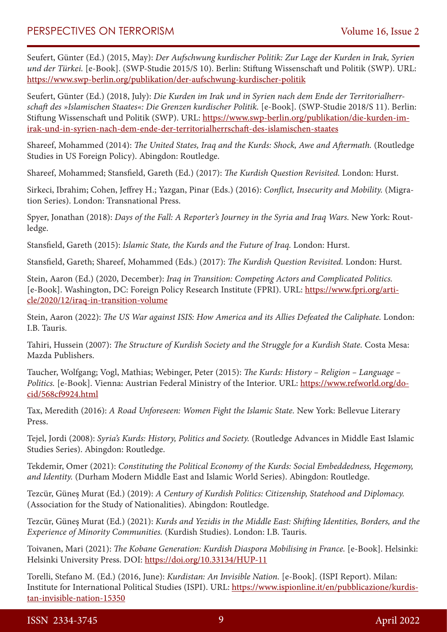Seufert, Günter (Ed.) (2015, May): *Der Aufschwung kurdischer Politik: Zur Lage der Kurden in Irak, Syrien und der Türkei.* [e-Book]. (SWP-Studie 2015/S 10). Berlin: Stiftung Wissenschaft und Politik (SWP). URL: <https://www.swp-berlin.org/publikation/der-aufschwung-kurdischer-politik>

Seufert, Günter (Ed.) (2018, July): *Die Kurden im Irak und in Syrien nach dem Ende der Territorialherrschaft des »Islamischen Staates«: Die Grenzen kurdischer Politik.* [e-Book]. (SWP-Studie 2018/S 11). Berlin: Stiftung Wissenschaft und Politik (SWP). URL: [https://www.swp-berlin.org/publikation/die-kurden-im](https://www.swp-berlin.org/publikation/die-kurden-im-irak-und-in-syrien-nach-dem-ende-der-territorialherrschaft-des-islamischen-staates)[irak-und-in-syrien-nach-dem-ende-der-territorialherrschaft-des-islamischen-staates](https://www.swp-berlin.org/publikation/die-kurden-im-irak-und-in-syrien-nach-dem-ende-der-territorialherrschaft-des-islamischen-staates)

Shareef, Mohammed (2014): *The United States, Iraq and the Kurds: Shock, Awe and Aftermath.* (Routledge Studies in US Foreign Policy). Abingdon: Routledge.

Shareef, Mohammed; Stansfield, Gareth (Ed.) (2017): *The Kurdish Question Revisited.* London: Hurst.

Sirkeci, Ibrahim; Cohen, Jeffrey H.; Yazgan, Pinar (Eds.) (2016): *Conflict, Insecurity and Mobility.* (Migration Series). London: Transnational Press.

Spyer, Jonathan (2018): *Days of the Fall: A Reporter's Journey in the Syria and Iraq Wars.* New York: Routledge.

Stansfield, Gareth (2015): *Islamic State, the Kurds and the Future of Iraq.* London: Hurst.

Stansfield, Gareth; Shareef, Mohammed (Eds.) (2017): *The Kurdish Question Revisited.* London: Hurst.

Stein, Aaron (Ed.) (2020, December): *Iraq in Transition: Competing Actors and Complicated Politics.* [e-Book]. Washington, DC: Foreign Policy Research Institute (FPRI). URL: [https://www.fpri.org/arti](https://www.fpri.org/article/2020/12/iraq-in-transition-volume)[cle/2020/12/iraq-in-transition-volume](https://www.fpri.org/article/2020/12/iraq-in-transition-volume)

Stein, Aaron (2022): *The US War against ISIS: How America and its Allies Defeated the Caliphate.* London: I.B. Tauris.

Tahiri, Hussein (2007): *The Structure of Kurdish Society and the Struggle for a Kurdish State.* Costa Mesa: Mazda Publishers.

Taucher, Wolfgang; Vogl, Mathias; Webinger, Peter (2015): *The Kurds: History – Religion – Language – Politics.* [e-Book]. Vienna: Austrian Federal Ministry of the Interior. URL: [https://www.refworld.org/do](https://www.refworld.org/docid/568cf9924.html)[cid/568cf9924.html](https://www.refworld.org/docid/568cf9924.html)

Tax, Meredith (2016): *A Road Unforeseen: Women Fight the Islamic State.* New York: Bellevue Literary Press.

Tejel, Jordi (2008): *Syria's Kurds: History, Politics and Society.* (Routledge Advances in Middle East Islamic Studies Series). Abingdon: Routledge.

Tekdemir, Omer (2021): *Constituting the Political Economy of the Kurds: Social Embeddedness, Hegemony, and Identity.* (Durham Modern Middle East and Islamic World Series). Abingdon: Routledge.

Tezcür, Güneş Murat (Ed.) (2019): *A Century of Kurdish Politics: Citizenship, Statehood and Diplomacy.* (Association for the Study of Nationalities). Abingdon: Routledge.

Tezcür, Güneş Murat (Ed.) (2021): *Kurds and Yezidis in the Middle East: Shifting Identities, Borders, and the Experience of Minority Communities.* (Kurdish Studies). London: I.B. Tauris.

Toivanen, Mari (2021): *The Kobane Generation: Kurdish Diaspora Mobilising in France.* [e-Book]. Helsinki: Helsinki University Press. DOI: <https://doi.org/10.33134/HUP-11>

Torelli, Stefano M. (Ed.) (2016, June): *Kurdistan: An Invisible Nation.* [e-Book]. (ISPI Report). Milan: Institute for International Political Studies (ISPI). URL: [https://www.ispionline.it/en/pubblicazione/kurdis](https://www.ispionline.it/en/pubblicazione/kurdistan-invisible-nation-15350)[tan-invisible-nation-15350](https://www.ispionline.it/en/pubblicazione/kurdistan-invisible-nation-15350)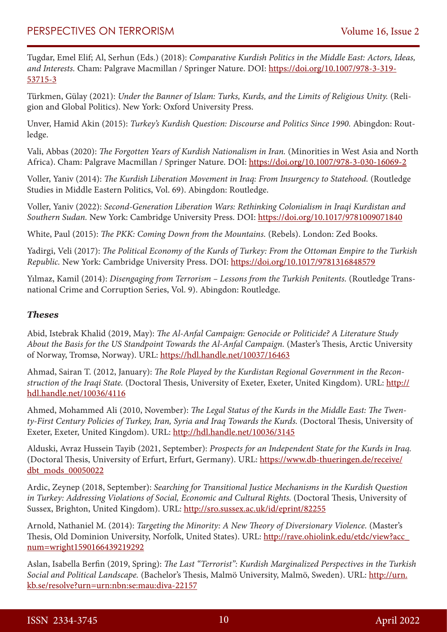Tugdar, Emel Elif; Al, Serhun (Eds.) (2018): *Comparative Kurdish Politics in the Middle East: Actors, Ideas, and Interests.* Cham: Palgrave Macmillan / Springer Nature. DOI: [https://doi.org/10.1007/978-3-319-](https://doi.org/10.1007/978-3-319-53715-3) [53715-3](https://doi.org/10.1007/978-3-319-53715-3)

Türkmen, Gülay (2021): *Under the Banner of Islam: Turks, Kurds, and the Limits of Religious Unity.* (Religion and Global Politics). New York: Oxford University Press.

Unver, Hamid Akin (2015): *Turkey's Kurdish Question: Discourse and Politics Since 1990.* Abingdon: Routledge.

Vali, Abbas (2020): *The Forgotten Years of Kurdish Nationalism in Iran.* (Minorities in West Asia and North Africa). Cham: Palgrave Macmillan / Springer Nature. DOI: <https://doi.org/10.1007/978-3-030-16069-2>

Voller, Yaniv (2014): *The Kurdish Liberation Movement in Iraq: From Insurgency to Statehood.* (Routledge Studies in Middle Eastern Politics, Vol. 69). Abingdon: Routledge.

Voller, Yaniv (2022): *Second-Generation Liberation Wars: Rethinking Colonialism in Iraqi Kurdistan and Southern Sudan.* New York: Cambridge University Press. DOI: <https://doi.org/10.1017/9781009071840>

White, Paul (2015): *The PKK: Coming Down from the Mountains.* (Rebels). London: Zed Books.

Yadirgi, Veli (2017): *The Political Economy of the Kurds of Turkey: From the Ottoman Empire to the Turkish Republic.* New York: Cambridge University Press. DOI: <https://doi.org/10.1017/9781316848579>

Yılmaz, Kamil (2014): *Disengaging from Terrorism – Lessons from the Turkish Penitents.* (Routledge Transnational Crime and Corruption Series, Vol. 9). Abingdon: Routledge.

### *Theses*

Abid, Istebrak Khalid (2019, May): *The Al-Anfal Campaign: Genocide or Politicide? A Literature Study About the Basis for the US Standpoint Towards the Al-Anfal Campaign.* (Master's Thesis, Arctic University of Norway, Tromsø, Norway). URL: <https://hdl.handle.net/10037/16463>

Ahmad, Sairan T. (2012, January): *The Role Played by the Kurdistan Regional Government in the Reconstruction of the Iraqi State.* (Doctoral Thesis, University of Exeter, Exeter, United Kingdom). URL: [http://](http://hdl.handle.net/10036/4116) [hdl.handle.net/10036/4116](http://hdl.handle.net/10036/4116)

Ahmed, Mohammed Ali (2010, November): *The Legal Status of the Kurds in the Middle East: The Twenty-First Century Policies of Turkey, Iran, Syria and Iraq Towards the Kurds.* (Doctoral Thesis, University of Exeter, Exeter, United Kingdom). URL:<http://hdl.handle.net/10036/3145>

Alduski, Avraz Hussein Tayib (2021, September): *Prospects for an Independent State for the Kurds in Iraq.* (Doctoral Thesis, University of Erfurt, Erfurt, Germany). URL: [https://www.db-thueringen.de/receive/](https://www.db-thueringen.de/receive/dbt_mods_00050022) [dbt\\_mods\\_00050022](https://www.db-thueringen.de/receive/dbt_mods_00050022)

Ardic, Zeynep (2018, September): *Searching for Transitional Justice Mechanisms in the Kurdish Question in Turkey: Addressing Violations of Social, Economic and Cultural Rights.* (Doctoral Thesis, University of Sussex, Brighton, United Kingdom). URL: <http://sro.sussex.ac.uk/id/eprint/82255>

Arnold, Nathaniel M. (2014): *Targeting the Minority: A New Theory of Diversionary Violence.* (Master's Thesis, Old Dominion University, Norfolk, United States). URL: [http://rave.ohiolink.edu/etdc/view?acc\\_](http://rave.ohiolink.edu/etdc/view?acc_num=wright1590166439219292) [num=wright1590166439219292](http://rave.ohiolink.edu/etdc/view?acc_num=wright1590166439219292)

Aslan, Isabella Berfin (2019, Spring): *The Last "Terrorist": Kurdish Marginalized Perspectives in the Turkish Social and Political Landscape.* (Bachelor's Thesis, Malmö University, Malmö, Sweden). URL: [http://urn.](http://urn.kb.se/resolve?urn=urn:nbn:se:mau:diva-22157) [kb.se/resolve?urn=urn:nbn:se:mau:diva-22157](http://urn.kb.se/resolve?urn=urn:nbn:se:mau:diva-22157)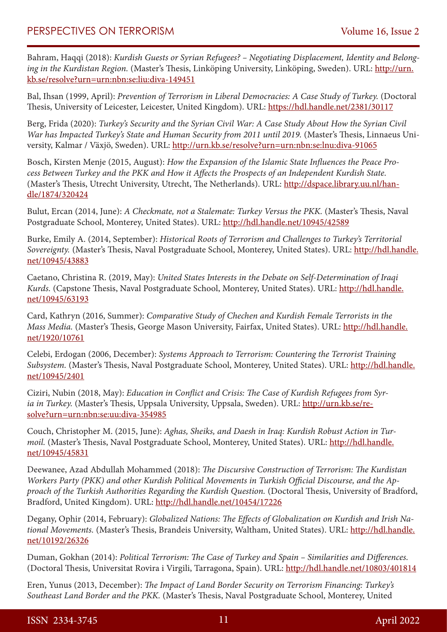Bahram, Haqqi (2018): *Kurdish Guests or Syrian Refugees? – Negotiating Displacement, Identity and Belong*ing in the Kurdistan Region. (Master's Thesis, Linköping University, Linköping, Sweden). URL: [http://urn.](http://urn.kb.se/resolve?urn=urn:nbn:se:liu:diva-149451) [kb.se/resolve?urn=urn:nbn:se:liu:diva-149451](http://urn.kb.se/resolve?urn=urn:nbn:se:liu:diva-149451)

Bal, Ihsan (1999, April): *Prevention of Terrorism in Liberal Democracies: A Case Study of Turkey.* (Doctoral Thesis, University of Leicester, Leicester, United Kingdom). URL:<https://hdl.handle.net/2381/30117>

Berg, Frida (2020): *Turkey's Security and the Syrian Civil War: A Case Study About How the Syrian Civil War has Impacted Turkey's State and Human Security from 2011 until 2019.* (Master's Thesis, Linnaeus University, Kalmar / Växjö, Sweden). URL: <http://urn.kb.se/resolve?urn=urn:nbn:se:lnu:diva-91065>

Bosch, Kirsten Menje (2015, August): *How the Expansion of the Islamic State Influences the Peace Process Between Turkey and the PKK and How it Affects the Prospects of an Independent Kurdish State.* (Master's Thesis, Utrecht University, Utrecht, The Netherlands). URL: [http://dspace.library.uu.nl/han](http://dspace.library.uu.nl/handle/1874/320424)[dle/1874/320424](http://dspace.library.uu.nl/handle/1874/320424)

Bulut, Ercan (2014, June): *A Checkmate, not a Stalemate: Turkey Versus the PKK.* (Master's Thesis, Naval Postgraduate School, Monterey, United States). URL:<http://hdl.handle.net/10945/42589>

Burke, Emily A. (2014, September): *Historical Roots of Terrorism and Challenges to Turkey's Territorial Sovereignty.* (Master's Thesis, Naval Postgraduate School, Monterey, United States). URL: [http://hdl.handle.](http://hdl.handle.net/10945/43883) [net/10945/43883](http://hdl.handle.net/10945/43883)

Caetano, Christina R. (2019, May): *United States Interests in the Debate on Self-Determination of Iraqi Kurds.* (Capstone Thesis, Naval Postgraduate School, Monterey, United States). URL: [http://hdl.handle.](http://hdl.handle.net/10945/63193) [net/10945/63193](http://hdl.handle.net/10945/63193)

Card, Kathryn (2016, Summer): *Comparative Study of Chechen and Kurdish Female Terrorists in the Mass Media.* (Master's Thesis, George Mason University, Fairfax, United States). URL: [http://hdl.handle.](http://hdl.handle.net/1920/10761) [net/1920/10761](http://hdl.handle.net/1920/10761)

Celebi, Erdogan (2006, December): *Systems Approach to Terrorism: Countering the Terrorist Training Subsystem.* (Master's Thesis, Naval Postgraduate School, Monterey, United States). URL: [http://hdl.handle.](http://hdl.handle.net/10945/2401) [net/10945/2401](http://hdl.handle.net/10945/2401)

Ciziri, Nubin (2018, May): *Education in Conflict and Crisis: The Case of Kurdish Refugees from Syr*ia in Turkey. (Master's Thesis, Uppsala University, Uppsala, Sweden). URL: [http://urn.kb.se/re](http://urn.kb.se/resolve?urn=urn:nbn:se:uu:diva-354985)[solve?urn=urn:nbn:se:uu:diva-354985](http://urn.kb.se/resolve?urn=urn:nbn:se:uu:diva-354985)

Couch, Christopher M. (2015, June): *Aghas, Sheiks, and Daesh in Iraq: Kurdish Robust Action in Tur*moil. (Master's Thesis, Naval Postgraduate School, Monterey, United States). URL: [http://hdl.handle.](http://hdl.handle.net/10945/45831) [net/10945/45831](http://hdl.handle.net/10945/45831)

Deewanee, Azad Abdullah Mohammed (2018): *The Discursive Construction of Terrorism: The Kurdistan Workers Party (PKK) and other Kurdish Political Movements in Turkish Official Discourse, and the Approach of the Turkish Authorities Regarding the Kurdish Question.* (Doctoral Thesis, University of Bradford, Bradford, United Kingdom). URL:<http://hdl.handle.net/10454/17226>

Degany, Ophir (2014, February): *Globalized Nations: The Effects of Globalization on Kurdish and Irish National Movements.* (Master's Thesis, Brandeis University, Waltham, United States). URL: [http://hdl.handle.](http://hdl.handle.net/10192/26326) [net/10192/26326](http://hdl.handle.net/10192/26326)

Duman, Gokhan (2014): *Political Terrorism: The Case of Turkey and Spain – Similarities and Differences.* (Doctoral Thesis, Universitat Rovira i Virgili, Tarragona, Spain). URL: <http://hdl.handle.net/10803/401814>

Eren, Yunus (2013, December): *The Impact of Land Border Security on Terrorism Financing: Turkey's Southeast Land Border and the PKK.* (Master's Thesis, Naval Postgraduate School, Monterey, United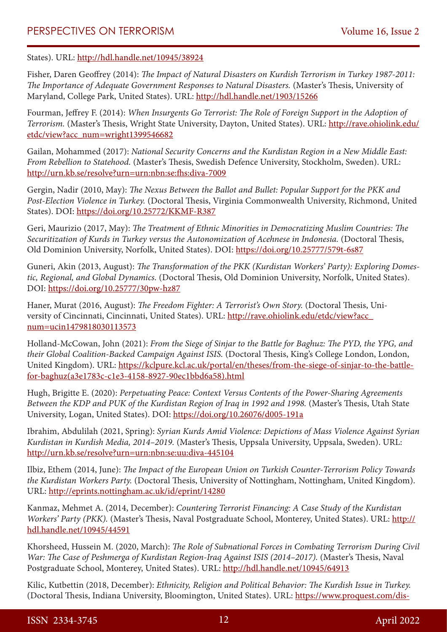States). URL: <http://hdl.handle.net/10945/38924>

Fisher, Daren Geoffrey (2014): *The Impact of Natural Disasters on Kurdish Terrorism in Turkey 1987-2011: The Importance of Adequate Government Responses to Natural Disasters.* (Master's Thesis, University of Maryland, College Park, United States). URL:<http://hdl.handle.net/1903/15266>

Fourman, Jeffrey F. (2014): *When Insurgents Go Terrorist: The Role of Foreign Support in the Adoption of Terrorism.* (Master's Thesis, Wright State University, Dayton, United States). URL: [http://rave.ohiolink.edu/](http://rave.ohiolink.edu/etdc/view?acc_num=wright1399546682) [etdc/view?acc\\_num=wright1399546682](http://rave.ohiolink.edu/etdc/view?acc_num=wright1399546682)

Gailan, Mohammed (2017): *National Security Concerns and the Kurdistan Region in a New Middle East: From Rebellion to Statehood.* (Master's Thesis, Swedish Defence University, Stockholm, Sweden). URL: <http://urn.kb.se/resolve?urn=urn:nbn:se:fhs:diva-7009>

Gergin, Nadir (2010, May): *The Nexus Between the Ballot and Bullet: Popular Support for the PKK and Post-Election Violence in Turkey.* (Doctoral Thesis, Virginia Commonwealth University, Richmond, United States). DOI:<https://doi.org/10.25772/KKMF-R387>

Geri, Maurizio (2017, May): *The Treatment of Ethnic Minorities in Democratizing Muslim Countries: The Securitization of Kurds in Turkey versus the Autonomization of Acehnese in Indonesia.* (Doctoral Thesis, Old Dominion University, Norfolk, United States). DOI:<https://doi.org/10.25777/579t-6s87>

Guneri, Akin (2013, August): *The Transformation of the PKK (Kurdistan Workers' Party): Exploring Domestic, Regional, and Global Dynamics.* (Doctoral Thesis, Old Dominion University, Norfolk, United States). DOI:<https://doi.org/10.25777/30pw-hz87>

Haner, Murat (2016, August): *The Freedom Fighter: A Terrorist's Own Story.* (Doctoral Thesis, University of Cincinnati, Cincinnati, United States). URL: [http://rave.ohiolink.edu/etdc/view?acc\\_](http://rave.ohiolink.edu/etdc/view?acc_num=ucin1479818030113573) [num=ucin1479818030113573](http://rave.ohiolink.edu/etdc/view?acc_num=ucin1479818030113573)

Holland-McCowan, John (2021): *From the Siege of Sinjar to the Battle for Baghuz: The PYD, the YPG, and their Global Coalition-Backed Campaign Against ISIS.* (Doctoral Thesis, King's College London, London, United Kingdom). URL: [https://kclpure.kcl.ac.uk/portal/en/theses/from-the-siege-of-sinjar-to-the-battle](https://kclpure.kcl.ac.uk/portal/en/theses/from-the-siege-of-sinjar-to-the-battle-for-baghuz(a3e1783c-c1e3-4158-8927-90ec1bbd6a58).html)[for-baghuz\(a3e1783c-c1e3-4158-8927-90ec1bbd6a58\).html](https://kclpure.kcl.ac.uk/portal/en/theses/from-the-siege-of-sinjar-to-the-battle-for-baghuz(a3e1783c-c1e3-4158-8927-90ec1bbd6a58).html)

Hugh, Brigitte E. (2020): *Perpetuating Peace: Context Versus Contents of the Power-Sharing Agreements Between the KDP and PUK of the Kurdistan Region of Iraq in 1992 and 1998.* (Master's Thesis, Utah State University, Logan, United States). DOI: <https://doi.org/10.26076/d005-191a>

Ibrahim, Abdulilah (2021, Spring): *Syrian Kurds Amid Violence: Depictions of Mass Violence Against Syrian Kurdistan in Kurdish Media, 2014–2019.* (Master's Thesis, Uppsala University, Uppsala, Sweden). URL: <http://urn.kb.se/resolve?urn=urn:nbn:se:uu:diva-445104>

Ilbiz, Ethem (2014, June): *The Impact of the European Union on Turkish Counter-Terrorism Policy Towards the Kurdistan Workers Party.* (Doctoral Thesis, University of Nottingham, Nottingham, United Kingdom). URL: <http://eprints.nottingham.ac.uk/id/eprint/14280>

Kanmaz, Mehmet A. (2014, December): *Countering Terrorist Financing: A Case Study of the Kurdistan Workers' Party (PKK).* (Master's Thesis, Naval Postgraduate School, Monterey, United States). URL: [http://](http://hdl.handle.net/10945/44591) [hdl.handle.net/10945/44591](http://hdl.handle.net/10945/44591)

Khorsheed, Hussein M. (2020, March): *The Role of Subnational Forces in Combating Terrorism During Civil War: The Case of Peshmerga of Kurdistan Region-Iraq Against ISIS (2014–2017).* (Master's Thesis, Naval Postgraduate School, Monterey, United States). URL:<http://hdl.handle.net/10945/64913>

Kilic, Kutbettin (2018, December): *Ethnicity, Religion and Political Behavior: The Kurdish Issue in Turkey.* (Doctoral Thesis, Indiana University, Bloomington, United States). URL: [https://www.proquest.com/dis-](https://www.proquest.com/dissertations-theses/ethnicity-religion-political-behavior-kurdish/docview/2169488835/se-2)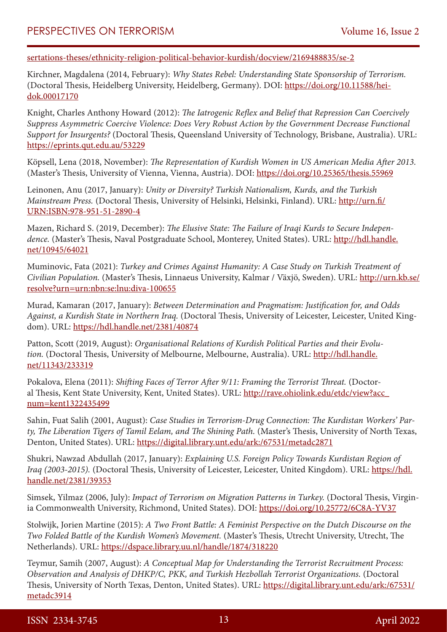[sertations-theses/ethnicity-religion-political-behavior-kurdish/docview/2169488835/se-2](https://www.proquest.com/dissertations-theses/ethnicity-religion-political-behavior-kurdish/docview/2169488835/se-2)

Kirchner, Magdalena (2014, February): *Why States Rebel: Understanding State Sponsorship of Terrorism.* (Doctoral Thesis, Heidelberg University, Heidelberg, Germany). DOI: [https://doi.org/10.11588/hei](https://doi.org/10.11588/heidok.00017170)[dok.00017170](https://doi.org/10.11588/heidok.00017170)

Knight, Charles Anthony Howard (2012): *The Iatrogenic Reflex and Belief that Repression Can Coercively Suppress Asymmetric Coercive Violence: Does Very Robust Action by the Government Decrease Functional Support for Insurgents?* (Doctoral Thesis, Queensland University of Technology, Brisbane, Australia). URL: <https://eprints.qut.edu.au/53229>

Köpsell, Lena (2018, November): *The Representation of Kurdish Women in US American Media After 2013.* (Master's Thesis, University of Vienna, Vienna, Austria). DOI: <https://doi.org/10.25365/thesis.55969>

Leinonen, Anu (2017, January): *Unity or Diversity? Turkish Nationalism, Kurds, and the Turkish Mainstream Press.* (Doctoral Thesis, University of Helsinki, Helsinki, Finland). URL: [http://urn.fi/](http://urn.fi/URN:ISBN:978-951-51-2890-4) [URN:ISBN:978-951-51-2890-4](http://urn.fi/URN:ISBN:978-951-51-2890-4)

Mazen, Richard S. (2019, December): *The Elusive State: The Failure of Iraqi Kurds to Secure Independence.* (Master's Thesis, Naval Postgraduate School, Monterey, United States). URL: [http://hdl.handle.](http://hdl.handle.net/10945/64021) [net/10945/64021](http://hdl.handle.net/10945/64021)

Muminovic, Fata (2021): *Turkey and Crimes Against Humanity: A Case Study on Turkish Treatment of Civilian Population.* (Master's Thesis, Linnaeus University, Kalmar / Växjö, Sweden). URL: [http://urn.kb.se/](http://urn.kb.se/resolve?urn=urn:nbn:se:lnu:diva-100655) [resolve?urn=urn:nbn:se:lnu:diva-100655](http://urn.kb.se/resolve?urn=urn:nbn:se:lnu:diva-100655)

Murad, Kamaran (2017, January): *Between Determination and Pragmatism: Justification for, and Odds Against, a Kurdish State in Northern Iraq.* (Doctoral Thesis, University of Leicester, Leicester, United Kingdom). URL:<https://hdl.handle.net/2381/40874>

Patton, Scott (2019, August): *Organisational Relations of Kurdish Political Parties and their Evolution.* (Doctoral Thesis, University of Melbourne, Melbourne, Australia). URL: [http://hdl.handle.](http://hdl.handle.net/11343/233319) [net/11343/233319](http://hdl.handle.net/11343/233319)

Pokalova, Elena (2011): *Shifting Faces of Terror After 9/11: Framing the Terrorist Threat.* (Doctoral Thesis, Kent State University, Kent, United States). URL: [http://rave.ohiolink.edu/etdc/view?acc\\_](http://rave.ohiolink.edu/etdc/view?acc_num=kent1322435499) [num=kent1322435499](http://rave.ohiolink.edu/etdc/view?acc_num=kent1322435499)

Sahin, Fuat Salih (2001, August): *Case Studies in Terrorism-Drug Connection: The Kurdistan Workers' Party, The Liberation Tigers of Tamil Eelam, and The Shining Path.* (Master's Thesis, University of North Texas, Denton, United States). URL:<https://digital.library.unt.edu/ark:/67531/metadc2871>

Shukri, Nawzad Abdullah (2017, January): *Explaining U.S. Foreign Policy Towards Kurdistan Region of Iraq (2003-2015).* (Doctoral Thesis, University of Leicester, Leicester, United Kingdom). URL: [https://hdl.](https://hdl.handle.net/2381/39353) [handle.net/2381/39353](https://hdl.handle.net/2381/39353)

Simsek, Yilmaz (2006, July): *Impact of Terrorism on Migration Patterns in Turkey.* (Doctoral Thesis, Virginia Commonwealth University, Richmond, United States). DOI:<https://doi.org/10.25772/6C8A-YV37>

Stolwijk, Jorien Martine (2015): *A Two Front Battle: A Feminist Perspective on the Dutch Discourse on the Two Folded Battle of the Kurdish Women's Movement.* (Master's Thesis, Utrecht University, Utrecht, The Netherlands). URL: <https://dspace.library.uu.nl/handle/1874/318220>

Teymur, Samih (2007, August): *A Conceptual Map for Understanding the Terrorist Recruitment Process: Observation and Analysis of DHKP/C, PKK, and Turkish Hezbollah Terrorist Organizations.* (Doctoral Thesis, University of North Texas, Denton, United States). URL: [https://digital.library.unt.edu/ark:/67531/](https://digital.library.unt.edu/ark:/67531/metadc3914) [metadc3914](https://digital.library.unt.edu/ark:/67531/metadc3914)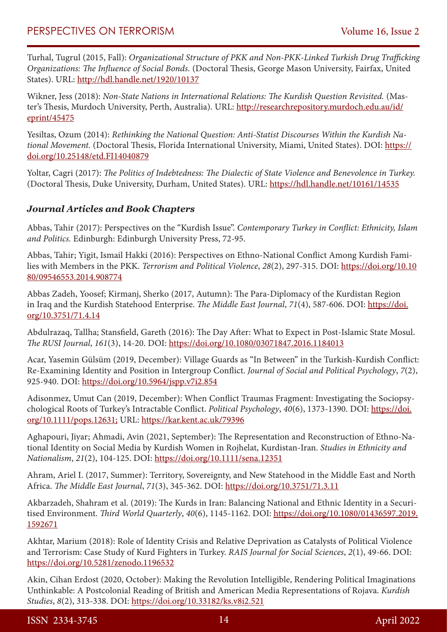Turhal, Tugrul (2015, Fall): *Organizational Structure of PKK and Non-PKK-Linked Turkish Drug Trafficking Organizations: The Influence of Social Bonds.* (Doctoral Thesis, George Mason University, Fairfax, United States). URL: <http://hdl.handle.net/1920/10137>

Wikner, Jess (2018): *Non-State Nations in International Relations: The Kurdish Question Revisited.* (Master's Thesis, Murdoch University, Perth, Australia). URL: [http://researchrepository.murdoch.edu.au/id/](http://researchrepository.murdoch.edu.au/id/eprint/45475) [eprint/45475](http://researchrepository.murdoch.edu.au/id/eprint/45475)

Yesiltas, Ozum (2014): *Rethinking the National Question: Anti-Statist Discourses Within the Kurdish National Movement.* (Doctoral Thesis, Florida International University, Miami, United States). DOI: [https://](https://doi.org/10.25148/etd.FI14040879) [doi.org/10.25148/etd.FI14040879](https://doi.org/10.25148/etd.FI14040879)

Yoltar, Cagri (2017): *The Politics of Indebtedness: The Dialectic of State Violence and Benevolence in Turkey.* (Doctoral Thesis, Duke University, Durham, United States). URL:<https://hdl.handle.net/10161/14535>

## *Journal Articles and Book Chapters*

Abbas, Tahir (2017): Perspectives on the "Kurdish Issue". *Contemporary Turkey in Conflict: Ethnicity, Islam and Politics.* Edinburgh: Edinburgh University Press, 72-95.

Abbas, Tahir; Yigit, Ismail Hakki (2016): Perspectives on Ethno-National Conflict Among Kurdish Families with Members in the PKK. *Terrorism and Political Violence*, *28*(2), 297-315. DOI: [https://doi.org/10.10](https://doi.org/10.1080/09546553.2014.908774) [80/09546553.2014.908774](https://doi.org/10.1080/09546553.2014.908774)

Abbas Zadeh, Yoosef; Kirmanj, Sherko (2017, Autumn): The Para-Diplomacy of the Kurdistan Region in Iraq and the Kurdish Statehood Enterprise. *The Middle East Journal*, *71*(4), 587-606. DOI: [https://doi.](https://doi.org/10.3751/71.4.14) [org/10.3751/71.4.14](https://doi.org/10.3751/71.4.14)

Abdulrazaq, Tallha; Stansfield, Gareth (2016): The Day After: What to Expect in Post-Islamic State Mosul. *The RUSI Journal*, *161*(3), 14-20. DOI:<https://doi.org/10.1080/03071847.2016.1184013>

Acar, Yasemin Gülsüm (2019, December): Village Guards as "In Between" in the Turkish-Kurdish Conflict: Re-Examining Identity and Position in Intergroup Conflict. *Journal of Social and Political Psychology*, *7*(2), 925-940. DOI:<https://doi.org/10.5964/jspp.v7i2.854>

Adisonmez, Umut Can (2019, December): When Conflict Traumas Fragment: Investigating the Sociopsychological Roots of Turkey's Intractable Conflict. *Political Psychology*, *40*(6), 1373-1390. DOI: [https://doi.](https://doi.org/10.1111/pops.12631) [org/10.1111/pops.12631;](https://doi.org/10.1111/pops.12631) URL:<https://kar.kent.ac.uk/79396>

Aghapouri, Jiyar; Ahmadi, Avin (2021, September): The Representation and Reconstruction of Ethno-National Identity on Social Media by Kurdish Women in Rojhelat, Kurdistan-Iran. *Studies in Ethnicity and Nationalism*, *21*(2), 104-125. DOI: <https://doi.org/10.1111/sena.12351>

Ahram, Ariel I. (2017, Summer): Territory, Sovereignty, and New Statehood in the Middle East and North Africa. *The Middle East Journal*, *71*(3), 345-362. DOI:<https://doi.org/10.3751/71.3.11>

Akbarzadeh, Shahram et al. (2019): The Kurds in Iran: Balancing National and Ethnic Identity in a Securitised Environment. *Third World Quarterly*, *40*(6), 1145-1162. DOI: [https://doi.org/10.1080/01436597.2019.](https://doi.org/10.1080/01436597.2019.1592671) [1592671](https://doi.org/10.1080/01436597.2019.1592671)

Akhtar, Marium (2018): Role of Identity Crisis and Relative Deprivation as Catalysts of Political Violence and Terrorism: Case Study of Kurd Fighters in Turkey. *RAIS Journal for Social Sciences*, *2*(1), 49-66. DOI: <https://doi.org/10.5281/zenodo.1196532>

Akin, Cihan Erdost (2020, October): Making the Revolution Intelligible, Rendering Political Imaginations Unthinkable: A Postcolonial Reading of British and American Media Representations of Rojava. *Kurdish Studies*, *8*(2), 313-338. DOI:<https://doi.org/10.33182/ks.v8i2.521>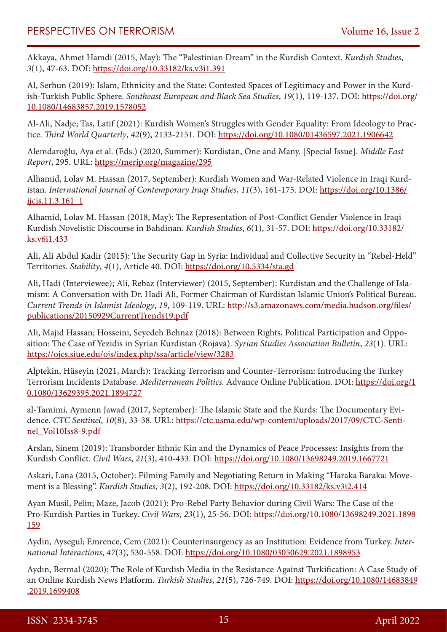Akkaya, Ahmet Hamdi (2015, May): The "Palestinian Dream" in the Kurdish Context. *Kurdish Studies*, *3*(1), 47-63. DOI: <https://doi.org/10.33182/ks.v3i1.391>

Al, Serhun (2019): Islam, Ethnicity and the State: Contested Spaces of Legitimacy and Power in the Kurdish-Turkish Public Sphere. *Southeast European and Black Sea Studies*, *19*(1), 119-137. DOI: [https://doi.org/](https://doi.org/10.1080/14683857.2019.1578052) [10.1080/14683857.2019.1578052](https://doi.org/10.1080/14683857.2019.1578052)

Al-Ali, Nadje; Tas, Latif (2021): Kurdish Women's Struggles with Gender Equality: From Ideology to Practice. *Third World Quarterly*, *42*(9), 2133-2151. DOI: <https://doi.org/10.1080/01436597.2021.1906642>

Alemdaroğlu, Aya et al. (Eds.) (2020, Summer): Kurdistan, One and Many. [Special Issue]. *Middle East Report*, 295. URL:<https://merip.org/magazine/295>

Alhamid, Lolav M. Hassan (2017, September): Kurdish Women and War-Related Violence in Iraqi Kurdistan. *International Journal of Contemporary Iraqi Studies*, *11*(3), 161-175. DOI: [https://doi.org/10.1386/](https://doi.org/10.1386/ijcis.11.3.161_1) [ijcis.11.3.161\\_1](https://doi.org/10.1386/ijcis.11.3.161_1)

Alhamid, Lolav M. Hassan (2018, May): The Representation of Post-Conflict Gender Violence in Iraqi Kurdish Novelistic Discourse in Bahdinan. *Kurdish Studies*, *6*(1), 31-57. DOI: [https://doi.org/10.33182/](https://doi.org/10.33182/ks.v6i1.433) [ks.v6i1.433](https://doi.org/10.33182/ks.v6i1.433)

Ali, Ali Abdul Kadir (2015): The Security Gap in Syria: Individual and Collective Security in "Rebel-Held" Territories. *Stability*, *4*(1), Article 40. DOI: <https://doi.org/10.5334/sta.gd>

Ali, Hadi (Interviewee); Ali, Rebaz (Interviewer) (2015, September): Kurdistan and the Challenge of Islamism: A Conversation with Dr. Hadi Ali, Former Chairman of Kurdistan Islamic Union's Political Bureau. *Current Trends in Islamist Ideology*, *19*, 109-119. URL: [http://s3.amazonaws.com/media.hudson.org/files/](http://s3.amazonaws.com/media.hudson.org/files/publications/20150929CurrentTrends19.pdf) [publications/20150929CurrentTrends19.pdf](http://s3.amazonaws.com/media.hudson.org/files/publications/20150929CurrentTrends19.pdf)

Ali, Majid Hassan; Hosseini, Seyedeh Behnaz (2018): Between Rights, Political Participation and Opposition: The Case of Yezidis in Syrian Kurdistan (Rojāvā). *Syrian Studies Association Bulletin*, *23*(1). URL: <https://ojcs.siue.edu/ojs/index.php/ssa/article/view/3283>

Alptekin, Hüseyin (2021, March): Tracking Terrorism and Counter-Terrorism: Introducing the Turkey Terrorism Incidents Database. *Mediterranean Politics.* Advance Online Publication. DOI: [https://doi.org/1](https://doi.org/10.1080/13629395.2021.1894727) [0.1080/13629395.2021.1894727](https://doi.org/10.1080/13629395.2021.1894727)

al-Tamimi, Aymenn Jawad (2017, September): The Islamic State and the Kurds: The Documentary Evidence. *CTC Sentinel*, *10*(8), 33-38. URL: [https://ctc.usma.edu/wp-content/uploads/2017/09/CTC-Senti](https://ctc.usma.edu/wp-content/uploads/2017/09/CTC-Sentinel_Vol10Iss8-9.pdf)[nel\\_Vol10Iss8-9.pdf](https://ctc.usma.edu/wp-content/uploads/2017/09/CTC-Sentinel_Vol10Iss8-9.pdf)

Arslan, Sinem (2019): Transborder Ethnic Kin and the Dynamics of Peace Processes: Insights from the Kurdish Conflict. *Civil Wars*, *21*(3), 410-433. DOI:<https://doi.org/10.1080/13698249.2019.1667721>

Askari, Lana (2015, October): Filming Family and Negotiating Return in Making "Haraka Baraka: Movement is a Blessing". *Kurdish Studies*, *3*(2), 192-208. DOI:<https://doi.org/10.33182/ks.v3i2.414>

Ayan Musil, Pelin; Maze, Jacob (2021): Pro-Rebel Party Behavior during Civil Wars: The Case of the Pro-Kurdish Parties in Turkey. *Civil Wars*, *23*(1), 25-56. DOI: [https://doi.org/10.1080/13698249.2021.1898](https://doi.org/10.1080/13698249.2021.1898159) [159](https://doi.org/10.1080/13698249.2021.1898159)

Aydin, Aysegul; Emrence, Cem (2021): Counterinsurgency as an Institution: Evidence from Turkey. *International Interactions*, *47*(3), 530-558. DOI: <https://doi.org/10.1080/03050629.2021.1898953>

Aydın, Bermal (2020): The Role of Kurdish Media in the Resistance Against Turkification: A Case Study of an Online Kurdish News Platform. *Turkish Studies*, *21*(5), 726-749. DOI: [https://doi.org/10.1080/14683849](https://doi.org/10.1080/14683849.2019.1699408) [.2019.1699408](https://doi.org/10.1080/14683849.2019.1699408)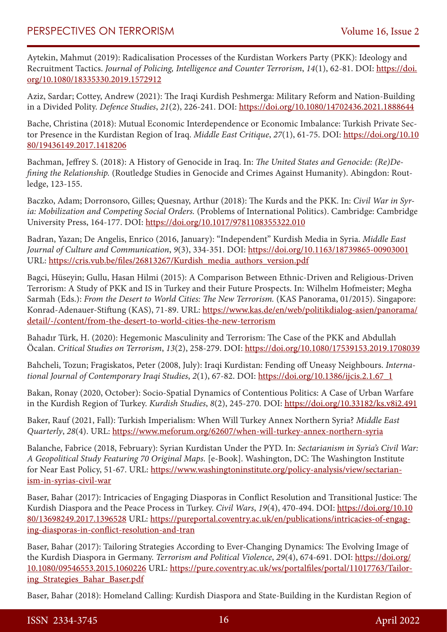Aytekin, Mahmut (2019): Radicalisation Processes of the Kurdistan Workers Party (PKK): Ideology and Recruitment Tactics. *Journal of Policing, Intelligence and Counter Terrorism*, *14*(1), 62-81. DOI: [https://doi.](https://doi.org/10.1080/18335330.2019.1572912) [org/10.1080/18335330.2019.1572912](https://doi.org/10.1080/18335330.2019.1572912)

Aziz, Sardar; Cottey, Andrew (2021): The Iraqi Kurdish Peshmerga: Military Reform and Nation-Building in a Divided Polity. *Defence Studies*, *21*(2), 226-241. DOI:<https://doi.org/10.1080/14702436.2021.1888644>

Bache, Christina (2018): Mutual Economic Interdependence or Economic Imbalance: Turkish Private Sector Presence in the Kurdistan Region of Iraq. *Middle East Critique*, *27*(1), 61-75. DOI: [https://doi.org/10.10](https://doi.org/10.1080/19436149.2017.1418206) [80/19436149.2017.1418206](https://doi.org/10.1080/19436149.2017.1418206)

Bachman, Jeffrey S. (2018): A History of Genocide in Iraq. In: *The United States and Genocide: (Re)Defining the Relationship.* (Routledge Studies in Genocide and Crimes Against Humanity). Abingdon: Routledge, 123-155.

Baczko, Adam; Dorronsoro, Gilles; Quesnay, Arthur (2018): The Kurds and the PKK. In: *Civil War in Syria: Mobilization and Competing Social Orders.* (Problems of International Politics). Cambridge: Cambridge University Press, 164-177. DOI: <https://doi.org/10.1017/9781108355322.010>

Badran, Yazan; De Angelis, Enrico (2016, January): "Independent" Kurdish Media in Syria. *Middle East Journal of Culture and Communication*, *9*(3), 334-351. DOI:<https://doi.org/10.1163/18739865-00903001> URL: [https://cris.vub.be/files/26813267/Kurdish\\_media\\_authors\\_version.pdf](https://cris.vub.be/files/26813267/Kurdish_media_authors_version.pdf)

Bagci, Hüseyin; Gullu, Hasan Hilmi (2015): A Comparison Between Ethnic-Driven and Religious-Driven Terrorism: A Study of PKK and IS in Turkey and their Future Prospects. In: Wilhelm Hofmeister; Megha Sarmah (Eds.): *From the Desert to World Cities: The New Terrorism.* (KAS Panorama, 01/2015). Singapore: Konrad-Adenauer-Stiftung (KAS), 71-89. URL: [https://www.kas.de/en/web/politikdialog-asien/panorama/](https://www.kas.de/en/web/politikdialog-asien/panorama/detail/-/content/from-the-desert-to-world-cities-the-new-terrorism) [detail/-/content/from-the-desert-to-world-cities-the-new-terrorism](https://www.kas.de/en/web/politikdialog-asien/panorama/detail/-/content/from-the-desert-to-world-cities-the-new-terrorism)

Bahadır Türk, H. (2020): Hegemonic Masculinity and Terrorism: The Case of the PKK and Abdullah Öcalan. *Critical Studies on Terrorism*, *13*(2), 258-279. DOI:<https://doi.org/10.1080/17539153.2019.1708039>

Bahcheli, Tozun; Fragiskatos, Peter (2008, July): Iraqi Kurdistan: Fending off Uneasy Neighbours. *International Journal of Contemporary Iraqi Studies*, *2*(1), 67-82. DOI: [https://doi.org/10.1386/ijcis.2.1.67\\_1](https://doi.org/10.1386/ijcis.2.1.67_1)

Bakan, Ronay (2020, October): Socio-Spatial Dynamics of Contentious Politics: A Case of Urban Warfare in the Kurdish Region of Turkey. *Kurdish Studies*, *8*(2), 245-270. DOI:<https://doi.org/10.33182/ks.v8i2.491>

Baker, Rauf (2021, Fall): Turkish Imperialism: When Will Turkey Annex Northern Syria? *Middle East Quarterly*, *28*(4). URL: <https://www.meforum.org/62607/when-will-turkey-annex-northern-syria>

Balanche, Fabrice (2018, February): Syrian Kurdistan Under the PYD. In: *Sectarianism in Syria's Civil War: A Geopolitical Study Featuring 70 Original Maps.* [e-Book]. Washington, DC: The Washington Institute for Near East Policy, 51-67. URL: [https://www.washingtoninstitute.org/policy-analysis/view/sectarian](https://www.washingtoninstitute.org/policy-analysis/view/sectarianism-in-syrias-civil-war)[ism-in-syrias-civil-war](https://www.washingtoninstitute.org/policy-analysis/view/sectarianism-in-syrias-civil-war)

Baser, Bahar (2017): Intricacies of Engaging Diasporas in Conflict Resolution and Transitional Justice: The Kurdish Diaspora and the Peace Process in Turkey. *Civil Wars*, *19*(4), 470-494. DOI: [https://doi.org/10.10](https://doi.org/10.1080/13698249.2017.1396528) [80/13698249.2017.1396528](https://doi.org/10.1080/13698249.2017.1396528) URL: [https://pureportal.coventry.ac.uk/en/publications/intricacies-of-engag](https://pureportal.coventry.ac.uk/en/publications/intricacies-of-engaging-diasporas-in-conflict-resolution-and-tran)[ing-diasporas-in-conflict-resolution-and-tran](https://pureportal.coventry.ac.uk/en/publications/intricacies-of-engaging-diasporas-in-conflict-resolution-and-tran)

Baser, Bahar (2017): Tailoring Strategies According to Ever-Changing Dynamics: The Evolving Image of the Kurdish Diaspora in Germany. *Terrorism and Political Violence*, *29*(4), 674-691. DOI: [https://doi.org/](https://doi.org/10.1080/09546553.2015.1060226) [10.1080/09546553.2015.1060226](https://doi.org/10.1080/09546553.2015.1060226) URL: [https://pure.coventry.ac.uk/ws/portalfiles/portal/11017763/Tailor](https://pure.coventry.ac.uk/ws/portalfiles/portal/11017763/Tailoring_Strategies_Bahar_Baser.pdf)[ing\\_Strategies\\_Bahar\\_Baser.pdf](https://pure.coventry.ac.uk/ws/portalfiles/portal/11017763/Tailoring_Strategies_Bahar_Baser.pdf)

Baser, Bahar (2018): Homeland Calling: Kurdish Diaspora and State-Building in the Kurdistan Region of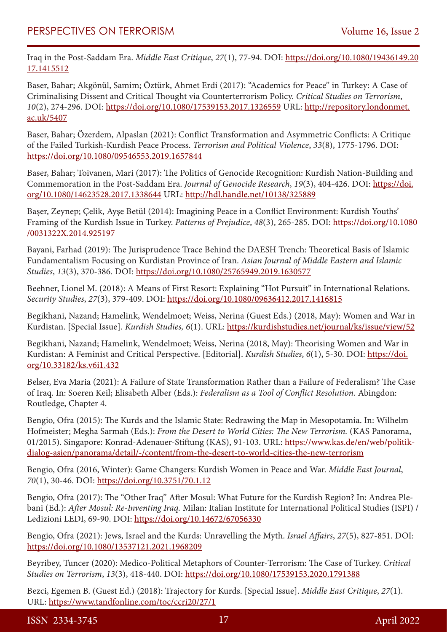Iraq in the Post-Saddam Era. *Middle East Critique*, *27*(1), 77-94. DOI: [https://doi.org/10.1080/19436149.20](https://doi.org/10.1080/19436149.2017.1415512) [17.1415512](https://doi.org/10.1080/19436149.2017.1415512)

Baser, Bahar; Akgönül, Samim; Öztürk, Ahmet Erdi (2017): "Academics for Peace" in Turkey: A Case of Criminalising Dissent and Critical Thought via Counterterrorism Policy. *Critical Studies on Terrorism*, *10*(2), 274-296. DOI: <https://doi.org/10.1080/17539153.2017.1326559> URL: [http://repository.londonmet.](http://repository.londonmet.ac.uk/5407) [ac.uk/5407](http://repository.londonmet.ac.uk/5407)

Baser, Bahar; Özerdem, Alpaslan (2021): Conflict Transformation and Asymmetric Conflicts: A Critique of the Failed Turkish-Kurdish Peace Process. *Terrorism and Political Violence*, *33*(8), 1775-1796. DOI: <https://doi.org/10.1080/09546553.2019.1657844>

Baser, Bahar; Toivanen, Mari (2017): The Politics of Genocide Recognition: Kurdish Nation-Building and Commemoration in the Post-Saddam Era. *Journal of Genocide Research*, *19*(3), 404-426. DOI: [https://doi.](https://doi.org/10.1080/14623528.2017.1338644) [org/10.1080/14623528.2017.1338644](https://doi.org/10.1080/14623528.2017.1338644) URL: <http://hdl.handle.net/10138/325889>

Başer, Zeynep; Çelik, Ayşe Betül (2014): Imagining Peace in a Conflict Environment: Kurdish Youths' Framing of the Kurdish Issue in Turkey. *Patterns of Prejudice*, *48*(3), 265-285. DOI: [https://doi.org/10.1080](https://doi.org/10.1080/0031322X.2014.925197) [/0031322X.2014.925197](https://doi.org/10.1080/0031322X.2014.925197)

Bayani, Farhad (2019): The Jurisprudence Trace Behind the DAESH Trench: Theoretical Basis of Islamic Fundamentalism Focusing on Kurdistan Province of Iran. *Asian Journal of Middle Eastern and Islamic Studies*, *13*(3), 370-386. DOI:<https://doi.org/10.1080/25765949.2019.1630577>

Beehner, Lionel M. (2018): A Means of First Resort: Explaining "Hot Pursuit" in International Relations. *Security Studies*, *27*(3), 379-409. DOI: <https://doi.org/10.1080/09636412.2017.1416815>

Begikhani, Nazand; Hamelink, Wendelmoet; Weiss, Nerina (Guest Eds.) (2018, May): Women and War in Kurdistan. [Special Issue]. *Kurdish Studies, 6*(1). URL:<https://kurdishstudies.net/journal/ks/issue/view/52>

Begikhani, Nazand; Hamelink, Wendelmoet; Weiss, Nerina (2018, May): Theorising Women and War in Kurdistan: A Feminist and Critical Perspective. [Editorial]. *Kurdish Studies*, *6*(1), 5-30. DOI: [https://doi.](https://doi.org/10.33182/ks.v6i1.432) [org/10.33182/ks.v6i1.432](https://doi.org/10.33182/ks.v6i1.432)

Belser, Eva Maria (2021): A Failure of State Transformation Rather than a Failure of Federalism? The Case of Iraq. In: Soeren Keil; Elisabeth Alber (Eds.): *Federalism as a Tool of Conflict Resolution.* Abingdon: Routledge, Chapter 4.

Bengio, Ofra (2015): The Kurds and the Islamic State: Redrawing the Map in Mesopotamia. In: Wilhelm Hofmeister; Megha Sarmah (Eds.): *From the Desert to World Cities: The New Terrorism.* (KAS Panorama, 01/2015). Singapore: Konrad-Adenauer-Stiftung (KAS), 91-103. URL: [https://www.kas.de/en/web/politik](https://www.kas.de/en/web/politikdialog-asien/panorama/detail/-/content/from-the-desert-to-world-cities-the-new-terrorism)[dialog-asien/panorama/detail/-/content/from-the-desert-to-world-cities-the-new-terrorism](https://www.kas.de/en/web/politikdialog-asien/panorama/detail/-/content/from-the-desert-to-world-cities-the-new-terrorism)

Bengio, Ofra (2016, Winter): Game Changers: Kurdish Women in Peace and War. *Middle East Journal*, *70*(1), 30-46. DOI:<https://doi.org/10.3751/70.1.12>

Bengio, Ofra (2017): The "Other Iraq" After Mosul: What Future for the Kurdish Region? In: Andrea Plebani (Ed.): *After Mosul: Re-Inventing Iraq.* Milan: Italian Institute for International Political Studies (ISPI) / Ledizioni LEDI, 69-90. DOI: <https://doi.org/10.14672/67056330>

Bengio, Ofra (2021): Jews, Israel and the Kurds: Unravelling the Myth. *Israel Affairs*, *27*(5), 827-851. DOI: <https://doi.org/10.1080/13537121.2021.1968209>

Beyribey, Tuncer (2020): Medico-Political Metaphors of Counter-Terrorism: The Case of Turkey. *Critical Studies on Terrorism*, *13*(3), 418-440. DOI: <https://doi.org/10.1080/17539153.2020.1791388>

Bezci, Egemen B. (Guest Ed.) (2018): Trajectory for Kurds. [Special Issue]. *Middle East Critique*, *27*(1). URL: <https://www.tandfonline.com/toc/ccri20/27/1>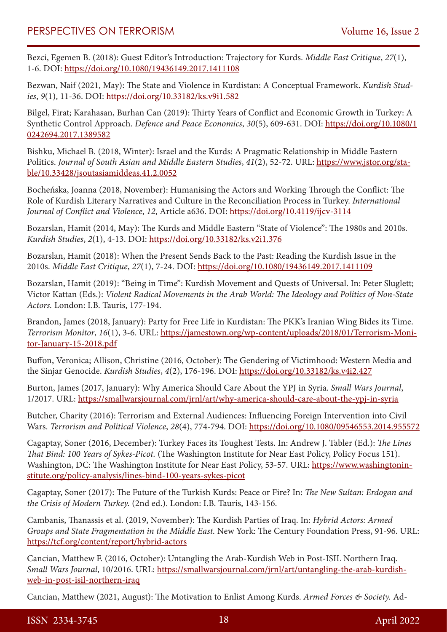Bezci, Egemen B. (2018): Guest Editor's Introduction: Trajectory for Kurds. *Middle East Critique*, *27*(1), 1-6. DOI: <https://doi.org/10.1080/19436149.2017.1411108>

Bezwan, Naif (2021, May): The State and Violence in Kurdistan: A Conceptual Framework. *Kurdish Studies*, *9*(1), 11-36. DOI: <https://doi.org/10.33182/ks.v9i1.582>

Bilgel, Firat; Karahasan, Burhan Can (2019): Thirty Years of Conflict and Economic Growth in Turkey: A Synthetic Control Approach. *Defence and Peace Economics*, *30*(5), 609-631. DOI: [https://doi.org/10.1080/1](https://doi.org/10.1080/10242694.2017.1389582) [0242694.2017.1389582](https://doi.org/10.1080/10242694.2017.1389582)

Bishku, Michael B. (2018, Winter): Israel and the Kurds: A Pragmatic Relationship in Middle Eastern Politics. *Journal of South Asian and Middle Eastern Studies*, *41*(2), 52-72. URL: [https://www.jstor.org/sta](https://www.jstor.org/stable/10.33428/jsoutasiamiddeas.41.2.0052)[ble/10.33428/jsoutasiamiddeas.41.2.0052](https://www.jstor.org/stable/10.33428/jsoutasiamiddeas.41.2.0052)

Bocheńska, Joanna (2018, November): Humanising the Actors and Working Through the Conflict: The Role of Kurdish Literary Narratives and Culture in the Reconciliation Process in Turkey. *International Journal of Conflict and Violence*, *12*, Article a636. DOI:<https://doi.org/10.4119/ijcv-3114>

Bozarslan, Hamit (2014, May): The Kurds and Middle Eastern "State of Violence": The 1980s and 2010s. *Kurdish Studies*, *2*(1), 4-13. DOI: <https://doi.org/10.33182/ks.v2i1.376>

Bozarslan, Hamit (2018): When the Present Sends Back to the Past: Reading the Kurdish Issue in the 2010s. *Middle East Critique*, *27*(1), 7-24. DOI:<https://doi.org/10.1080/19436149.2017.1411109>

Bozarslan, Hamit (2019): "Being in Time": Kurdish Movement and Quests of Universal. In: Peter Sluglett; Victor Kattan (Eds.): *Violent Radical Movements in the Arab World: The Ideology and Politics of Non-State Actors.* London: I.B. Tauris, 177-194.

Brandon, James (2018, January): Party for Free Life in Kurdistan: The PKK's Iranian Wing Bides its Time. *Terrorism Monitor*, *16*(1), 3-6. URL: [https://jamestown.org/wp-content/uploads/2018/01/Terrorism-Moni](https://jamestown.org/wp-content/uploads/2018/01/Terrorism-Monitor-January-15-2018.pdf)[tor-January-15-2018.pdf](https://jamestown.org/wp-content/uploads/2018/01/Terrorism-Monitor-January-15-2018.pdf)

Buffon, Veronica; Allison, Christine (2016, October): The Gendering of Victimhood: Western Media and the Sinjar Genocide. *Kurdish Studies*, *4*(2), 176-196. DOI: <https://doi.org/10.33182/ks.v4i2.427>

Burton, James (2017, January): Why America Should Care About the YPJ in Syria. *Small Wars Journal*, 1/2017. URL: <https://smallwarsjournal.com/jrnl/art/why-america-should-care-about-the-ypj-in-syria>

Butcher, Charity (2016): Terrorism and External Audiences: Influencing Foreign Intervention into Civil Wars. *Terrorism and Political Violence*, *28*(4), 774-794. DOI: <https://doi.org/10.1080/09546553.2014.955572>

Cagaptay, Soner (2016, December): Turkey Faces its Toughest Tests. In: Andrew J. Tabler (Ed.): *The Lines That Bind: 100 Years of Sykes-Picot.* (The Washington Institute for Near East Policy, Policy Focus 151). Washington, DC: The Washington Institute for Near East Policy, 53-57. URL: [https://www.washingtonin](https://www.washingtoninstitute.org/policy-analysis/lines-bind-100-years-sykes-picot)[stitute.org/policy-analysis/lines-bind-100-years-sykes-picot](https://www.washingtoninstitute.org/policy-analysis/lines-bind-100-years-sykes-picot)

Cagaptay, Soner (2017): The Future of the Turkish Kurds: Peace or Fire? In: *The New Sultan: Erdogan and the Crisis of Modern Turkey.* (2nd ed.). London: I.B. Tauris, 143-156.

Cambanis, Thanassis et al. (2019, November): The Kurdish Parties of Iraq. In: *Hybrid Actors: Armed Groups and State Fragmentation in the Middle East.* New York: The Century Foundation Press, 91-96. URL: <https://tcf.org/content/report/hybrid-actors>

Cancian, Matthew F. (2016, October): Untangling the Arab-Kurdish Web in Post-ISIL Northern Iraq. *Small Wars Journal*, 10/2016. URL: [https://smallwarsjournal.com/jrnl/art/untangling-the-arab-kurdish](https://smallwarsjournal.com/jrnl/art/untangling-the-arab-kurdish-web-in-post-isil-northern-iraq)[web-in-post-isil-northern-iraq](https://smallwarsjournal.com/jrnl/art/untangling-the-arab-kurdish-web-in-post-isil-northern-iraq)

Cancian, Matthew (2021, August): The Motivation to Enlist Among Kurds. *Armed Forces & Society.* Ad-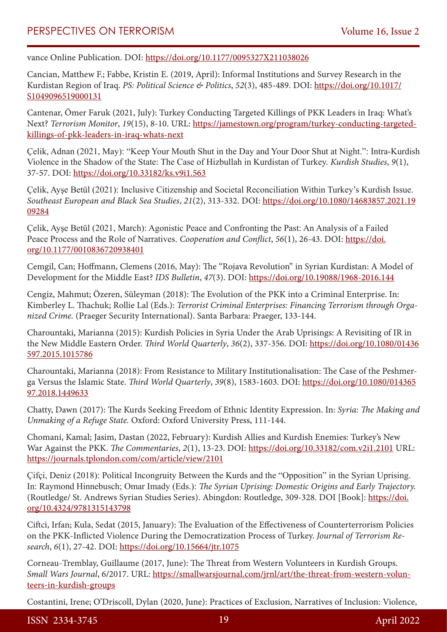vance Online Publication. DOI: <https://doi.org/10.1177/0095327X211038026>

Cancian, Matthew F.; Fabbe, Kristin E. (2019, April): Informal Institutions and Survey Research in the Kurdistan Region of Iraq. *PS: Political Science & Politics*, *52*(3), 485-489. DOI: [https://doi.org/10.1017/](https://doi.org/10.1017/S1049096519000131) [S1049096519000131](https://doi.org/10.1017/S1049096519000131)

Cantenar, Ömer Faruk (2021, July): Turkey Conducting Targeted Killings of PKK Leaders in Iraq: What's Next? *Terrorism Monitor*, *19*(15), 8-10. URL: [https://jamestown.org/program/turkey-conducting-targeted](https://jamestown.org/program/turkey-conducting-targeted-killings-of-pkk-leaders-in-iraq-whats-next)[killings-of-pkk-leaders-in-iraq-whats-next](https://jamestown.org/program/turkey-conducting-targeted-killings-of-pkk-leaders-in-iraq-whats-next)

Çelik, Adnan (2021, May): "Keep Your Mouth Shut in the Day and Your Door Shut at Night.": Intra-Kurdish Violence in the Shadow of the State: The Case of Hizbullah in Kurdistan of Turkey. *Kurdish Studies*, *9*(1), 37-57. DOI: <https://doi.org/10.33182/ks.v9i1.563>

Çelik, Ayşe Betül (2021): Inclusive Citizenship and Societal Reconciliation Within Turkey's Kurdish Issue. *Southeast European and Black Sea Studies*, *21*(2), 313-332. DOI: [https://doi.org/10.1080/14683857.2021.19](https://doi.org/10.1080/14683857.2021.1909284) [09284](https://doi.org/10.1080/14683857.2021.1909284)

Çelik, Ayşe Betül (2021, March): Agonistic Peace and Confronting the Past: An Analysis of a Failed Peace Process and the Role of Narratives. *Cooperation and Conflict*, *56*(1), 26-43. DOI: [https://doi.](https://doi.org/10.1177/0010836720938401) [org/10.1177/0010836720938401](https://doi.org/10.1177/0010836720938401)

Cemgil, Can; Hoffmann, Clemens (2016, May): The "Rojava Revolution" in Syrian Kurdistan: A Model of Development for the Middle East? *IDS Bulletin*, *47*(3). DOI:<https://doi.org/10.19088/1968-2016.144>

Cengiz, Mahmut; Özeren, Süleyman (2018): The Evolution of the PKK into a Criminal Enterprise. In: Kimberley L. Thachuk; Rollie Lal (Eds.): *Terrorist Criminal Enterprises: Financing Terrorism through Organized Crime.* (Praeger Security International). Santa Barbara: Praeger, 133-144.

Charountaki, Marianna (2015): Kurdish Policies in Syria Under the Arab Uprisings: A Revisiting of IR in the New Middle Eastern Order. *Third World Quarterly*, *36*(2), 337-356. DOI: [https://doi.org/10.1080/01436](https://doi.org/10.1080/01436597.2015.1015786) [597.2015.1015786](https://doi.org/10.1080/01436597.2015.1015786)

Charountaki, Marianna (2018): From Resistance to Military Institutionalisation: The Case of the Peshmerga Versus the Islamic State. *Third World Quarterly*, *39*(8), 1583-1603. DOI: [https://doi.org/10.1080/014365](https://doi.org/10.1080/01436597.2018.1449633) [97.2018.1449633](https://doi.org/10.1080/01436597.2018.1449633)

Chatty, Dawn (2017): The Kurds Seeking Freedom of Ethnic Identity Expression. In: *Syria: The Making and Unmaking of a Refuge State.* Oxford: Oxford University Press, 111-144.

Chomani, Kamal; Jasim, Dastan (2022, February): Kurdish Allies and Kurdish Enemies: Turkey's New War Against the PKK. *The Commentaries*, *2*(1), 13-23. DOI: <https://doi.org/10.33182/com.v2i1.2101> URL: <https://journals.tplondon.com/com/article/view/2101>

Çifçi, Deniz (2018): Political Incongruity Between the Kurds and the "Opposition" in the Syrian Uprising. In: Raymond Hinnebusch; Omar Imady (Eds.): *The Syrian Uprising: Domestic Origins and Early Trajectory.* (Routledge/ St. Andrews Syrian Studies Series). Abingdon: Routledge, 309-328. DOI [Book]: [https://doi.](https://doi.org/10.4324/9781315143798) [org/10.4324/9781315143798](https://doi.org/10.4324/9781315143798)

Ciftci, Irfan; Kula, Sedat (2015, January): The Evaluation of the Effectiveness of Counterterrorism Policies on the PKK-Inflicted Violence During the Democratization Process of Turkey. *Journal of Terrorism Research*, *6*(1), 27-42. DOI:<https://doi.org/10.15664/jtr.1075>

Corneau-Tremblay, Guillaume (2017, June): The Threat from Western Volunteers in Kurdish Groups. *Small Wars Journal*, 6/2017. URL: [https://smallwarsjournal.com/jrnl/art/the-threat-from-western-volun](https://smallwarsjournal.com/jrnl/art/the-threat-from-western-volunteers-in-kurdish-groups)[teers-in-kurdish-groups](https://smallwarsjournal.com/jrnl/art/the-threat-from-western-volunteers-in-kurdish-groups)

Costantini, Irene; O'Driscoll, Dylan (2020, June): Practices of Exclusion, Narratives of Inclusion: Violence,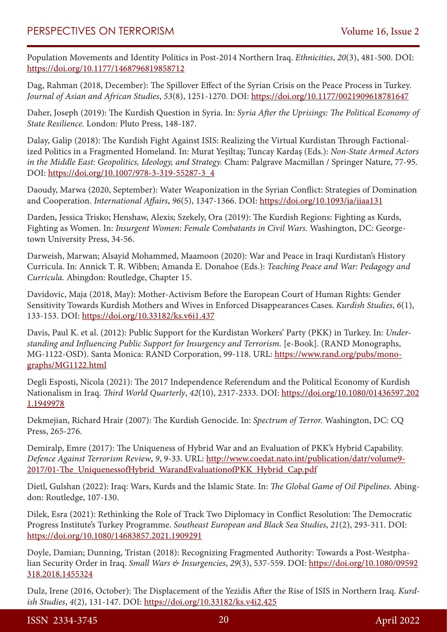Population Movements and Identity Politics in Post-2014 Northern Iraq. *Ethnicities*, *20*(3), 481-500. DOI: <https://doi.org/10.1177/1468796819858712>

Dag, Rahman (2018, December): The Spillover Effect of the Syrian Crisis on the Peace Process in Turkey. *Journal of Asian and African Studies*, *53*(8), 1251-1270. DOI: <https://doi.org/10.1177/0021909618781647>

Daher, Joseph (2019): The Kurdish Question in Syria. In: *Syria After the Uprisings: The Political Economy of State Resilience.* London: Pluto Press, 148-187.

Dalay, Galip (2018): The Kurdish Fight Against ISIS: Realizing the Virtual Kurdistan Through Factionalized Politics in a Fragmented Homeland. In: Murat Yeşiltaş; Tuncay Kardaş (Eds.): *Non-State Armed Actors in the Middle East: Geopolitics, Ideology, and Strategy.* Cham: Palgrave Macmillan / Springer Nature, 77-95. DOI: [https://doi.org/10.1007/978-3-319-55287-3\\_4](https://doi.org/10.1007/978-3-319-55287-3_4)

Daoudy, Marwa (2020, September): Water Weaponization in the Syrian Conflict: Strategies of Domination and Cooperation. *International Affairs*, *96*(5), 1347-1366. DOI: <https://doi.org/10.1093/ia/iiaa131>

Darden, Jessica Trisko; Henshaw, Alexis; Szekely, Ora (2019): The Kurdish Regions: Fighting as Kurds, Fighting as Women. In: *Insurgent Women: Female Combatants in Civil Wars.* Washington, DC: Georgetown University Press, 34-56.

Darweish, Marwan; Alsayid Mohammed, Maamoon (2020): War and Peace in Iraqi Kurdistan's History Curricula. In: Annick T. R. Wibben; Amanda E. Donahoe (Eds.): *Teaching Peace and War: Pedagogy and Curricula.* Abingdon: Routledge, Chapter 15.

Davidovic, Maja (2018, May): Mother-Activism Before the European Court of Human Rights: Gender Sensitivity Towards Kurdish Mothers and Wives in Enforced Disappearances Cases. *Kurdish Studies*, *6*(1), 133-153. DOI:<https://doi.org/10.33182/ks.v6i1.437>

Davis, Paul K. et al. (2012): Public Support for the Kurdistan Workers' Party (PKK) in Turkey. In: *Understanding and Influencing Public Support for Insurgency and Terrorism.* [e-Book]. (RAND Monographs, MG-1122-OSD). Santa Monica: RAND Corporation, 99-118. URL: [https://www.rand.org/pubs/mono](https://www.rand.org/pubs/monographs/MG1122.html)[graphs/MG1122.html](https://www.rand.org/pubs/monographs/MG1122.html)

Degli Esposti, Nicola (2021): The 2017 Independence Referendum and the Political Economy of Kurdish Nationalism in Iraq. *Third World Quarterly*, *42*(10), 2317-2333. DOI: [https://doi.org/10.1080/01436597.202](https://doi.org/10.1080/01436597.2021.1949978) [1.1949978](https://doi.org/10.1080/01436597.2021.1949978)

Dekmejian, Richard Hrair (2007): The Kurdish Genocide. In: *Spectrum of Terror.* Washington, DC: CQ Press, 265-276.

Demiralp, Emre (2017): The Uniqueness of Hybrid War and an Evaluation of PKK's Hybrid Capability. *Defence Against Terrorism Review*, *9*, 9-33. URL: [http://www.coedat.nato.int/publication/datr/volume9-](http://www.coedat.nato.int/publication/datr/volume9-2017/01-The_UniquenessofHybrid_WarandEvaluationofPKK_Hybrid_Cap.pdf) [2017/01-The\\_UniquenessofHybrid\\_WarandEvaluationofPKK\\_Hybrid\\_Cap.pdf](http://www.coedat.nato.int/publication/datr/volume9-2017/01-The_UniquenessofHybrid_WarandEvaluationofPKK_Hybrid_Cap.pdf)

Dietl, Gulshan (2022): Iraq: Wars, Kurds and the Islamic State. In: *The Global Game of Oil Pipelines.* Abingdon: Routledge, 107-130.

Dilek, Esra (2021): Rethinking the Role of Track Two Diplomacy in Conflict Resolution: The Democratic Progress Institute's Turkey Programme. *Southeast European and Black Sea Studies*, *21*(2), 293-311. DOI: <https://doi.org/10.1080/14683857.2021.1909291>

Doyle, Damian; Dunning, Tristan (2018): Recognizing Fragmented Authority: Towards a Post-Westphalian Security Order in Iraq. *Small Wars & Insurgencies*, *29*(3), 537-559. DOI: [https://doi.org/10.1080/09592](https://doi.org/10.1080/09592318.2018.1455324) [318.2018.1455324](https://doi.org/10.1080/09592318.2018.1455324)

Dulz, Irene (2016, October): The Displacement of the Yezidis After the Rise of ISIS in Northern Iraq. *Kurdish Studies*, *4*(2), 131-147. DOI: <https://doi.org/10.33182/ks.v4i2.425>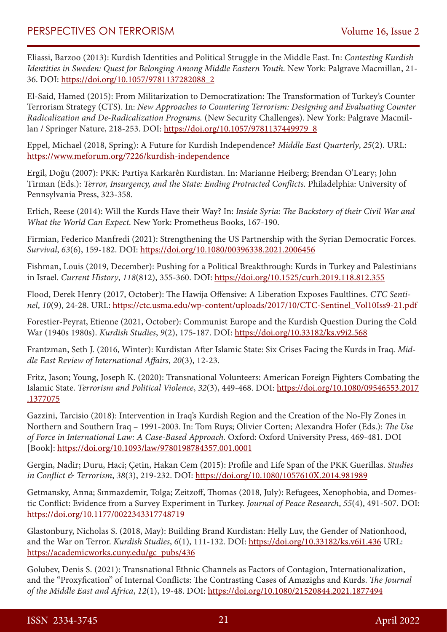Eliassi, Barzoo (2013): Kurdish Identities and Political Struggle in the Middle East. In: *Contesting Kurdish Identities in Sweden: Quest for Belonging Among Middle Eastern Youth.* New York: Palgrave Macmillan, 21- 36. DOI: [https://doi.org/10.1057/9781137282088\\_2](https://doi.org/10.1057/9781137282088_2)

El-Said, Hamed (2015): From Militarization to Democratization: The Transformation of Turkey's Counter Terrorism Strategy (CTS). In: *New Approaches to Countering Terrorism: Designing and Evaluating Counter Radicalization and De-Radicalization Programs.* (New Security Challenges). New York: Palgrave Macmillan / Springer Nature, 218-253. DOI: [https://doi.org/10.1057/9781137449979\\_8](https://doi.org/10.1057/9781137449979_8)

Eppel, Michael (2018, Spring): A Future for Kurdish Independence? *Middle East Quarterly*, *25*(2). URL: <https://www.meforum.org/7226/kurdish-independence>

Ergil, Doğu (2007): PKK: Partiya Karkarên Kurdistan. In: Marianne Heiberg; Brendan O'Leary; John Tirman (Eds.): *Terror, Insurgency, and the State: Ending Protracted Conflicts.* Philadelphia: University of Pennsylvania Press, 323-358.

Erlich, Reese (2014): Will the Kurds Have their Way? In: *Inside Syria: The Backstory of their Civil War and What the World Can Expect.* New York: Prometheus Books, 167-190.

Firmian, Federico Manfredi (2021): Strengthening the US Partnership with the Syrian Democratic Forces. *Survival*, *63*(6), 159-182. DOI: <https://doi.org/10.1080/00396338.2021.2006456>

Fishman, Louis (2019, December): Pushing for a Political Breakthrough: Kurds in Turkey and Palestinians in Israel. *Current History*, *118*(812), 355-360. DOI: <https://doi.org/10.1525/curh.2019.118.812.355>

Flood, Derek Henry (2017, October): The Hawija Offensive: A Liberation Exposes Faultlines. *CTC Sentinel*, *10*(9), 24-28. URL: [https://ctc.usma.edu/wp-content/uploads/2017/10/CTC-Sentinel\\_Vol10Iss9-21.pdf](https://ctc.usma.edu/wp-content/uploads/2017/10/CTC-Sentinel_Vol10Iss9-21.pdf)

Forestier-Peyrat, Etienne (2021, October): Communist Europe and the Kurdish Question During the Cold War (1940s 1980s). *Kurdish Studies*, *9*(2), 175-187. DOI: <https://doi.org/10.33182/ks.v9i2.568>

Frantzman, Seth J. (2016, Winter): Kurdistan After Islamic State: Six Crises Facing the Kurds in Iraq. *Middle East Review of International Affairs*, *20*(3), 12-23.

Fritz, Jason; Young, Joseph K. (2020): Transnational Volunteers: American Foreign Fighters Combating the Islamic State. *Terrorism and Political Violence*, *32*(3), 449-468. DOI: [https://doi.org/10.1080/09546553.2017](https://doi.org/10.1080/09546553.2017.1377075) [.1377075](https://doi.org/10.1080/09546553.2017.1377075)

Gazzini, Tarcisio (2018): Intervention in Iraq's Kurdish Region and the Creation of the No-Fly Zones in Northern and Southern Iraq – 1991-2003. In: Tom Ruys; Olivier Corten; Alexandra Hofer (Eds.): *The Use of Force in International Law: A Case-Based Approach.* Oxford: Oxford University Press, 469-481. DOI [Book]:<https://doi.org/10.1093/law/9780198784357.001.0001>

Gergin, Nadir; Duru, Haci; Çetin, Hakan Cem (2015): Profile and Life Span of the PKK Guerillas. *Studies in Conflict & Terrorism*, *38*(3), 219-232. DOI:<https://doi.org/10.1080/1057610X.2014.981989>

Getmansky, Anna; Sınmazdemir, Tolga; Zeitzoff, Thomas (2018, July): Refugees, Xenophobia, and Domestic Conflict: Evidence from a Survey Experiment in Turkey. *Journal of Peace Research*, *55*(4), 491-507. DOI: <https://doi.org/10.1177/0022343317748719>

Glastonbury, Nicholas S. (2018, May): Building Brand Kurdistan: Helly Luv, the Gender of Nationhood, and the War on Terror. *Kurdish Studies*, *6*(1), 111-132. DOI:<https://doi.org/10.33182/ks.v6i1.436>URL: [https://academicworks.cuny.edu/gc\\_pubs/436](https://academicworks.cuny.edu/gc_pubs/436)

Golubev, Denis S. (2021): Transnational Ethnic Channels as Factors of Contagion, Internationalization, and the "Proxyfication" of Internal Conflicts: The Contrasting Cases of Amazighs and Kurds. *The Journal of the Middle East and Africa*, *12*(1), 19-48. DOI: <https://doi.org/10.1080/21520844.2021.1877494>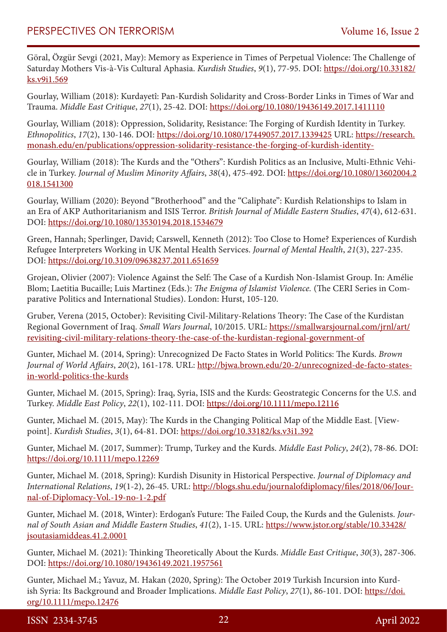Göral, Özgür Sevgi (2021, May): Memory as Experience in Times of Perpetual Violence: The Challenge of Saturday Mothers Vis-à-Vis Cultural Aphasia. *Kurdish Studies*, *9*(1), 77-95. DOI: [https://doi.org/10.33182/](https://doi.org/10.33182/ks.v9i1.569) [ks.v9i1.569](https://doi.org/10.33182/ks.v9i1.569)

Gourlay, William (2018): Kurdayetî: Pan-Kurdish Solidarity and Cross-Border Links in Times of War and Trauma. *Middle East Critique*, *27*(1), 25-42. DOI:<https://doi.org/10.1080/19436149.2017.1411110>

Gourlay, William (2018): Oppression, Solidarity, Resistance: The Forging of Kurdish Identity in Turkey. *Ethnopolitics*, *17*(2), 130-146. DOI:<https://doi.org/10.1080/17449057.2017.1339425> URL: [https://research.](https://research.monash.edu/en/publications/oppression-solidarity-resistance-the-forging-of-kurdish-identity-) [monash.edu/en/publications/oppression-solidarity-resistance-the-forging-of-kurdish-identity-](https://research.monash.edu/en/publications/oppression-solidarity-resistance-the-forging-of-kurdish-identity-)

Gourlay, William (2018): The Kurds and the "Others": Kurdish Politics as an Inclusive, Multi-Ethnic Vehicle in Turkey. *Journal of Muslim Minority Affairs*, *38*(4), 475-492. DOI: [https://doi.org/10.1080/13602004.2](https://doi.org/10.1080/13602004.2018.1541300) [018.1541300](https://doi.org/10.1080/13602004.2018.1541300)

Gourlay, William (2020): Beyond "Brotherhood" and the "Caliphate": Kurdish Relationships to Islam in an Era of AKP Authoritarianism and ISIS Terror. *British Journal of Middle Eastern Studies*, *47*(4), 612-631. DOI:<https://doi.org/10.1080/13530194.2018.1534679>

Green, Hannah; Sperlinger, David; Carswell, Kenneth (2012): Too Close to Home? Experiences of Kurdish Refugee Interpreters Working in UK Mental Health Services. *Journal of Mental Health*, *21*(3), 227-235. DOI:<https://doi.org/10.3109/09638237.2011.651659>

Grojean, Olivier (2007): Violence Against the Self: The Case of a Kurdish Non-Islamist Group. In: Amélie Blom; Laetitia Bucaille; Luis Martinez (Eds.): *The Enigma of Islamist Violence.* (The CERI Series in Comparative Politics and International Studies). London: Hurst, 105-120.

Gruber, Verena (2015, October): Revisiting Civil-Military-Relations Theory: The Case of the Kurdistan Regional Government of Iraq. *Small Wars Journal*, 10/2015. URL: [https://smallwarsjournal.com/jrnl/art/](https://smallwarsjournal.com/jrnl/art/revisiting-civil-military-relations-theory-the-case-of-the-kurdistan-regional-government-of) [revisiting-civil-military-relations-theory-the-case-of-the-kurdistan-regional-government-of](https://smallwarsjournal.com/jrnl/art/revisiting-civil-military-relations-theory-the-case-of-the-kurdistan-regional-government-of)

Gunter, Michael M. (2014, Spring): Unrecognized De Facto States in World Politics: The Kurds. *Brown Journal of World Affairs*, *20*(2), 161-178. URL: [http://bjwa.brown.edu/20-2/unrecognized-de-facto-states](http://bjwa.brown.edu/20-2/unrecognized-de-facto-states-in-world-politics-the-kurds)[in-world-politics-the-kurds](http://bjwa.brown.edu/20-2/unrecognized-de-facto-states-in-world-politics-the-kurds)

Gunter, Michael M. (2015, Spring): Iraq, Syria, ISIS and the Kurds: Geostrategic Concerns for the U.S. and Turkey. *Middle East Policy*, *22*(1), 102-111. DOI:<https://doi.org/10.1111/mepo.12116>

Gunter, Michael M. (2015, May): The Kurds in the Changing Political Map of the Middle East. [Viewpoint]. *Kurdish Studies*, *3*(1), 64-81. DOI: <https://doi.org/10.33182/ks.v3i1.392>

Gunter, Michael M. (2017, Summer): Trump, Turkey and the Kurds. *Middle East Policy*, *24*(2), 78-86. DOI: <https://doi.org/10.1111/mepo.12269>

Gunter, Michael M. (2018, Spring): Kurdish Disunity in Historical Perspective. *Journal of Diplomacy and International Relations*, *19*(1-2), 26-45. URL: [http://blogs.shu.edu/journalofdiplomacy/files/2018/06/Jour](http://blogs.shu.edu/journalofdiplomacy/files/2018/06/Journal-of-Diplomacy-Vol.-19-no-1-2.pdf)[nal-of-Diplomacy-Vol.-19-no-1-2.pdf](http://blogs.shu.edu/journalofdiplomacy/files/2018/06/Journal-of-Diplomacy-Vol.-19-no-1-2.pdf)

Gunter, Michael M. (2018, Winter): Erdogan's Future: The Failed Coup, the Kurds and the Gulenists. *Journal of South Asian and Middle Eastern Studies*, *41*(2), 1-15. URL: [https://www.jstor.org/stable/10.33428/](https://www.jstor.org/stable/10.33428/jsoutasiamiddeas.41.2.0001) [jsoutasiamiddeas.41.2.0001](https://www.jstor.org/stable/10.33428/jsoutasiamiddeas.41.2.0001)

Gunter, Michael M. (2021): Thinking Theoretically About the Kurds. *Middle East Critique*, *30*(3), 287-306. DOI:<https://doi.org/10.1080/19436149.2021.1957561>

Gunter, Michael M.; Yavuz, M. Hakan (2020, Spring): The October 2019 Turkish Incursion into Kurdish Syria: Its Background and Broader Implications. *Middle East Policy*, *27*(1), 86-101. DOI: [https://doi.](https://doi.org/10.1111/mepo.12476) [org/10.1111/mepo.12476](https://doi.org/10.1111/mepo.12476)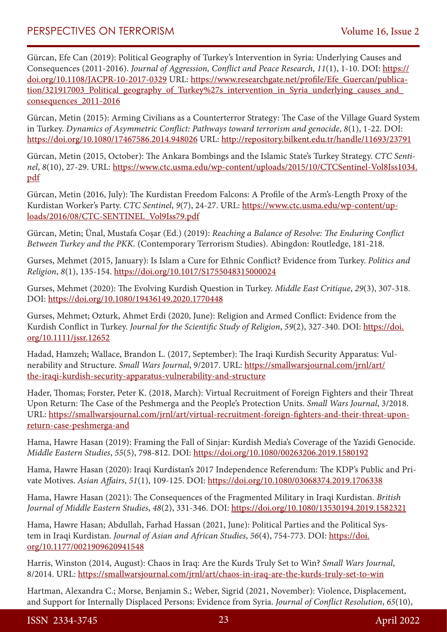Gürcan, Efe Can (2019): Political Geography of Turkey's Intervention in Syria: Underlying Causes and Consequences (2011-2016). *Journal of Aggression, Conflict and Peace Research*, *11*(1), 1-10. DOI: [https://](https://doi.org/10.1108/JACPR-10-2017-0329) [doi.org/10.1108/JACPR-10-2017-0329](https://doi.org/10.1108/JACPR-10-2017-0329) URL: [https://www.researchgate.net/profile/Efe\\_Guercan/publica](https://www.researchgate.net/profile/Efe_Guercan/publication/321917003_Political_geography_of_Turkey%27s_intervention_in_Syria_underlying_causes_and_consequences_2011-2016)tion/321917003 Political geography of Turkey%27s intervention in Syria underlying causes and [consequences\\_2011-2016](https://www.researchgate.net/profile/Efe_Guercan/publication/321917003_Political_geography_of_Turkey%27s_intervention_in_Syria_underlying_causes_and_consequences_2011-2016)

Gürcan, Metin (2015): Arming Civilians as a Counterterror Strategy: The Case of the Village Guard System in Turkey. *Dynamics of Asymmetric Conflict: Pathways toward terrorism and genocide*, *8*(1), 1-22. DOI: <https://doi.org/10.1080/17467586.2014.948026> URL: <http://repository.bilkent.edu.tr/handle/11693/23791>

Gürcan, Metin (2015, October): The Ankara Bombings and the Islamic State's Turkey Strategy. *CTC Sentinel*, *8*(10), 27-29. URL: [https://www.ctc.usma.edu/wp-content/uploads/2015/10/CTCSentinel-Vol8Iss1034.](https://www.ctc.usma.edu/wp-content/uploads/2015/10/CTCSentinel-Vol8Iss1034.pdf) [pdf](https://www.ctc.usma.edu/wp-content/uploads/2015/10/CTCSentinel-Vol8Iss1034.pdf)

Gürcan, Metin (2016, July): The Kurdistan Freedom Falcons: A Profile of the Arm's-Length Proxy of the Kurdistan Worker's Party. *CTC Sentinel*, *9*(7), 24-27. URL: [https://www.ctc.usma.edu/wp-content/up](https://www.ctc.usma.edu/wp-content/uploads/2016/08/CTC-SENTINEL_Vol9Iss79.pdf)[loads/2016/08/CTC-SENTINEL\\_Vol9Iss79.pdf](https://www.ctc.usma.edu/wp-content/uploads/2016/08/CTC-SENTINEL_Vol9Iss79.pdf)

Gürcan, Metin; Ünal, Mustafa Coșar (Ed.) (2019): *Reaching a Balance of Resolve: The Enduring Conflict Between Turkey and the PKK.* (Contemporary Terrorism Studies). Abingdon: Routledge, 181-218.

Gurses, Mehmet (2015, January): Is Islam a Cure for Ethnic Conflict? Evidence from Turkey. *Politics and Religion*, *8*(1), 135-154. <https://doi.org/10.1017/S1755048315000024>

Gurses, Mehmet (2020): The Evolving Kurdish Question in Turkey. *Middle East Critique*, *29*(3), 307-318. DOI:<https://doi.org/10.1080/19436149.2020.1770448>

Gurses, Mehmet; Ozturk, Ahmet Erdi (2020, June): Religion and Armed Conflict: Evidence from the Kurdish Conflict in Turkey. *Journal for the Scientific Study of Religion*, *59*(2), 327-340. DOI: [https://doi.](https://doi.org/10.1111/jssr.12652) [org/10.1111/jssr.12652](https://doi.org/10.1111/jssr.12652)

Hadad, Hamzeh; Wallace, Brandon L. (2017, September): The Iraqi Kurdish Security Apparatus: Vulnerability and Structure. *Small Wars Journal*, 9/2017. URL: [https://smallwarsjournal.com/jrnl/art/](https://smallwarsjournal.com/jrnl/art/the-iraqi-kurdish-security-apparatus-vulnerability-and-structure) [the-iraqi-kurdish-security-apparatus-vulnerability-and-structure](https://smallwarsjournal.com/jrnl/art/the-iraqi-kurdish-security-apparatus-vulnerability-and-structure)

Hader, Thomas; Forster, Peter K. (2018, March): Virtual Recruitment of Foreign Fighters and their Threat Upon Return: The Case of the Peshmerga and the People's Protection Units. *Small Wars Journal*, 3/2018. URL: [https://smallwarsjournal.com/jrnl/art/virtual-recruitment-foreign-fighters-and-their-threat-upon](https://smallwarsjournal.com/jrnl/art/virtual-recruitment-foreign-fighters-and-their-threat-upon-return-case-peshmerga-and)[return-case-peshmerga-and](https://smallwarsjournal.com/jrnl/art/virtual-recruitment-foreign-fighters-and-their-threat-upon-return-case-peshmerga-and)

Hama, Hawre Hasan (2019): Framing the Fall of Sinjar: Kurdish Media's Coverage of the Yazidi Genocide. *Middle Eastern Studies*, *55*(5), 798-812. DOI: <https://doi.org/10.1080/00263206.2019.1580192>

Hama, Hawre Hasan (2020): Iraqi Kurdistan's 2017 Independence Referendum: The KDP's Public and Private Motives. *Asian Affairs*, *51*(1), 109-125. DOI: <https://doi.org/10.1080/03068374.2019.1706338>

Hama, Hawre Hasan (2021): The Consequences of the Fragmented Military in Iraqi Kurdistan. *British Journal of Middle Eastern Studies*, *48*(2), 331-346. DOI:<https://doi.org/10.1080/13530194.2019.1582321>

Hama, Hawre Hasan; Abdullah, Farhad Hassan (2021, June): Political Parties and the Political System in Iraqi Kurdistan. *Journal of Asian and African Studies*, 56(4), 754-773. DOI: [https://doi.](https://doi.org/10.1177/0021909620941548) [org/10.1177/0021909620941548](https://doi.org/10.1177/0021909620941548)

Harris, Winston (2014, August): Chaos in Iraq: Are the Kurds Truly Set to Win? *Small Wars Journal*, 8/2014. URL: <https://smallwarsjournal.com/jrnl/art/chaos-in-iraq-are-the-kurds-truly-set-to-win>

Hartman, Alexandra C.; Morse, Benjamin S.; Weber, Sigrid (2021, November): Violence, Displacement, and Support for Internally Displaced Persons: Evidence from Syria. *Journal of Conflict Resolution*, *65*(10),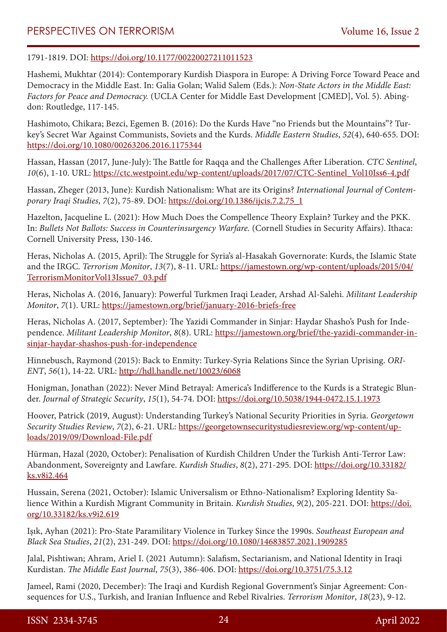1791-1819. DOI: <https://doi.org/10.1177/00220027211011523>

Hashemi, Mukhtar (2014): Contemporary Kurdish Diaspora in Europe: A Driving Force Toward Peace and Democracy in the Middle East. In: Galia Golan; Walid Salem (Eds.): *Non-State Actors in the Middle East: Factors for Peace and Democracy.* (UCLA Center for Middle East Development [CMED], Vol. 5). Abingdon: Routledge, 117-145.

Hashimoto, Chikara; Bezci, Egemen B. (2016): Do the Kurds Have "no Friends but the Mountains"? Turkey's Secret War Against Communists, Soviets and the Kurds. *Middle Eastern Studies*, *52*(4), 640-655. DOI: <https://doi.org/10.1080/00263206.2016.1175344>

Hassan, Hassan (2017, June-July): The Battle for Raqqa and the Challenges After Liberation. *CTC Sentinel*, *10*(6), 1-10. URL: [https://ctc.westpoint.edu/wp-content/uploads/2017/07/CTC-Sentinel\\_Vol10Iss6-4.pdf](https://ctc.westpoint.edu/wp-content/uploads/2017/07/CTC-Sentinel_Vol10Iss6-4.pdf)

Hassan, Zheger (2013, June): Kurdish Nationalism: What are its Origins? *International Journal of Contemporary Iraqi Studies*, *7*(2), 75-89. DOI: [https://doi.org/10.1386/ijcis.7.2.75\\_1](https://doi.org/10.1386/ijcis.7.2.75_1)

Hazelton, Jacqueline L. (2021): How Much Does the Compellence Theory Explain? Turkey and the PKK. In: *Bullets Not Ballots: Success in Counterinsurgency Warfare.* (Cornell Studies in Security Affairs). Ithaca: Cornell University Press, 130-146.

Heras, Nicholas A. (2015, April): The Struggle for Syria's al-Hasakah Governorate: Kurds, the Islamic State and the IRGC. *Terrorism Monitor*, *13*(7), 8-11. URL: [https://jamestown.org/wp-content/uploads/2015/04/](https://jamestown.org/wp-content/uploads/2015/04/TerrorismMonitorVol13Issue7_03.pdf) [TerrorismMonitorVol13Issue7\\_03.pdf](https://jamestown.org/wp-content/uploads/2015/04/TerrorismMonitorVol13Issue7_03.pdf)

Heras, Nicholas A. (2016, January): Powerful Turkmen Iraqi Leader, Arshad Al-Salehi. *Militant Leadership Monitor*, *7*(1). URL: <https://jamestown.org/brief/january-2016-briefs-free>

Heras, Nicholas A. (2017, September): The Yazidi Commander in Sinjar: Haydar Shasho's Push for Independence. *Militant Leadership Monitor*, *8*(8). URL: [https://jamestown.org/brief/the-yazidi-commander-in](https://jamestown.org/brief/the-yazidi-commander-in-sinjar-haydar-shashos-push-for-independence)[sinjar-haydar-shashos-push-for-independence](https://jamestown.org/brief/the-yazidi-commander-in-sinjar-haydar-shashos-push-for-independence)

Hinnebusch, Raymond (2015): Back to Enmity: Turkey-Syria Relations Since the Syrian Uprising. *ORI-ENT*, *56*(1), 14-22. URL: <http://hdl.handle.net/10023/6068>

Honigman, Jonathan (2022): Never Mind Betrayal: America's Indifference to the Kurds is a Strategic Blunder. *Journal of Strategic Security*, *15*(1), 54-74. DOI: <https://doi.org/10.5038/1944-0472.15.1.1973>

Hoover, Patrick (2019, August): Understanding Turkey's National Security Priorities in Syria. *Georgetown Security Studies Review*, *7*(2), 6-21. URL: [https://georgetownsecuritystudiesreview.org/wp-content/up](https://georgetownsecuritystudiesreview.org/wp-content/uploads/2019/09/Download-File.pdf)[loads/2019/09/Download-File.pdf](https://georgetownsecuritystudiesreview.org/wp-content/uploads/2019/09/Download-File.pdf)

Hürman, Hazal (2020, October): Penalisation of Kurdish Children Under the Turkish Anti-Terror Law: Abandonment, Sovereignty and Lawfare. *Kurdish Studies*, *8*(2), 271-295. DOI: [https://doi.org/10.33182/](https://doi.org/10.33182/ks.v8i2.464) [ks.v8i2.464](https://doi.org/10.33182/ks.v8i2.464)

Hussain, Serena (2021, October): Islamic Universalism or Ethno-Nationalism? Exploring Identity Salience Within a Kurdish Migrant Community in Britain. *Kurdish Studies*, *9*(2), 205-221. DOI: [https://doi.](https://doi.org/10.33182/ks.v9i2.619) [org/10.33182/ks.v9i2.619](https://doi.org/10.33182/ks.v9i2.619)

Işık, Ayhan (2021): Pro-State Paramilitary Violence in Turkey Since the 1990s. *Southeast European and Black Sea Studies*, *21*(2), 231-249. DOI: <https://doi.org/10.1080/14683857.2021.1909285>

Jalal, Pishtiwan; Ahram, Ariel I. (2021 Autumn): Salafism, Sectarianism, and National Identity in Iraqi Kurdistan. *The Middle East Journal*, *75*(3), 386-406. DOI: <https://doi.org/10.3751/75.3.12>

Jameel, Rami (2020, December): The Iraqi and Kurdish Regional Government's Sinjar Agreement: Consequences for U.S., Turkish, and Iranian Influence and Rebel Rivalries. *Terrorism Monitor*, *18*(23), 9-12.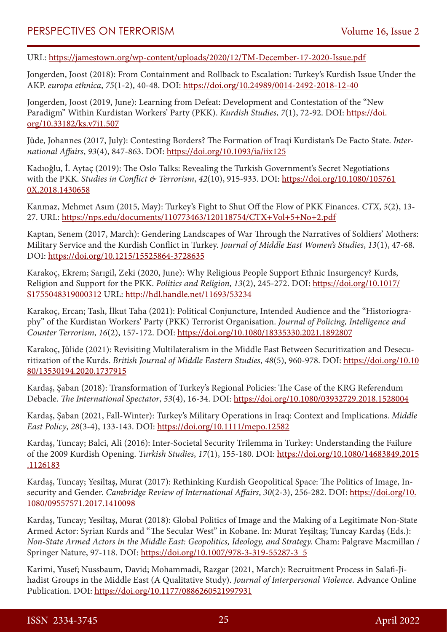URL: <https://jamestown.org/wp-content/uploads/2020/12/TM-December-17-2020-Issue.pdf>

Jongerden, Joost (2018): From Containment and Rollback to Escalation: Turkey's Kurdish Issue Under the AKP. *europa ethnica*, *75*(1-2), 40-48. DOI:<https://doi.org/10.24989/0014-2492-2018-12-40>

Jongerden, Joost (2019, June): Learning from Defeat: Development and Contestation of the "New Paradigm" Within Kurdistan Workers' Party (PKK). *Kurdish Studies*, *7*(1), 72-92. DOI: [https://doi.](https://doi.org/10.33182/ks.v7i1.507) [org/10.33182/ks.v7i1.507](https://doi.org/10.33182/ks.v7i1.507)

Jüde, Johannes (2017, July): Contesting Borders? The Formation of Iraqi Kurdistan's De Facto State. *International Affairs*, *93*(4), 847-863. DOI:<https://doi.org/10.1093/ia/iix125>

Kadıoğlu, İ. Aytaç (2019): The Oslo Talks: Revealing the Turkish Government's Secret Negotiations with the PKK. *Studies in Conflict & Terrorism*, *42*(10), 915-933. DOI: [https://doi.org/10.1080/105761](https://doi.org/10.1080/1057610X.2018.1430658) [0X.2018.1430658](https://doi.org/10.1080/1057610X.2018.1430658)

Kanmaz, Mehmet Asım (2015, May): Turkey's Fight to Shut Off the Flow of PKK Finances. *CTX*, *5*(2), 13- 27. URL:<https://nps.edu/documents/110773463/120118754/CTX+Vol+5+No+2.pdf>

Kaptan, Senem (2017, March): Gendering Landscapes of War Through the Narratives of Soldiers' Mothers: Military Service and the Kurdish Conflict in Turkey. *Journal of Middle East Women's Studies*, *13*(1), 47-68. DOI:<https://doi.org/10.1215/15525864-3728635>

Karakoç, Ekrem; Sarıgil, Zeki (2020, June): Why Religious People Support Ethnic Insurgency? Kurds, Religion and Support for the PKK. *Politics and Religion*, *13*(2), 245-272. DOI: [https://doi.org/10.1017/](https://doi.org/10.1017/S1755048319000312) [S1755048319000312](https://doi.org/10.1017/S1755048319000312) URL:<http://hdl.handle.net/11693/53234>

Karakoç, Ercan; Taslı, İlkut Taha (2021): Political Conjuncture, Intended Audience and the "Historiography" of the Kurdistan Workers' Party (PKK) Terrorist Organisation. *Journal of Policing, Intelligence and Counter Terrorism*, *16*(2), 157-172. DOI:<https://doi.org/10.1080/18335330.2021.1892807>

Karakoç, Jülide (2021): Revisiting Multilateralism in the Middle East Between Securitization and Desecuritization of the Kurds. *British Journal of Middle Eastern Studies*, *48*(5), 960-978. DOI: [https://doi.org/10.10](https://doi.org/10.1080/13530194.2020.1737915) [80/13530194.2020.1737915](https://doi.org/10.1080/13530194.2020.1737915)

Kardaş, Şaban (2018): Transformation of Turkey's Regional Policies: The Case of the KRG Referendum Debacle. *The International Spectator*, *53*(4), 16-34. DOI:<https://doi.org/10.1080/03932729.2018.1528004>

Kardaş, Şaban (2021, Fall-Winter): Turkey's Military Operations in Iraq: Context and Implications. *Middle East Policy*, *28*(3-4), 133-143. DOI:<https://doi.org/10.1111/mepo.12582>

Kardaş, Tuncay; Balci, Ali (2016): Inter-Societal Security Trilemma in Turkey: Understanding the Failure of the 2009 Kurdish Opening. *Turkish Studies*, *17*(1), 155-180. DOI: [https://doi.org/10.1080/14683849.2015](https://doi.org/10.1080/14683849.2015.1126183) [.1126183](https://doi.org/10.1080/14683849.2015.1126183)

Kardaş, Tuncay; Yesiltaş, Murat (2017): Rethinking Kurdish Geopolitical Space: The Politics of Image, Insecurity and Gender. *Cambridge Review of International Affairs*, *30*(2-3), 256-282. DOI: [https://doi.org/10.](https://doi.org/10.1080/09557571.2017.1410098) [1080/09557571.2017.1410098](https://doi.org/10.1080/09557571.2017.1410098)

Kardaş, Tuncay; Yesiltaş, Murat (2018): Global Politics of Image and the Making of a Legitimate Non-State Armed Actor: Syrian Kurds and "The Secular West" in Kobane. In: Murat Yeşiltaş; Tuncay Kardaş (Eds.): *Non-State Armed Actors in the Middle East: Geopolitics, Ideology, and Strategy.* Cham: Palgrave Macmillan / Springer Nature, 97-118. DOI: [https://doi.org/10.1007/978-3-319-55287-3\\_5](https://doi.org/10.1007/978-3-319-55287-3_5)

Karimi, Yusef; Nussbaum, David; Mohammadi, Razgar (2021, March): Recruitment Process in Salafi-Jihadist Groups in the Middle East (A Qualitative Study). *Journal of Interpersonal Violence.* Advance Online Publication. DOI: <https://doi.org/10.1177/0886260521997931>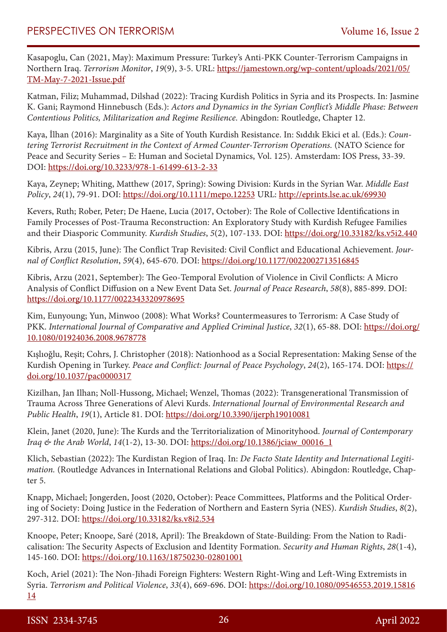Kasapoglu, Can (2021, May): Maximum Pressure: Turkey's Anti-PKK Counter-Terrorism Campaigns in Northern Iraq. *Terrorism Monitor*, *19*(9), 3-5. URL: [https://jamestown.org/wp-content/uploads/2021/05/](https://jamestown.org/wp-content/uploads/2021/05/TM-May-7-2021-Issue.pdf) [TM-May-7-2021-Issue.pdf](https://jamestown.org/wp-content/uploads/2021/05/TM-May-7-2021-Issue.pdf)

Katman, Filiz; Muhammad, Dilshad (2022): Tracing Kurdish Politics in Syria and its Prospects. In: Jasmine K. Gani; Raymond Hinnebusch (Eds.): *Actors and Dynamics in the Syrian Conflict's Middle Phase: Between Contentious Politics, Militarization and Regime Resilience.* Abingdon: Routledge, Chapter 12.

Kaya, İlhan (2016): Marginality as a Site of Youth Kurdish Resistance. In: Sıddık Ekici et al. (Eds.): *Countering Terrorist Recruitment in the Context of Armed Counter-Terrorism Operations.* (NATO Science for Peace and Security Series – E: Human and Societal Dynamics, Vol. 125). Amsterdam: IOS Press, 33-39. DOI:<https://doi.org/10.3233/978-1-61499-613-2-33>

Kaya, Zeynep; Whiting, Matthew (2017, Spring): Sowing Division: Kurds in the Syrian War. *Middle East Policy*, *24*(1), 79-91. DOI: <https://doi.org/10.1111/mepo.12253>URL: <http://eprints.lse.ac.uk/69930>

Kevers, Ruth; Rober, Peter; De Haene, Lucia (2017, October): The Role of Collective Identifications in Family Processes of Post-Trauma Reconstruction: An Exploratory Study with Kurdish Refugee Families and their Diasporic Community. *Kurdish Studies*, *5*(2), 107-133. DOI:<https://doi.org/10.33182/ks.v5i2.440>

Kibris, Arzu (2015, June): The Conflict Trap Revisited: Civil Conflict and Educational Achievement. *Journal of Conflict Resolution*, *59*(4), 645-670. DOI: <https://doi.org/10.1177/0022002713516845>

Kibris, Arzu (2021, September): The Geo-Temporal Evolution of Violence in Civil Conflicts: A Micro Analysis of Conflict Diffusion on a New Event Data Set. *Journal of Peace Research*, *58*(8), 885-899. DOI: <https://doi.org/10.1177/0022343320978695>

Kim, Eunyoung; Yun, Minwoo (2008): What Works? Countermeasures to Terrorism: A Case Study of PKK. International Journal of Comparative and Applied Criminal Justice, 32(1), 65-88. DOI: [https://doi.org/](https://doi.org/10.1080/01924036.2008.9678778) [10.1080/01924036.2008.9678778](https://doi.org/10.1080/01924036.2008.9678778)

Kışlıoğlu, Reșit; Cohrs, J. Christopher (2018): Nationhood as a Social Representation: Making Sense of the Kurdish Opening in Turkey. *Peace and Conflict: Journal of Peace Psychology*, *24*(2), 165-174. DOI: [https://](https://doi.org/10.1037/pac0000317) [doi.org/10.1037/pac0000317](https://doi.org/10.1037/pac0000317)

Kizilhan, Jan Ilhan; Noll-Hussong, Michael; Wenzel, Thomas (2022): Transgenerational Transmission of Trauma Across Three Generations of Alevi Kurds. *International Journal of Environmental Research and Public Health*, *19*(1), Article 81. DOI: <https://doi.org/10.3390/ijerph19010081>

Klein, Janet (2020, June): The Kurds and the Territorialization of Minorityhood. *Journal of Contemporary Iraq & the Arab World*, *14*(1-2), 13-30. DOI: [https://doi.org/10.1386/jciaw\\_00016\\_1](https://doi.org/10.1386/jciaw_00016_1)

Klich, Sebastian (2022): The Kurdistan Region of Iraq. In: *De Facto State Identity and International Legitimation.* (Routledge Advances in International Relations and Global Politics). Abingdon: Routledge, Chapter 5.

Knapp, Michael; Jongerden, Joost (2020, October): Peace Committees, Platforms and the Political Ordering of Society: Doing Justice in the Federation of Northern and Eastern Syria (NES). *Kurdish Studies*, *8*(2), 297-312. DOI:<https://doi.org/10.33182/ks.v8i2.534>

Knoope, Peter; Knoope, Saré (2018, April): The Breakdown of State-Building: From the Nation to Radicalisation: The Security Aspects of Exclusion and Identity Formation. *Security and Human Rights*, *28*(1-4), 145-160. DOI:<https://doi.org/10.1163/18750230-02801001>

Koch, Ariel (2021): The Non-Jihadi Foreign Fighters: Western Right-Wing and Left-Wing Extremists in Syria. *Terrorism and Political Violence*, *33*(4), 669-696. DOI: [https://doi.org/10.1080/09546553.2019.15816](https://doi.org/10.1080/09546553.2019.1581614) [14](https://doi.org/10.1080/09546553.2019.1581614)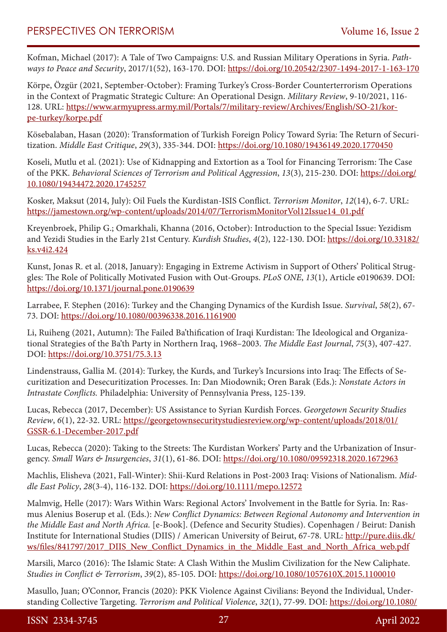Kofman, Michael (2017): A Tale of Two Campaigns: U.S. and Russian Military Operations in Syria. *Pathways to Peace and Security*, 2017/1(52), 163-170. DOI:<https://doi.org/10.20542/2307-1494-2017-1-163-170>

Körpe, Özgür (2021, September-October): Framing Turkey's Cross-Border Counterterrorism Operations in the Context of Pragmatic Strategic Culture: An Operational Design. *Military Review*, 9-10/2021, 116- 128. URL: [https://www.armyupress.army.mil/Portals/7/military-review/Archives/English/SO-21/kor](https://www.armyupress.army.mil/Portals/7/military-review/Archives/English/SO-21/korpe-turkey/korpe.pdf)[pe-turkey/korpe.pdf](https://www.armyupress.army.mil/Portals/7/military-review/Archives/English/SO-21/korpe-turkey/korpe.pdf)

Kösebalaban, Hasan (2020): Transformation of Turkish Foreign Policy Toward Syria: The Return of Securitization. *Middle East Critique*, *29*(3), 335-344. DOI:<https://doi.org/10.1080/19436149.2020.1770450>

Koseli, Mutlu et al. (2021): Use of Kidnapping and Extortion as a Tool for Financing Terrorism: The Case of the PKK. *Behavioral Sciences of Terrorism and Political Aggression*, *13*(3), 215-230. DOI: [https://doi.org/](https://doi.org/10.1080/19434472.2020.1745257) [10.1080/19434472.2020.1745257](https://doi.org/10.1080/19434472.2020.1745257)

Kosker, Maksut (2014, July): Oil Fuels the Kurdistan-ISIS Conflict. *Terrorism Monitor*, *12*(14), 6-7. URL: [https://jamestown.org/wp-content/uploads/2014/07/TerrorismMonitorVol12Issue14\\_01.pdf](https://jamestown.org/wp-content/uploads/2014/07/TerrorismMonitorVol12Issue14_01.pdf)

Kreyenbroek, Philip G.; Omarkhali, Khanna (2016, October): Introduction to the Special Issue: Yezidism and Yezidi Studies in the Early 21st Century. *Kurdish Studies*, *4*(2), 122-130. DOI: [https://doi.org/10.33182/](https://doi.org/10.33182/ks.v4i2.424) [ks.v4i2.424](https://doi.org/10.33182/ks.v4i2.424)

Kunst, Jonas R. et al. (2018, January): Engaging in Extreme Activism in Support of Others' Political Struggles: The Role of Politically Motivated Fusion with Out-Groups. *PLoS ONE*, *13*(1), Article e0190639. DOI: <https://doi.org/10.1371/journal.pone.0190639>

Larrabee, F. Stephen (2016): Turkey and the Changing Dynamics of the Kurdish Issue. *Survival*, *58*(2), 67- 73. DOI:<https://doi.org/10.1080/00396338.2016.1161900>

Li, Ruiheng (2021, Autumn): The Failed Ba'thification of Iraqi Kurdistan: The Ideological and Organizational Strategies of the Ba'th Party in Northern Iraq, 1968–2003. *The Middle East Journal*, *75*(3), 407-427. DOI:<https://doi.org/10.3751/75.3.13>

Lindenstrauss, Gallia M. (2014): Turkey, the Kurds, and Turkey's Incursions into Iraq: The Effects of Securitization and Desecuritization Processes. In: Dan Miodownik; Oren Barak (Eds.): *Nonstate Actors in Intrastate Conflicts.* Philadelphia: University of Pennsylvania Press, 125-139.

Lucas, Rebecca (2017, December): US Assistance to Syrian Kurdish Forces. *Georgetown Security Studies Review*, *6*(1), 22-32. URL: [https://georgetownsecuritystudiesreview.org/wp-content/uploads/2018/01/](https://georgetownsecuritystudiesreview.org/wp-content/uploads/2018/01/GSSR-6.1-December-2017.pdf) [GSSR-6.1-December-2017.pdf](https://georgetownsecuritystudiesreview.org/wp-content/uploads/2018/01/GSSR-6.1-December-2017.pdf)

Lucas, Rebecca (2020): Taking to the Streets: The Kurdistan Workers' Party and the Urbanization of Insurgency. *Small Wars & Insurgencies*, *31*(1), 61-86. DOI:<https://doi.org/10.1080/09592318.2020.1672963>

Machlis, Elisheva (2021, Fall-Winter): Shii-Kurd Relations in Post-2003 Iraq: Visions of Nationalism. *Middle East Policy*, *28*(3-4), 116-132. DOI:<https://doi.org/10.1111/mepo.12572>

Malmvig, Helle (2017): Wars Within Wars: Regional Actors' Involvement in the Battle for Syria. In: Rasmus Alenius Boserup et al. (Eds.): *New Conflict Dynamics: Between Regional Autonomy and Intervention in the Middle East and North Africa.* [e-Book]. (Defence and Security Studies). Copenhagen / Beirut: Danish Institute for International Studies (DIIS) / American University of Beirut, 67-78. URL: [http://pure.diis.dk/](http://pure.diis.dk/ws/files/841797/2017_DIIS_New_Conflict_Dynamics_in_the_Middle_East_and_North_Africa_web.pdf) [ws/files/841797/2017\\_DIIS\\_New\\_Conflict\\_Dynamics\\_in\\_the\\_Middle\\_East\\_and\\_North\\_Africa\\_web.pdf](http://pure.diis.dk/ws/files/841797/2017_DIIS_New_Conflict_Dynamics_in_the_Middle_East_and_North_Africa_web.pdf)

Marsili, Marco (2016): The Islamic State: A Clash Within the Muslim Civilization for the New Caliphate. *Studies in Conflict & Terrorism*, *39*(2), 85-105. DOI: <https://doi.org/10.1080/1057610X.2015.1100010>

Masullo, Juan; O'Connor, Francis (2020): PKK Violence Against Civilians: Beyond the Individual, Understanding Collective Targeting. *Terrorism and Political Violence*, *32*(1), 77-99. DOI: [https://doi.org/10.1080/](https://doi.org/10.1080/09546553.2017.1347874)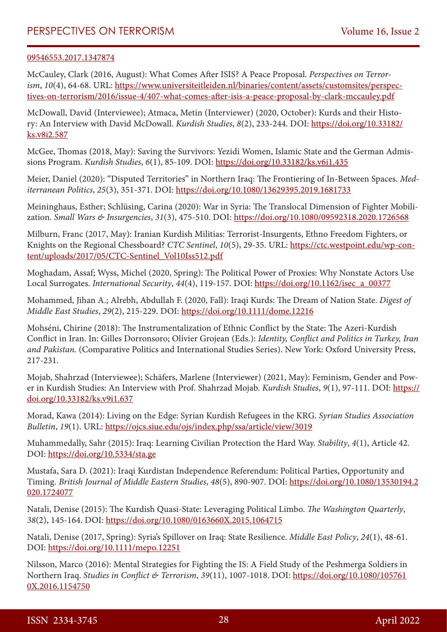#### [09546553.2017.1347874](https://doi.org/10.1080/09546553.2017.1347874)

McCauley, Clark (2016, August): What Comes After ISIS? A Peace Proposal. *Perspectives on Terrorism*, *10*(4), 64-68. URL: [https://www.universiteitleiden.nl/binaries/content/assets/customsites/perspec](https://www.universiteitleiden.nl/binaries/content/assets/customsites/perspectives-on-terrorism/2016/issue-4/407-what-comes-after-isis-a-peace-proposal-by-clark-mccauley.pdf)[tives-on-terrorism/2016/issue-4/407-what-comes-after-isis-a-peace-proposal-by-clark-mccauley.pdf](https://www.universiteitleiden.nl/binaries/content/assets/customsites/perspectives-on-terrorism/2016/issue-4/407-what-comes-after-isis-a-peace-proposal-by-clark-mccauley.pdf)

McDowall, David (Interviewee); Atmaca, Metin (Interviewer) (2020, October): Kurds and their History: An Interview with David McDowall. *Kurdish Studies*, *8*(2), 233-244. DOI: [https://doi.org/10.33182/](https://doi.org/10.33182/ks.v8i2.587) [ks.v8i2.587](https://doi.org/10.33182/ks.v8i2.587)

McGee, Thomas (2018, May): Saving the Survivors: Yezidi Women, Islamic State and the German Admissions Program. *Kurdish Studies*, *6*(1), 85-109. DOI:<https://doi.org/10.33182/ks.v6i1.435>

Meier, Daniel (2020): "Disputed Territories" in Northern Iraq: The Frontiering of In-Between Spaces. *Mediterranean Politics*, *25*(3), 351-371. DOI:<https://doi.org/10.1080/13629395.2019.1681733>

Meininghaus, Esther; Schlüsing, Carina (2020): War in Syria: The Translocal Dimension of Fighter Mobilization. *Small Wars & Insurgencies*, *31*(3), 475-510. DOI: <https://doi.org/10.1080/09592318.2020.1726568>

Milburn, Franc (2017, May): Iranian Kurdish Militias: Terrorist-Insurgents, Ethno Freedom Fighters, or Knights on the Regional Chessboard? *CTC Sentinel*, *10*(5), 29-35. URL: [https://ctc.westpoint.edu/wp-con](https://ctc.westpoint.edu/wp-content/uploads/2017/05/CTC-Sentinel_Vol10Iss512.pdf)[tent/uploads/2017/05/CTC-Sentinel\\_Vol10Iss512.pdf](https://ctc.westpoint.edu/wp-content/uploads/2017/05/CTC-Sentinel_Vol10Iss512.pdf)

Moghadam, Assaf; Wyss, Michel (2020, Spring): The Political Power of Proxies: Why Nonstate Actors Use Local Surrogates. *International Security*, *44*(4), 119-157. DOI: [https://doi.org/10.1162/isec\\_a\\_00377](https://doi.org/10.1162/isec_a_00377)

Mohammed, Jihan A.; Alrebh, Abdullah F. (2020, Fall): Iraqi Kurds: The Dream of Nation State. *Digest of Middle East Studies*, *29*(2), 215-229. DOI: <https://doi.org/10.1111/dome.12216>

Mohséni, Chirine (2018): The Instrumentalization of Ethnic Conflict by the State: The Azeri-Kurdish Conflict in Iran. In: Gilles Dorronsoro; Olivier Grojean (Eds.): *Identity, Conflict and Politics in Turkey, Iran and Pakistan.* (Comparative Politics and International Studies Series). New York: Oxford University Press, 217-231.

Mojab, Shahrzad (Interviewee); Schäfers, Marlene (Interviewer) (2021, May): Feminism, Gender and Power in Kurdish Studies: An Interview with Prof. Shahrzad Mojab. *Kurdish Studies*, 9(1), 97-111. DOI: [https://](https://doi.org/10.33182/ks.v9i1.637) [doi.org/10.33182/ks.v9i1.637](https://doi.org/10.33182/ks.v9i1.637)

Morad, Kawa (2014): Living on the Edge: Syrian Kurdish Refugees in the KRG. *Syrian Studies Association Bulletin*, *19*(1). URL:<https://ojcs.siue.edu/ojs/index.php/ssa/article/view/3019>

Muhammedally, Sahr (2015): Iraq: Learning Civilian Protection the Hard Way. *Stability*, *4*(1), Article 42. DOI:<https://doi.org/10.5334/sta.ge>

Mustafa, Sara D. (2021): Iraqi Kurdistan Independence Referendum: Political Parties, Opportunity and Timing. *British Journal of Middle Eastern Studies*, *48*(5), 890-907. DOI: [https://doi.org/10.1080/13530194.2](https://doi.org/10.1080/13530194.2020.1724077) [020.1724077](https://doi.org/10.1080/13530194.2020.1724077)

Natali, Denise (2015): The Kurdish Quasi-State: Leveraging Political Limbo. *The Washington Quarterly*, *38*(2), 145-164. DOI: <https://doi.org/10.1080/0163660X.2015.1064715>

Natali, Denise (2017, Spring): Syria's Spillover on Iraq: State Resilience. *Middle East Policy*, *24*(1), 48-61. DOI:<https://doi.org/10.1111/mepo.12251>

Nilsson, Marco (2016): Mental Strategies for Fighting the IS: A Field Study of the Peshmerga Soldiers in Northern Iraq. *Studies in Conflict & Terrorism*, *39*(11), 1007-1018. DOI: [https://doi.org/10.1080/105761](https://doi.org/10.1080/1057610X.2016.1154750) [0X.2016.1154750](https://doi.org/10.1080/1057610X.2016.1154750)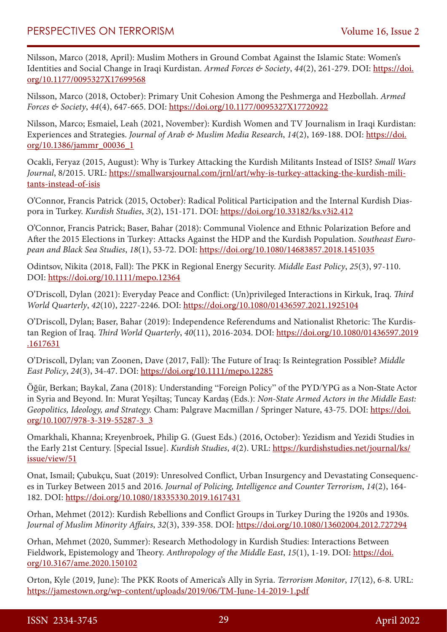Nilsson, Marco (2018, April): Muslim Mothers in Ground Combat Against the Islamic State: Women's Identities and Social Change in Iraqi Kurdistan. *Armed Forces & Society*, *44*(2), 261-279. DOI: [https://doi.](https://doi.org/10.1177/0095327X17699568) [org/10.1177/0095327X17699568](https://doi.org/10.1177/0095327X17699568)

Nilsson, Marco (2018, October): Primary Unit Cohesion Among the Peshmerga and Hezbollah. *Armed Forces & Society*, *44*(4), 647-665. DOI:<https://doi.org/10.1177/0095327X17720922>

Nilsson, Marco; Esmaiel, Leah (2021, November): Kurdish Women and TV Journalism in Iraqi Kurdistan: Experiences and Strategies. *Journal of Arab & Muslim Media Research*, *14*(2), 169-188. DOI: [https://doi.](https://doi.org/10.1386/jammr_00036_1) [org/10.1386/jammr\\_00036\\_1](https://doi.org/10.1386/jammr_00036_1)

Ocakli, Feryaz (2015, August): Why is Turkey Attacking the Kurdish Militants Instead of ISIS? *Small Wars Journal*, 8/2015. URL: [https://smallwarsjournal.com/jrnl/art/why-is-turkey-attacking-the-kurdish-mili](https://smallwarsjournal.com/jrnl/art/why-is-turkey-attacking-the-kurdish-militants-instead-of-isis)[tants-instead-of-isis](https://smallwarsjournal.com/jrnl/art/why-is-turkey-attacking-the-kurdish-militants-instead-of-isis)

O'Connor, Francis Patrick (2015, October): Radical Political Participation and the Internal Kurdish Diaspora in Turkey. *Kurdish Studies*, *3*(2), 151-171. DOI: <https://doi.org/10.33182/ks.v3i2.412>

O'Connor, Francis Patrick; Baser, Bahar (2018): Communal Violence and Ethnic Polarization Before and After the 2015 Elections in Turkey: Attacks Against the HDP and the Kurdish Population. *Southeast European and Black Sea Studies*, *18*(1), 53-72. DOI: <https://doi.org/10.1080/14683857.2018.1451035>

Odintsov, Nikita (2018, Fall): The PKK in Regional Energy Security. *Middle East Policy*, *25*(3), 97-110. DOI:<https://doi.org/10.1111/mepo.12364>

O'Driscoll, Dylan (2021): Everyday Peace and Conflict: (Un)privileged Interactions in Kirkuk, Iraq. *Third World Quarterly*, *42*(10), 2227-2246. DOI:<https://doi.org/10.1080/01436597.2021.1925104>

O'Driscoll, Dylan; Baser, Bahar (2019): Independence Referendums and Nationalist Rhetoric: The Kurdistan Region of Iraq. *Third World Quarterly*, *40*(11), 2016-2034. DOI: [https://doi.org/10.1080/01436597.2019](https://doi.org/10.1080/01436597.2019.1617631) [.1617631](https://doi.org/10.1080/01436597.2019.1617631)

O'Driscoll, Dylan; van Zoonen, Dave (2017, Fall): The Future of Iraq: Is Reintegration Possible? *Middle East Policy*, *24*(3), 34-47. DOI:<https://doi.org/10.1111/mepo.12285>

Öğür, Berkan; Baykal, Zana (2018): Understanding "Foreign Policy" of the PYD/YPG as a Non-State Actor in Syria and Beyond. In: Murat Yeşiltaş; Tuncay Kardaş (Eds.): *Non-State Armed Actors in the Middle East: Geopolitics, Ideology, and Strategy.* Cham: Palgrave Macmillan / Springer Nature, 43-75. DOI: [https://doi.](https://doi.org/10.1007/978-3-319-55287-3_3) [org/10.1007/978-3-319-55287-3\\_3](https://doi.org/10.1007/978-3-319-55287-3_3)

Omarkhali, Khanna; Kreyenbroek, Philip G. (Guest Eds.) (2016, October): Yezidism and Yezidi Studies in the Early 21st Century. [Special Issue]. *Kurdish Studies*, *4*(2). URL: [https://kurdishstudies.net/journal/ks/](https://kurdishstudies.net/journal/ks/issue/view/51) [issue/view/51](https://kurdishstudies.net/journal/ks/issue/view/51)

Onat, Ismail; Çubukçu, Suat (2019): Unresolved Conflict, Urban Insurgency and Devastating Consequences in Turkey Between 2015 and 2016. *Journal of Policing, Intelligence and Counter Terrorism*, *14*(2), 164- 182. DOI:<https://doi.org/10.1080/18335330.2019.1617431>

Orhan, Mehmet (2012): Kurdish Rebellions and Conflict Groups in Turkey During the 1920s and 1930s. *Journal of Muslim Minority Affairs*, *32*(3), 339-358. DOI: <https://doi.org/10.1080/13602004.2012.727294>

Orhan, Mehmet (2020, Summer): Research Methodology in Kurdish Studies: Interactions Between Fieldwork, Epistemology and Theory. *Anthropology of the Middle East*, *15*(1), 1-19. DOI: [https://doi.](https://doi.org/10.3167/ame.2020.150102) [org/10.3167/ame.2020.150102](https://doi.org/10.3167/ame.2020.150102)

Orton, Kyle (2019, June): The PKK Roots of America's Ally in Syria. *Terrorism Monitor*, *17*(12), 6-8. URL: <https://jamestown.org/wp-content/uploads/2019/06/TM-June-14-2019-1.pdf>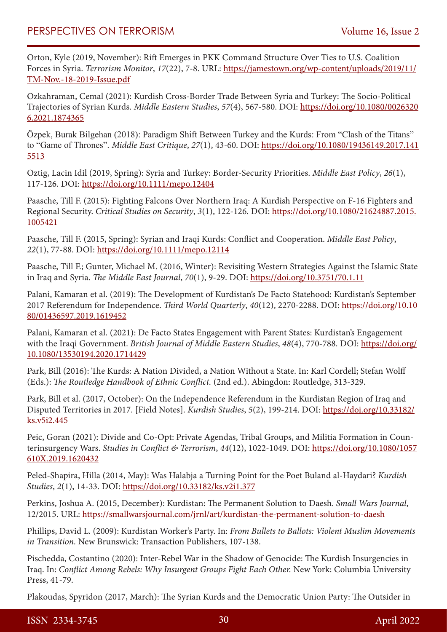Orton, Kyle (2019, November): Rift Emerges in PKK Command Structure Over Ties to U.S. Coalition Forces in Syria. *Terrorism Monitor*, *17*(22), 7-8. URL: [https://jamestown.org/wp-content/uploads/2019/11/](https://jamestown.org/wp-content/uploads/2019/11/TM-Nov.-18-2019-Issue.pdf) [TM-Nov.-18-2019-Issue.pdf](https://jamestown.org/wp-content/uploads/2019/11/TM-Nov.-18-2019-Issue.pdf)

Ozkahraman, Cemal (2021): Kurdish Cross-Border Trade Between Syria and Turkey: The Socio-Political Trajectories of Syrian Kurds. *Middle Eastern Studies*, *57*(4), 567-580. DOI: [https://doi.org/10.1080/0026320](https://doi.org/10.1080/00263206.2021.1874365) [6.2021.1874365](https://doi.org/10.1080/00263206.2021.1874365)

Özpek, Burak Bilgehan (2018): Paradigm Shift Between Turkey and the Kurds: From "Clash of the Titans" to "Game of Thrones". *Middle East Critique*, *27*(1), 43-60. DOI: [https://doi.org/10.1080/19436149.2017.141](https://doi.org/10.1080/19436149.2017.1415513) [5513](https://doi.org/10.1080/19436149.2017.1415513)

Oztig, Lacin Idil (2019, Spring): Syria and Turkey: Border-Security Priorities. *Middle East Policy*, *26*(1), 117-126. DOI:<https://doi.org/10.1111/mepo.12404>

Paasche, Till F. (2015): Fighting Falcons Over Northern Iraq: A Kurdish Perspective on F-16 Fighters and Regional Security. *Critical Studies on Security*, *3*(1), 122-126. DOI: [https://doi.org/10.1080/21624887.2015.](https://doi.org/10.1080/21624887.2015.1005421) [1005421](https://doi.org/10.1080/21624887.2015.1005421)

Paasche, Till F. (2015, Spring): Syrian and Iraqi Kurds: Conflict and Cooperation. *Middle East Policy*, *22*(1), 77-88. DOI:<https://doi.org/10.1111/mepo.12114>

Paasche, Till F.; Gunter, Michael M. (2016, Winter): Revisiting Western Strategies Against the Islamic State in Iraq and Syria. *The Middle East Journal*, *70*(1), 9-29. DOI: <https://doi.org/10.3751/70.1.11>

Palani, Kamaran et al. (2019): The Development of Kurdistan's De Facto Statehood: Kurdistan's September 2017 Referendum for Independence. *Third World Quarterly*, *40*(12), 2270-2288. DOI: [https://doi.org/10.10](https://doi.org/10.1080/01436597.2019.1619452) [80/01436597.2019.1619452](https://doi.org/10.1080/01436597.2019.1619452)

Palani, Kamaran et al. (2021): De Facto States Engagement with Parent States: Kurdistan's Engagement with the Iraqi Government. *British Journal of Middle Eastern Studies*, 48(4), 770-788. DOI: [https://doi.org/](https://doi.org/10.1080/13530194.2020.1714429) [10.1080/13530194.2020.1714429](https://doi.org/10.1080/13530194.2020.1714429)

Park, Bill (2016): The Kurds: A Nation Divided, a Nation Without a State. In: Karl Cordell; Stefan Wolff (Eds.): *The Routledge Handbook of Ethnic Conflict.* (2nd ed.). Abingdon: Routledge, 313-329.

Park, Bill et al. (2017, October): On the Independence Referendum in the Kurdistan Region of Iraq and Disputed Territories in 2017. [Field Notes]. *Kurdish Studies*, *5*(2), 199-214. DOI: [https://doi.org/10.33182/](https://doi.org/10.33182/ks.v5i2.445) [ks.v5i2.445](https://doi.org/10.33182/ks.v5i2.445)

Peic, Goran (2021): Divide and Co-Opt: Private Agendas, Tribal Groups, and Militia Formation in Counterinsurgency Wars. *Studies in Conflict & Terrorism*, *44*(12), 1022-1049. DOI: [https://doi.org/10.1080/1057](https://doi.org/10.1080/1057610X.2019.1620432) [610X.2019.1620432](https://doi.org/10.1080/1057610X.2019.1620432)

Peled-Shapira, Hilla (2014, May): Was Halabja a Turning Point for the Poet Buland al-Haydari? *Kurdish Studies*, *2*(1), 14-33. DOI: <https://doi.org/10.33182/ks.v2i1.377>

Perkins, Joshua A. (2015, December): Kurdistan: The Permanent Solution to Daesh. *Small Wars Journal*, 12/2015. URL: <https://smallwarsjournal.com/jrnl/art/kurdistan-the-permanent-solution-to-daesh>

Phillips, David L. (2009): Kurdistan Worker's Party. In: *From Bullets to Ballots: Violent Muslim Movements in Transition.* New Brunswick: Transaction Publishers, 107-138.

Pischedda, Costantino (2020): Inter-Rebel War in the Shadow of Genocide: The Kurdish Insurgencies in Iraq. In: *Conflict Among Rebels: Why Insurgent Groups Fight Each Other.* New York: Columbia University Press, 41-79.

Plakoudas, Spyridon (2017, March): The Syrian Kurds and the Democratic Union Party: The Outsider in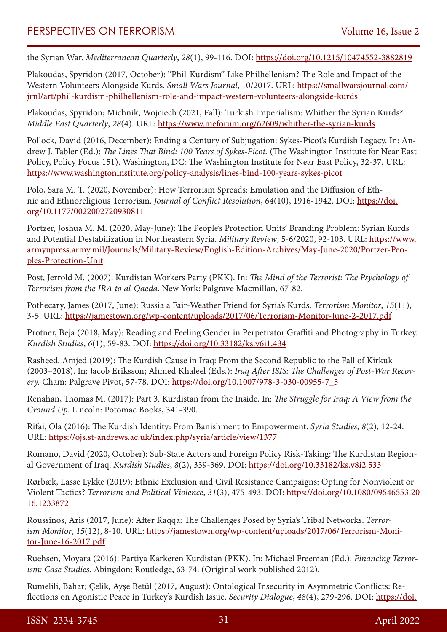the Syrian War. *Mediterranean Quarterly*, *28*(1), 99-116. DOI: <https://doi.org/10.1215/10474552-3882819>

Plakoudas, Spyridon (2017, October): "Phil-Kurdism" Like Philhellenism? The Role and Impact of the Western Volunteers Alongside Kurds. *Small Wars Journal*, 10/2017. URL: [https://smallwarsjournal.com/](https://smallwarsjournal.com/jrnl/art/phil-kurdism-philhellenism-role-and-impact-western-volunteers-alongside-kurds) [jrnl/art/phil-kurdism-philhellenism-role-and-impact-western-volunteers-alongside-kurds](https://smallwarsjournal.com/jrnl/art/phil-kurdism-philhellenism-role-and-impact-western-volunteers-alongside-kurds)

Plakoudas, Spyridon; Michnik, Wojciech (2021, Fall): Turkish Imperialism: Whither the Syrian Kurds? *Middle East Quarterly*, *28*(4). URL:<https://www.meforum.org/62609/whither-the-syrian-kurds>

Pollock, David (2016, December): Ending a Century of Subjugation: Sykes-Picot's Kurdish Legacy. In: Andrew J. Tabler (Ed.): *The Lines That Bind: 100 Years of Sykes-Picot.* (The Washington Institute for Near East Policy, Policy Focus 151). Washington, DC: The Washington Institute for Near East Policy, 32-37. URL: <https://www.washingtoninstitute.org/policy-analysis/lines-bind-100-years-sykes-picot>

Polo, Sara M. T. (2020, November): How Terrorism Spreads: Emulation and the Diffusion of Ethnic and Ethnoreligious Terrorism. *Journal of Conflict Resolution*, *64*(10), 1916-1942. DOI: [https://doi.](https://doi.org/10.1177/0022002720930811) [org/10.1177/0022002720930811](https://doi.org/10.1177/0022002720930811)

Portzer, Joshua M. M. (2020, May-June): The People's Protection Units' Branding Problem: Syrian Kurds and Potential Destabilization in Northeastern Syria. *Military Review*, 5-6/2020, 92-103. URL: [https://www.](https://www.armyupress.army.mil/Journals/Military-Review/English-Edition-Archives/May-June-2020/Portzer-Peoples-Protection-Unit) [armyupress.army.mil/Journals/Military-Review/English-Edition-Archives/May-June-2020/Portzer-Peo](https://www.armyupress.army.mil/Journals/Military-Review/English-Edition-Archives/May-June-2020/Portzer-Peoples-Protection-Unit)[ples-Protection-Unit](https://www.armyupress.army.mil/Journals/Military-Review/English-Edition-Archives/May-June-2020/Portzer-Peoples-Protection-Unit)

Post, Jerrold M. (2007): Kurdistan Workers Party (PKK). In: *The Mind of the Terrorist: The Psychology of Terrorism from the IRA to al-Qaeda.* New York: Palgrave Macmillan, 67-82.

Pothecary, James (2017, June): Russia a Fair-Weather Friend for Syria's Kurds. *Terrorism Monitor*, *15*(11), 3-5. URL: <https://jamestown.org/wp-content/uploads/2017/06/Terrorism-Monitor-June-2-2017.pdf>

Protner, Beja (2018, May): Reading and Feeling Gender in Perpetrator Graffiti and Photography in Turkey. *Kurdish Studies*, *6*(1), 59-83. DOI: <https://doi.org/10.33182/ks.v6i1.434>

Rasheed, Amjed (2019): The Kurdish Cause in Iraq: From the Second Republic to the Fall of Kirkuk (2003–2018). In: Jacob Eriksson; Ahmed Khaleel (Eds.): *Iraq After ISIS: The Challenges of Post-War Recovery.* Cham: Palgrave Pivot, 57-78. DOI: [https://doi.org/10.1007/978-3-030-00955-7\\_5](https://doi.org/10.1007/978-3-030-00955-7_5)

Renahan, Thomas M. (2017): Part 3. Kurdistan from the Inside. In: *The Struggle for Iraq: A View from the Ground Up.* Lincoln: Potomac Books, 341-390.

Rifai, Ola (2016): The Kurdish Identity: From Banishment to Empowerment. *Syria Studies*, *8*(2), 12-24. URL: <https://ojs.st-andrews.ac.uk/index.php/syria/article/view/1377>

Romano, David (2020, October): Sub-State Actors and Foreign Policy Risk-Taking: The Kurdistan Regional Government of Iraq. *Kurdish Studies*, *8*(2), 339-369. DOI:<https://doi.org/10.33182/ks.v8i2.533>

Rørbæk, Lasse Lykke (2019): Ethnic Exclusion and Civil Resistance Campaigns: Opting for Nonviolent or Violent Tactics? *Terrorism and Political Violence*, *31*(3), 475-493. DOI: [https://doi.org/10.1080/09546553.20](https://doi.org/10.1080/09546553.2016.1233872) [16.1233872](https://doi.org/10.1080/09546553.2016.1233872)

Roussinos, Aris (2017, June): After Raqqa: The Challenges Posed by Syria's Tribal Networks. *Terrorism Monitor*, 15(12), 8-10. URL: [https://jamestown.org/wp-content/uploads/2017/06/Terrorism-Moni](https://jamestown.org/wp-content/uploads/2017/06/Terrorism-Monitor-June-16-2017.pdf)[tor-June-16-2017.pdf](https://jamestown.org/wp-content/uploads/2017/06/Terrorism-Monitor-June-16-2017.pdf)

Ruehsen, Moyara (2016): Partiya Karkeren Kurdistan (PKK). In: Michael Freeman (Ed.): *Financing Terrorism: Case Studies.* Abingdon: Routledge, 63-74. (Original work published 2012).

Rumelili, Bahar; Çelik, Ayşe Betül (2017, August): Ontological Insecurity in Asymmetric Conflicts: Reflections on Agonistic Peace in Turkey's Kurdish Issue. *Security Dialogue*, *48*(4), 279-296. DOI: [https://doi.](https://doi.org/10.1177/0967010617695715)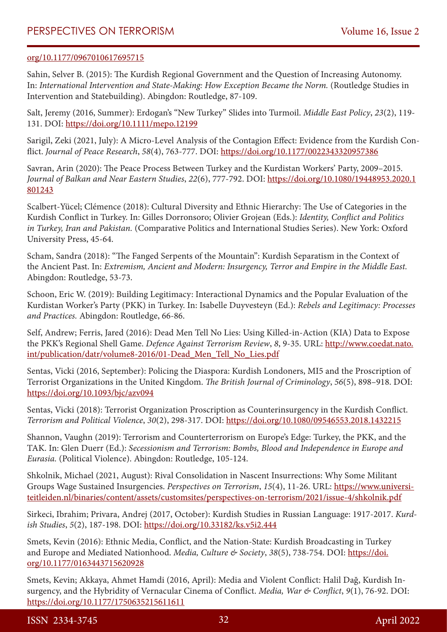#### [org/10.1177/0967010617695715](https://doi.org/10.1177/0967010617695715)

Sahin, Selver B. (2015): The Kurdish Regional Government and the Question of Increasing Autonomy. In: *International Intervention and State-Making: How Exception Became the Norm.* (Routledge Studies in Intervention and Statebuilding). Abingdon: Routledge, 87-109.

Salt, Jeremy (2016, Summer): Erdogan's "New Turkey" Slides into Turmoil. *Middle East Policy*, *23*(2), 119- 131. DOI:<https://doi.org/10.1111/mepo.12199>

Sarigil, Zeki (2021, July): A Micro-Level Analysis of the Contagion Effect: Evidence from the Kurdish Conflict. *Journal of Peace Research*, *58*(4), 763-777. DOI: <https://doi.org/10.1177/0022343320957386>

Savran, Arin (2020): The Peace Process Between Turkey and the Kurdistan Workers' Party, 2009–2015. *Journal of Balkan and Near Eastern Studies*, *22*(6), 777-792. DOI: [https://doi.org/10.1080/19448953.2020.1](https://doi.org/10.1080/19448953.2020.1801243) [801243](https://doi.org/10.1080/19448953.2020.1801243)

Scalbert-Yücel; Clémence (2018): Cultural Diversity and Ethnic Hierarchy: The Use of Categories in the Kurdish Conflict in Turkey. In: Gilles Dorronsoro; Olivier Grojean (Eds.): *Identity, Conflict and Politics in Turkey, Iran and Pakistan.* (Comparative Politics and International Studies Series). New York: Oxford University Press, 45-64.

Scham, Sandra (2018): "The Fanged Serpents of the Mountain": Kurdish Separatism in the Context of the Ancient Past. In: *Extremism, Ancient and Modern: Insurgency, Terror and Empire in the Middle East.* Abingdon: Routledge, 53-73.

Schoon, Eric W. (2019): Building Legitimacy: Interactional Dynamics and the Popular Evaluation of the Kurdistan Worker's Party (PKK) in Turkey. In: Isabelle Duyvesteyn (Ed.): *Rebels and Legitimacy: Processes and Practices.* Abingdon: Routledge, 66-86.

Self, Andrew; Ferris, Jared (2016): Dead Men Tell No Lies: Using Killed-in-Action (KIA) Data to Expose the PKK's Regional Shell Game. *Defence Against Terrorism Review*, *8*, 9-35. URL: [http://www.coedat.nato.](http://www.coedat.nato.int/publication/datr/volume8-2016/01-Dead_Men_Tell_No_Lies.pdf) [int/publication/datr/volume8-2016/01-Dead\\_Men\\_Tell\\_No\\_Lies.pdf](http://www.coedat.nato.int/publication/datr/volume8-2016/01-Dead_Men_Tell_No_Lies.pdf)

Sentas, Vicki (2016, September): Policing the Diaspora: Kurdish Londoners, MI5 and the Proscription of Terrorist Organizations in the United Kingdom. *The British Journal of Criminology*, *56*(5), 898–918. DOI: <https://doi.org/10.1093/bjc/azv094>

Sentas, Vicki (2018): Terrorist Organization Proscription as Counterinsurgency in the Kurdish Conflict. *Terrorism and Political Violence*, *30*(2), 298-317. DOI:<https://doi.org/10.1080/09546553.2018.1432215>

Shannon, Vaughn (2019): Terrorism and Counterterrorism on Europe's Edge: Turkey, the PKK, and the TAK. In: Glen Duerr (Ed.): *Secessionism and Terrorism: Bombs, Blood and Independence in Europe and Eurasia.* (Political Violence). Abingdon: Routledge, 105-124.

Shkolnik, Michael (2021, August): Rival Consolidation in Nascent Insurrections: Why Some Militant Groups Wage Sustained Insurgencies. *Perspectives on Terrorism*, *15*(4), 11-26. URL: [https://www.universi](https://www.universiteitleiden.nl/binaries/content/assets/customsites/perspectives-on-terrorism/2021/issue-4/shkolnik.pdf)[teitleiden.nl/binaries/content/assets/customsites/perspectives-on-terrorism/2021/issue-4/shkolnik.pdf](https://www.universiteitleiden.nl/binaries/content/assets/customsites/perspectives-on-terrorism/2021/issue-4/shkolnik.pdf)

Sirkeci, Ibrahim; Privara, Andrej (2017, October): Kurdish Studies in Russian Language: 1917-2017. *Kurdish Studies*, *5*(2), 187-198. DOI: <https://doi.org/10.33182/ks.v5i2.444>

Smets, Kevin (2016): Ethnic Media, Conflict, and the Nation-State: Kurdish Broadcasting in Turkey and Europe and Mediated Nationhood. *Media*, Culture & Society, 38(5), 738-754. DOI: [https://doi.](https://doi.org/10.1177/0163443715620928) [org/10.1177/0163443715620928](https://doi.org/10.1177/0163443715620928)

Smets, Kevin; Akkaya, Ahmet Hamdi (2016, April): Media and Violent Conflict: Halil Dağ, Kurdish Insurgency, and the Hybridity of Vernacular Cinema of Conflict. *Media, War & Conflict*, *9*(1), 76-92. DOI: <https://doi.org/10.1177/1750635215611611>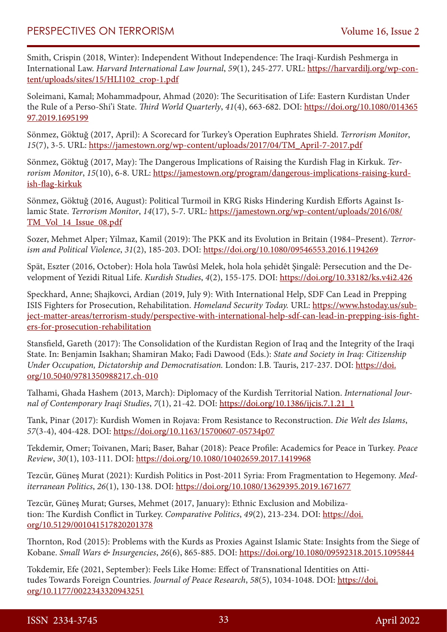Smith, Crispin (2018, Winter): Independent Without Independence: The Iraqi-Kurdish Peshmerga in International Law. *Harvard International Law Journal*, *59*(1), 245-277. URL: [https://harvardilj.org/wp-con](https://harvardilj.org/wp-content/uploads/sites/15/HLI102_crop-1.pdf)[tent/uploads/sites/15/HLI102\\_crop-1.pdf](https://harvardilj.org/wp-content/uploads/sites/15/HLI102_crop-1.pdf)

Soleimani, Kamal; Mohammadpour, Ahmad (2020): The Securitisation of Life: Eastern Kurdistan Under the Rule of a Perso-Shi'i State. *Third World Quarterly*, *41*(4), 663-682. DOI: [https://doi.org/10.1080/014365](https://doi.org/10.1080/01436597.2019.1695199) [97.2019.1695199](https://doi.org/10.1080/01436597.2019.1695199)

Sönmez, Göktuğ (2017, April): A Scorecard for Turkey's Operation Euphrates Shield. *Terrorism Monitor*, *15*(7), 3-5. URL: [https://jamestown.org/wp-content/uploads/2017/04/TM\\_April-7-2017.pdf](https://jamestown.org/wp-content/uploads/2017/04/TM_April-7-2017.pdf)

Sönmez, Göktuğ (2017, May): The Dangerous Implications of Raising the Kurdish Flag in Kirkuk. *Terrorism Monitor*, *15*(10), 6-8. URL: [https://jamestown.org/program/dangerous-implications-raising-kurd](https://jamestown.org/program/dangerous-implications-raising-kurdish-flag-kirkuk)[ish-flag-kirkuk](https://jamestown.org/program/dangerous-implications-raising-kurdish-flag-kirkuk)

Sönmez, Göktuğ (2016, August): Political Turmoil in KRG Risks Hindering Kurdish Efforts Against Islamic State. *Terrorism Monitor*, *14*(17), 5-7. URL: [https://jamestown.org/wp-content/uploads/2016/08/](https://jamestown.org/wp-content/uploads/2016/08/TM_Vol_14_Issue_08.pdf) [TM\\_Vol\\_14\\_Issue\\_08.pdf](https://jamestown.org/wp-content/uploads/2016/08/TM_Vol_14_Issue_08.pdf)

Sozer, Mehmet Alper; Yilmaz, Kamil (2019): The PKK and its Evolution in Britain (1984–Present). *Terrorism and Political Violence*, *31*(2), 185-203. DOI: <https://doi.org/10.1080/09546553.2016.1194269>

Spät, Eszter (2016, October): Hola hola Tawûsî Melek, hola hola şehidêt Şingalê: Persecution and the Development of Yezidi Ritual Life. *Kurdish Studies*, *4*(2), 155-175. DOI: <https://doi.org/10.33182/ks.v4i2.426>

Speckhard, Anne; Shajkovci, Ardian (2019, July 9): With International Help, SDF Can Lead in Prepping ISIS Fighters for Prosecution, Rehabilitation. *Homeland Security Today.* URL: [https://www.hstoday.us/sub](https://www.hstoday.us/subject-matter-areas/terrorism-study/perspective-with-international-help-sdf-can-lead-in-prepping-isis-fighters-for-prosecution-rehabilitation)[ject-matter-areas/terrorism-study/perspective-with-international-help-sdf-can-lead-in-prepping-isis-fight](https://www.hstoday.us/subject-matter-areas/terrorism-study/perspective-with-international-help-sdf-can-lead-in-prepping-isis-fighters-for-prosecution-rehabilitation)[ers-for-prosecution-rehabilitation](https://www.hstoday.us/subject-matter-areas/terrorism-study/perspective-with-international-help-sdf-can-lead-in-prepping-isis-fighters-for-prosecution-rehabilitation)

Stansfield, Gareth (2017): The Consolidation of the Kurdistan Region of Iraq and the Integrity of the Iraqi State. In: Benjamin Isakhan; Shamiran Mako; Fadi Dawood (Eds.): *State and Society in Iraq: Citizenship Under Occupation, Dictatorship and Democratisation.* London: I.B. Tauris, 217-237. DOI: [https://doi.](https://doi.org/10.5040/9781350988217.ch-010) [org/10.5040/9781350988217.ch-010](https://doi.org/10.5040/9781350988217.ch-010)

Talhami, Ghada Hashem (2013, March): Diplomacy of the Kurdish Territorial Nation. *International Journal of Contemporary Iraqi Studies*, *7*(1), 21-42. DOI: [https://doi.org/10.1386/ijcis.7.1.21\\_1](https://doi.org/10.1386/ijcis.7.1.21_1)

Tank, Pinar (2017): Kurdish Women in Rojava: From Resistance to Reconstruction. *Die Welt des Islams*, *57*(3-4), 404-428. DOI:<https://doi.org/10.1163/15700607-05734p07>

Tekdemir, Omer; Toivanen, Mari; Baser, Bahar (2018): Peace Profile: Academics for Peace in Turkey. *Peace Review*, *30*(1), 103-111. DOI:<https://doi.org/10.1080/10402659.2017.1419968>

Tezcür, Güneş Murat (2021): Kurdish Politics in Post-2011 Syria: From Fragmentation to Hegemony. *Mediterranean Politics*, *26*(1), 130-138. DOI:<https://doi.org/10.1080/13629395.2019.1671677>

Tezcür, Güneş Murat; Gurses, Mehmet (2017, January): Ethnic Exclusion and Mobilization: The Kurdish Conflict in Turkey. *Comparative Politics*, *49*(2), 213-234. DOI: [https://doi.](https://doi.org/10.5129/001041517820201378) [org/10.5129/001041517820201378](https://doi.org/10.5129/001041517820201378)

Thornton, Rod (2015): Problems with the Kurds as Proxies Against Islamic State: Insights from the Siege of Kobane. *Small Wars & Insurgencies*, *26*(6), 865-885. DOI: <https://doi.org/10.1080/09592318.2015.1095844>

Tokdemir, Efe (2021, September): Feels Like Home: Effect of Transnational Identities on Attitudes Towards Foreign Countries. *Journal of Peace Research*, *58*(5), 1034-1048. DOI: [https://doi.](https://doi.org/10.1177/0022343320943251) [org/10.1177/0022343320943251](https://doi.org/10.1177/0022343320943251)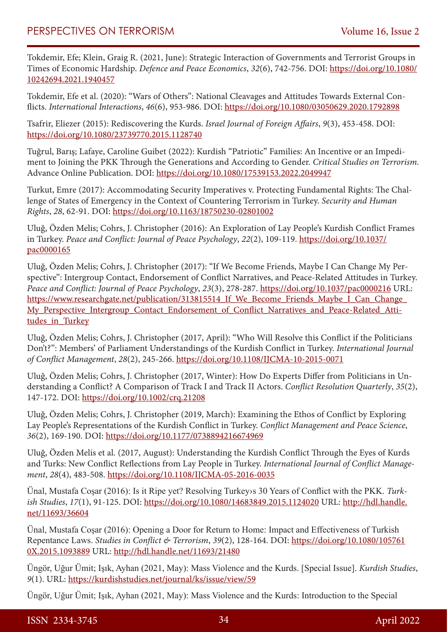Tokdemir, Efe; Klein, Graig R. (2021, June): Strategic Interaction of Governments and Terrorist Groups in Times of Economic Hardship. *Defence and Peace Economics*, *32*(6), 742-756. DOI: [https://doi.org/10.1080/](https://doi.org/10.1080/10242694.2021.1940457) [10242694.2021.1940457](https://doi.org/10.1080/10242694.2021.1940457)

Tokdemir, Efe et al. (2020): "Wars of Others": National Cleavages and Attitudes Towards External Conflicts. *International Interactions*, *46*(6), 953-986. DOI:<https://doi.org/10.1080/03050629.2020.1792898>

Tsafrir, Eliezer (2015): Rediscovering the Kurds. *Israel Journal of Foreign Affairs*, *9*(3), 453-458. DOI: <https://doi.org/10.1080/23739770.2015.1128740>

Tuğrul, Barış; Lafaye, Caroline Guibet (2022): Kurdish "Patriotic" Families: An Incentive or an Impediment to Joining the PKK Through the Generations and According to Gender. *Critical Studies on Terrorism.* Advance Online Publication. DOI:<https://doi.org/10.1080/17539153.2022.2049947>

Turkut, Emre (2017): Accommodating Security Imperatives v. Protecting Fundamental Rights: The Challenge of States of Emergency in the Context of Countering Terrorism in Turkey. *Security and Human Rights*, *28*, 62-91. DOI:<https://doi.org/10.1163/18750230-02801002>

Uluğ, Özden Melis; Cohrs, J. Christopher (2016): An Exploration of Lay People's Kurdish Conflict Frames in Turkey. *Peace and Conflict: Journal of Peace Psychology*, *22*(2), 109-119. [https://doi.org/10.1037/](https://doi.org/10.1037/pac0000165) [pac0000165](https://doi.org/10.1037/pac0000165)

Uluğ, Özden Melis; Cohrs, J. Christopher (2017): "If We Become Friends, Maybe I Can Change My Perspective": Intergroup Contact, Endorsement of Conflict Narratives, and Peace-Related Attitudes in Turkey. *Peace and Conflict: Journal of Peace Psychology*, *23*(3), 278-287. <https://doi.org/10.1037/pac0000216>URL: [https://www.researchgate.net/publication/313815514\\_If\\_We\\_Become\\_Friends\\_Maybe\\_I\\_Can\\_Change\\_](https://www.researchgate.net/publication/313815514_If_We_Become_Friends_Maybe_I_Can_Change_My_Perspective_Intergroup_Contact_Endorsement_of_Conflict_Narratives_and_Peace-Related_Attitudes_in_Turkey) My Perspective Intergroup Contact Endorsement of Conflict Narratives and Peace-Related Atti[tudes\\_in\\_Turkey](https://www.researchgate.net/publication/313815514_If_We_Become_Friends_Maybe_I_Can_Change_My_Perspective_Intergroup_Contact_Endorsement_of_Conflict_Narratives_and_Peace-Related_Attitudes_in_Turkey)

Uluğ, Özden Melis; Cohrs, J. Christopher (2017, April): "Who Will Resolve this Conflict if the Politicians Don't?": Members' of Parliament Understandings of the Kurdish Conflict in Turkey. *International Journal of Conflict Management*, *28*(2), 245-266. <https://doi.org/10.1108/IJCMA-10-2015-0071>

Uluğ, Özden Melis; Cohrs, J. Christopher (2017, Winter): How Do Experts Differ from Politicians in Understanding a Conflict? A Comparison of Track I and Track II Actors. *Conflict Resolution Quarterly*, *35*(2), 147-172. DOI:<https://doi.org/10.1002/crq.21208>

Uluğ, Özden Melis; Cohrs, J. Christopher (2019, March): Examining the Ethos of Conflict by Exploring Lay People's Representations of the Kurdish Conflict in Turkey. *Conflict Management and Peace Science*, *36*(2), 169-190. DOI: <https://doi.org/10.1177/0738894216674969>

Uluğ, Özden Melis et al. (2017, August): Understanding the Kurdish Conflict Through the Eyes of Kurds and Turks: New Conflict Reflections from Lay People in Turkey. *International Journal of Conflict Management*, *28*(4), 483-508.<https://doi.org/10.1108/IJCMA-05-2016-0035>

Ünal, Mustafa Coşar (2016): Is it Ripe yet? Resolving Turkey›s 30 Years of Conflict with the PKK. *Turkish Studies*, *17*(1), 91-125. DOI: <https://doi.org/10.1080/14683849.2015.1124020>URL: [http://hdl.handle.](http://hdl.handle.net/11693/36604) [net/11693/36604](http://hdl.handle.net/11693/36604)

Ünal, Mustafa Coşar (2016): Opening a Door for Return to Home: Impact and Effectiveness of Turkish Repentance Laws. *Studies in Conflict & Terrorism*, *39*(2), 128-164. DOI: [https://doi.org/10.1080/105761](https://doi.org/10.1080/1057610X.2015.1093889) [0X.2015.1093889](https://doi.org/10.1080/1057610X.2015.1093889) URL: <http://hdl.handle.net/11693/21480>

Üngör, Uğur Ümit; Işık, Ayhan (2021, May): Mass Violence and the Kurds. [Special Issue]. *Kurdish Studies*, *9*(1). URL: <https://kurdishstudies.net/journal/ks/issue/view/59>

Üngör, Uğur Ümit; Işık, Ayhan (2021, May): Mass Violence and the Kurds: Introduction to the Special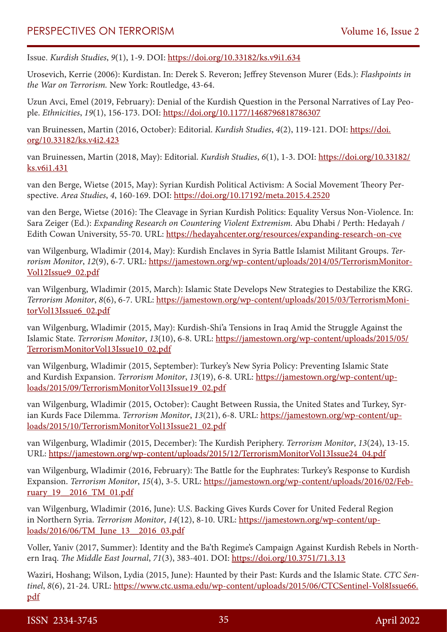Issue. *Kurdish Studies*, *9*(1), 1-9. DOI: <https://doi.org/10.33182/ks.v9i1.634>

Urosevich, Kerrie (2006): Kurdistan. In: Derek S. Reveron; Jeffrey Stevenson Murer (Eds.): *Flashpoints in the War on Terrorism.* New York: Routledge, 43-64.

Uzun Avci, Emel (2019, February): Denial of the Kurdish Question in the Personal Narratives of Lay People. *Ethnicities*, *19*(1), 156-173. DOI:<https://doi.org/10.1177/1468796818786307>

van Bruinessen, Martin (2016, October): Editorial. *Kurdish Studies*, *4*(2), 119-121. DOI: [https://doi.](https://doi.org/10.33182/ks.v4i2.423) [org/10.33182/ks.v4i2.423](https://doi.org/10.33182/ks.v4i2.423)

van Bruinessen, Martin (2018, May): Editorial. *Kurdish Studies*, *6*(1), 1-3. DOI: [https://doi.org/10.33182/](https://doi.org/10.33182/ks.v6i1.431) [ks.v6i1.431](https://doi.org/10.33182/ks.v6i1.431)

van den Berge, Wietse (2015, May): Syrian Kurdish Political Activism: A Social Movement Theory Perspective. *Area Studies*, *4*, 160-169. DOI: <https://doi.org/10.17192/meta.2015.4.2520>

van den Berge, Wietse (2016): The Cleavage in Syrian Kurdish Politics: Equality Versus Non-Violence. In: Sara Zeiger (Ed.): *Expanding Research on Countering Violent Extremism.* Abu Dhabi / Perth: Hedayah / Edith Cowan University, 55-70. URL:<https://hedayahcenter.org/resources/expanding-research-on-cve>

van Wilgenburg, Wladimir (2014, May): Kurdish Enclaves in Syria Battle Islamist Militant Groups. *Terrorism Monitor*, *12*(9), 6-7. URL: [https://jamestown.org/wp-content/uploads/2014/05/TerrorismMonitor-](https://jamestown.org/wp-content/uploads/2014/05/TerrorismMonitorVol12Issue9_02.pdf)[Vol12Issue9\\_02.pdf](https://jamestown.org/wp-content/uploads/2014/05/TerrorismMonitorVol12Issue9_02.pdf)

van Wilgenburg, Wladimir (2015, March): Islamic State Develops New Strategies to Destabilize the KRG. *Terrorism Monitor*, *8*(6), 6-7. URL: [https://jamestown.org/wp-content/uploads/2015/03/TerrorismMoni](https://jamestown.org/wp-content/uploads/2015/03/TerrorismMonitorVol13Issue6_02.pdf)[torVol13Issue6\\_02.pdf](https://jamestown.org/wp-content/uploads/2015/03/TerrorismMonitorVol13Issue6_02.pdf)

van Wilgenburg, Wladimir (2015, May): Kurdish-Shi'a Tensions in Iraq Amid the Struggle Against the Islamic State. *Terrorism Monitor*, *13*(10), 6-8. URL: [https://jamestown.org/wp-content/uploads/2015/05/](https://jamestown.org/wp-content/uploads/2015/05/TerrorismMonitorVol13Issue10_02.pdf) [TerrorismMonitorVol13Issue10\\_02.pdf](https://jamestown.org/wp-content/uploads/2015/05/TerrorismMonitorVol13Issue10_02.pdf)

van Wilgenburg, Wladimir (2015, September): Turkey's New Syria Policy: Preventing Islamic State and Kurdish Expansion. *Terrorism Monitor*, *13*(19), 6-8. URL: [https://jamestown.org/wp-content/up](https://jamestown.org/wp-content/uploads/2015/09/TerrorismMonitorVol13Issue19_02.pdf)[loads/2015/09/TerrorismMonitorVol13Issue19\\_02.pdf](https://jamestown.org/wp-content/uploads/2015/09/TerrorismMonitorVol13Issue19_02.pdf)

van Wilgenburg, Wladimir (2015, October): Caught Between Russia, the United States and Turkey, Syrian Kurds Face Dilemma. *Terrorism Monitor*, *13*(21), 6-8. URL: [https://jamestown.org/wp-content/up](https://jamestown.org/wp-content/uploads/2015/10/TerrorismMonitorVol13Issue21_02.pdf)[loads/2015/10/TerrorismMonitorVol13Issue21\\_02.pdf](https://jamestown.org/wp-content/uploads/2015/10/TerrorismMonitorVol13Issue21_02.pdf)

van Wilgenburg, Wladimir (2015, December): The Kurdish Periphery. *Terrorism Monitor*, *13*(24), 13-15. URL: [https://jamestown.org/wp-content/uploads/2015/12/TerrorismMonitorVol13Issue24\\_04.pdf](https://jamestown.org/wp-content/uploads/2015/12/TerrorismMonitorVol13Issue24_04.pdf)

van Wilgenburg, Wladimir (2016, February): The Battle for the Euphrates: Turkey's Response to Kurdish Expansion. *Terrorism Monitor*, *15*(4), 3-5. URL: [https://jamestown.org/wp-content/uploads/2016/02/Feb](https://jamestown.org/wp-content/uploads/2016/02/February_19__2016_TM_01.pdf)[ruary\\_19\\_\\_2016\\_TM\\_01.pdf](https://jamestown.org/wp-content/uploads/2016/02/February_19__2016_TM_01.pdf)

van Wilgenburg, Wladimir (2016, June): U.S. Backing Gives Kurds Cover for United Federal Region in Northern Syria. *Terrorism Monitor*, *14*(12), 8-10. URL: [https://jamestown.org/wp-content/up](https://jamestown.org/wp-content/uploads/2016/06/TM_June_13__2016_03.pdf)[loads/2016/06/TM\\_June\\_13\\_\\_2016\\_03.pdf](https://jamestown.org/wp-content/uploads/2016/06/TM_June_13__2016_03.pdf)

Voller, Yaniv (2017, Summer): Identity and the Ba'th Regime's Campaign Against Kurdish Rebels in Northern Iraq. *The Middle East Journal*, *71*(3), 383-401. DOI: <https://doi.org/10.3751/71.3.13>

Waziri, Hoshang; Wilson, Lydia (2015, June): Haunted by their Past: Kurds and the Islamic State. *CTC Sentinel*, *8*(6), 21-24. URL: [https://www.ctc.usma.edu/wp-content/uploads/2015/06/CTCSentinel-Vol8Issue66.](https://www.ctc.usma.edu/wp-content/uploads/2015/06/CTCSentinel-Vol8Issue66.pdf) [pdf](https://www.ctc.usma.edu/wp-content/uploads/2015/06/CTCSentinel-Vol8Issue66.pdf)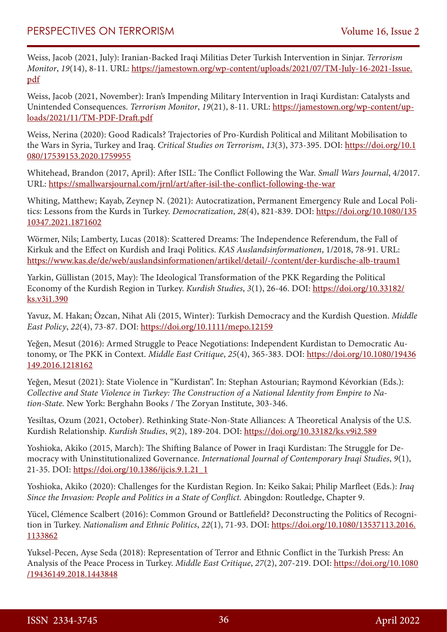Weiss, Jacob (2021, July): Iranian-Backed Iraqi Militias Deter Turkish Intervention in Sinjar. *Terrorism Monitor*, *19*(14), 8-11. URL: [https://jamestown.org/wp-content/uploads/2021/07/TM-July-16-2021-Issue.](https://jamestown.org/wp-content/uploads/2021/07/TM-July-16-2021-Issue.pdf) [pdf](https://jamestown.org/wp-content/uploads/2021/07/TM-July-16-2021-Issue.pdf)

Weiss, Jacob (2021, November): Iran's Impending Military Intervention in Iraqi Kurdistan: Catalysts and Unintended Consequences. *Terrorism Monitor*, *19*(21), 8-11. URL: [https://jamestown.org/wp-content/up](https://jamestown.org/wp-content/uploads/2021/11/TM-PDF-Draft.pdf)[loads/2021/11/TM-PDF-Draft.pdf](https://jamestown.org/wp-content/uploads/2021/11/TM-PDF-Draft.pdf)

Weiss, Nerina (2020): Good Radicals? Trajectories of Pro-Kurdish Political and Militant Mobilisation to the Wars in Syria, Turkey and Iraq. *Critical Studies on Terrorism*, *13*(3), 373-395. DOI: [https://doi.org/10.1](https://doi.org/10.1080/17539153.2020.1759955) [080/17539153.2020.1759955](https://doi.org/10.1080/17539153.2020.1759955)

Whitehead, Brandon (2017, April): After ISIL: The Conflict Following the War. *Small Wars Journal*, 4/2017. URL: <https://smallwarsjournal.com/jrnl/art/after-isil-the-conflict-following-the-war>

Whiting, Matthew; Kayab, Zeynep N. (2021): Autocratization, Permanent Emergency Rule and Local Politics: Lessons from the Kurds in Turkey. *Democratization*, *28*(4), 821-839. DOI: [https://doi.org/10.1080/135](https://doi.org/10.1080/13510347.2021.1871602) [10347.2021.1871602](https://doi.org/10.1080/13510347.2021.1871602)

Wörmer, Nils; Lamberty, Lucas (2018): Scattered Dreams: The Independence Referendum, the Fall of Kirkuk and the Effect on Kurdish and Iraqi Politics. *KAS Auslandsinformationen*, 1/2018, 78-91. URL: <https://www.kas.de/de/web/auslandsinformationen/artikel/detail/-/content/der-kurdische-alb-traum1>

Yarkin, Güllistan (2015, May): The Ideological Transformation of the PKK Regarding the Political Economy of the Kurdish Region in Turkey. *Kurdish Studies*, *3*(1), 26-46. DOI: [https://doi.org/10.33182/](https://doi.org/10.33182/ks.v3i1.390) [ks.v3i1.390](https://doi.org/10.33182/ks.v3i1.390)

Yavuz, M. Hakan; Özcan, Nihat Ali (2015, Winter): Turkish Democracy and the Kurdish Question. *Middle East Policy*, *22*(4), 73-87. DOI:<https://doi.org/10.1111/mepo.12159>

Yeğen, Mesut (2016): Armed Struggle to Peace Negotiations: Independent Kurdistan to Democratic Autonomy, or The PKK in Context. *Middle East Critique*, *25*(4), 365-383. DOI: [https://doi.org/10.1080/19436](https://doi.org/10.1080/19436149.2016.1218162) [149.2016.1218162](https://doi.org/10.1080/19436149.2016.1218162)

Yeğen, Mesut (2021): State Violence in "Kurdistan". In: Stephan Astourian; Raymond Kévorkian (Eds.): *Collective and State Violence in Turkey: The Construction of a National Identity from Empire to Nation-State.* New York: Berghahn Books / The Zoryan Institute, 303-346.

Yesiltas, Ozum (2021, October). Rethinking State-Non-State Alliances: A Theoretical Analysis of the U.S. Kurdish Relationship. *Kurdish Studies*, *9*(2), 189-204. DOI:<https://doi.org/10.33182/ks.v9i2.589>

Yoshioka, Akiko (2015, March): The Shifting Balance of Power in Iraqi Kurdistan: The Struggle for Democracy with Uninstitutionalized Governance. *International Journal of Contemporary Iraqi Studies*, *9*(1), 21-35. DOI: [https://doi.org/10.1386/ijcis.9.1.21\\_1](https://doi.org/10.1386/ijcis.9.1.21_1)

Yoshioka, Akiko (2020): Challenges for the Kurdistan Region. In: Keiko Sakai; Philip Marfleet (Eds.): *Iraq Since the Invasion: People and Politics in a State of Conflict.* Abingdon: Routledge, Chapter 9.

Yücel, Clémence Scalbert (2016): Common Ground or Battlefield? Deconstructing the Politics of Recognition in Turkey. *Nationalism and Ethnic Politics*, *22*(1), 71-93. DOI: [https://doi.org/10.1080/13537113.2016.](https://doi.org/10.1080/13537113.2016.1133862) [1133862](https://doi.org/10.1080/13537113.2016.1133862)

Yuksel-Pecen, Ayse Seda (2018): Representation of Terror and Ethnic Conflict in the Turkish Press: An Analysis of the Peace Process in Turkey. *Middle East Critique*, *27*(2), 207-219. DOI: [https://doi.org/10.1080](https://doi.org/10.1080/19436149.2018.1443848) [/19436149.2018.1443848](https://doi.org/10.1080/19436149.2018.1443848)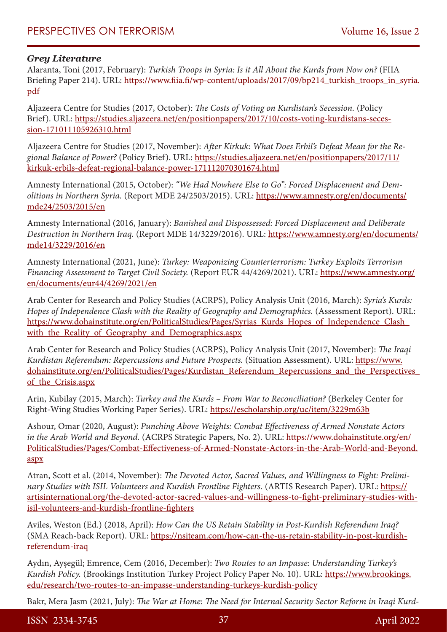## *Grey Literature*

Alaranta, Toni (2017, February): *Turkish Troops in Syria: Is it All About the Kurds from Now on?* (FIIA Briefing Paper 214). URL: [https://www.fiia.fi/wp-content/uploads/2017/09/bp214\\_turkish\\_troops\\_in\\_syria.](https://www.fiia.fi/wp-content/uploads/2017/09/bp214_turkish_troops_in_syria.pdf) [pdf](https://www.fiia.fi/wp-content/uploads/2017/09/bp214_turkish_troops_in_syria.pdf)

Aljazeera Centre for Studies (2017, October): *The Costs of Voting on Kurdistan's Secession.* (Policy Brief). URL: [https://studies.aljazeera.net/en/positionpapers/2017/10/costs-voting-kurdistans-seces](https://studies.aljazeera.net/en/positionpapers/2017/10/costs-voting-kurdistans-secession-171011105926310.html)[sion-171011105926310.html](https://studies.aljazeera.net/en/positionpapers/2017/10/costs-voting-kurdistans-secession-171011105926310.html)

Aljazeera Centre for Studies (2017, November): *After Kirkuk: What Does Erbil's Defeat Mean for the Regional Balance of Power?* (Policy Brief). URL: [https://studies.aljazeera.net/en/positionpapers/2017/11/](https://studies.aljazeera.net/en/positionpapers/2017/11/kirkuk-erbils-defeat-regional-balance-power-171112070301674.html) [kirkuk-erbils-defeat-regional-balance-power-171112070301674.html](https://studies.aljazeera.net/en/positionpapers/2017/11/kirkuk-erbils-defeat-regional-balance-power-171112070301674.html)

Amnesty International (2015, October): *"We Had Nowhere Else to Go": Forced Displacement and Demolitions in Northern Syria.* (Report MDE 24/2503/2015). URL: [https://www.amnesty.org/en/documents/](https://www.amnesty.org/en/documents/mde24/2503/2015/en) [mde24/2503/2015/en](https://www.amnesty.org/en/documents/mde24/2503/2015/en)

Amnesty International (2016, January): *Banished and Dispossessed: Forced Displacement and Deliberate Destruction in Northern Iraq.* (Report MDE 14/3229/2016). URL: [https://www.amnesty.org/en/documents/](https://www.amnesty.org/en/documents/mde14/3229/2016/en) [mde14/3229/2016/en](https://www.amnesty.org/en/documents/mde14/3229/2016/en)

Amnesty International (2021, June): *Turkey: Weaponizing Counterterrorism: Turkey Exploits Terrorism Financing Assessment to Target Civil Society.* (Report EUR 44/4269/2021). URL: [https://www.amnesty.org/](https://www.amnesty.org/en/documents/eur44/4269/2021/en) [en/documents/eur44/4269/2021/en](https://www.amnesty.org/en/documents/eur44/4269/2021/en)

Arab Center for Research and Policy Studies (ACRPS), Policy Analysis Unit (2016, March): *Syria's Kurds: Hopes of Independence Clash with the Reality of Geography and Demographics.* (Assessment Report). URL: https://www.dohainstitute.org/en/PoliticalStudies/Pages/Syrias\_Kurds\_Hopes\_of\_Independence\_Clash with the Reality of Geography and Demographics.aspx

Arab Center for Research and Policy Studies (ACRPS), Policy Analysis Unit (2017, November): *The Iraqi Kurdistan Referendum: Repercussions and Future Prospects.* (Situation Assessment). URL: [https://www.](https://www.dohainstitute.org/en/PoliticalStudies/Pages/Kurdistan_Referendum_Repercussions_and_the_Perspectives_of_the_Crisis.aspx) [dohainstitute.org/en/PoliticalStudies/Pages/Kurdistan\\_Referendum\\_Repercussions\\_and\\_the\\_Perspectives\\_](https://www.dohainstitute.org/en/PoliticalStudies/Pages/Kurdistan_Referendum_Repercussions_and_the_Perspectives_of_the_Crisis.aspx) [of\\_the\\_Crisis.aspx](https://www.dohainstitute.org/en/PoliticalStudies/Pages/Kurdistan_Referendum_Repercussions_and_the_Perspectives_of_the_Crisis.aspx)

Arin, Kubilay (2015, March): *Turkey and the Kurds – From War to Reconciliation?* (Berkeley Center for Right-Wing Studies Working Paper Series). URL: <https://escholarship.org/uc/item/3229m63b>

Ashour, Omar (2020, August): *Punching Above Weights: Combat Effectiveness of Armed Nonstate Actors*  in the Arab World and Beyond. (ACRPS Strategic Papers, No. 2). URL: [https://www.dohainstitute.org/en/](https://www.dohainstitute.org/en/PoliticalStudies/Pages/Combat-Effectiveness-of-Armed-Nonstate-Actors-in-the-Arab-World-and-Beyond.aspx) [PoliticalStudies/Pages/Combat-Effectiveness-of-Armed-Nonstate-Actors-in-the-Arab-World-and-Beyond.](https://www.dohainstitute.org/en/PoliticalStudies/Pages/Combat-Effectiveness-of-Armed-Nonstate-Actors-in-the-Arab-World-and-Beyond.aspx) [aspx](https://www.dohainstitute.org/en/PoliticalStudies/Pages/Combat-Effectiveness-of-Armed-Nonstate-Actors-in-the-Arab-World-and-Beyond.aspx)

Atran, Scott et al. (2014, November): *The Devoted Actor, Sacred Values, and Willingness to Fight: Preliminary Studies with ISIL Volunteers and Kurdish Frontline Fighters.* (ARTIS Research Paper). URL: [https://](https://artisinternational.org/the-devoted-actor-sacred-values-and-willingness-to-fight-preliminary-studies-with-isil-volunteers-and-kurdish-frontline-fighters) [artisinternational.org/the-devoted-actor-sacred-values-and-willingness-to-fight-preliminary-studies-with](https://artisinternational.org/the-devoted-actor-sacred-values-and-willingness-to-fight-preliminary-studies-with-isil-volunteers-and-kurdish-frontline-fighters)[isil-volunteers-and-kurdish-frontline-fighters](https://artisinternational.org/the-devoted-actor-sacred-values-and-willingness-to-fight-preliminary-studies-with-isil-volunteers-and-kurdish-frontline-fighters)

Aviles, Weston (Ed.) (2018, April): *How Can the US Retain Stability in Post-Kurdish Referendum Iraq?* (SMA Reach-back Report). URL: [https://nsiteam.com/how-can-the-us-retain-stability-in-post-kurdish](https://nsiteam.com/how-can-the-us-retain-stability-in-post-kurdish-referendum-iraq)[referendum-iraq](https://nsiteam.com/how-can-the-us-retain-stability-in-post-kurdish-referendum-iraq)

Aydın, Ayşegül; Emrence, Cem (2016, December): *Two Routes to an Impasse: Understanding Turkey's Kurdish Policy.* (Brookings Institution Turkey Project Policy Paper No. 10). URL: [https://www.brookings.](https://www.brookings.edu/research/two-routes-to-an-impasse-understanding-turkeys-kurdish-policy) [edu/research/two-routes-to-an-impasse-understanding-turkeys-kurdish-policy](https://www.brookings.edu/research/two-routes-to-an-impasse-understanding-turkeys-kurdish-policy)

Bakr, Mera Jasm (2021, July): *The War at Home: The Need for Internal Security Sector Reform in Iraqi Kurd-*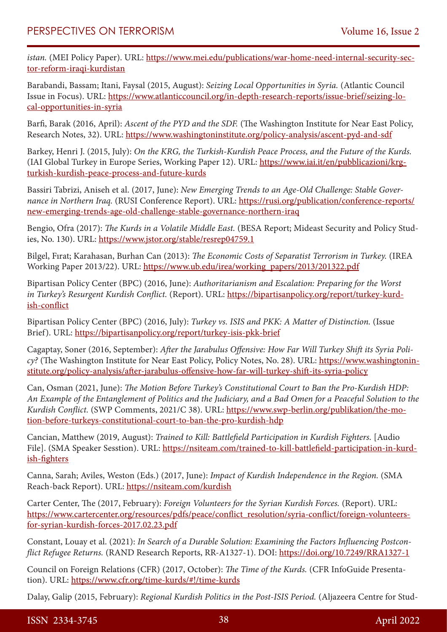*istan.* (MEI Policy Paper). URL: [https://www.mei.edu/publications/war-home-need-internal-security-sec](https://www.mei.edu/publications/war-home-need-internal-security-sector-reform-iraqi-kurdistan)[tor-reform-iraqi-kurdistan](https://www.mei.edu/publications/war-home-need-internal-security-sector-reform-iraqi-kurdistan)

Barabandi, Bassam; Itani, Faysal (2015, August): *Seizing Local Opportunities in Syria.* (Atlantic Council Issue in Focus). URL: [https://www.atlanticcouncil.org/in-depth-research-reports/issue-brief/seizing-lo](https://www.atlanticcouncil.org/in-depth-research-reports/issue-brief/seizing-local-opportunities-in-syria)[cal-opportunities-in-syria](https://www.atlanticcouncil.org/in-depth-research-reports/issue-brief/seizing-local-opportunities-in-syria)

Barfi, Barak (2016, April): *Ascent of the PYD and the SDF.* (The Washington Institute for Near East Policy, Research Notes, 32). URL:<https://www.washingtoninstitute.org/policy-analysis/ascent-pyd-and-sdf>

Barkey, Henri J. (2015, July): *On the KRG, the Turkish-Kurdish Peace Process, and the Future of the Kurds.* (IAI Global Turkey in Europe Series, Working Paper 12). URL: [https://www.iai.it/en/pubblicazioni/krg](https://www.iai.it/en/pubblicazioni/krg-turkish-kurdish-peace-process-and-future-kurds)[turkish-kurdish-peace-process-and-future-kurds](https://www.iai.it/en/pubblicazioni/krg-turkish-kurdish-peace-process-and-future-kurds)

Bassiri Tabrizi, Aniseh et al. (2017, June): *New Emerging Trends to an Age-Old Challenge: Stable Governance in Northern Iraq.* (RUSI Conference Report). URL: [https://rusi.org/publication/conference-reports/](https://rusi.org/publication/conference-reports/new-emerging-trends-age-old-challenge-stable-governance-northern-iraq) [new-emerging-trends-age-old-challenge-stable-governance-northern-iraq](https://rusi.org/publication/conference-reports/new-emerging-trends-age-old-challenge-stable-governance-northern-iraq)

Bengio, Ofra (2017): *The Kurds in a Volatile Middle East.* (BESA Report; Mideast Security and Policy Studies, No. 130). URL: <https://www.jstor.org/stable/resrep04759.1>

Bilgel, Fırat; Karahasan, Burhan Can (2013): *The Economic Costs of Separatist Terrorism in Turkey.* (IREA Working Paper 2013/22). URL: [https://www.ub.edu/irea/working\\_papers/2013/201322.pdf](https://www.ub.edu/irea/working_papers/2013/201322.pdf)

Bipartisan Policy Center (BPC) (2016, June): *Authoritarianism and Escalation: Preparing for the Worst in Turkey's Resurgent Kurdish Conflict.* (Report). URL: [https://bipartisanpolicy.org/report/turkey-kurd](https://bipartisanpolicy.org/report/turkey-kurdish-conflict)[ish-conflict](https://bipartisanpolicy.org/report/turkey-kurdish-conflict)

Bipartisan Policy Center (BPC) (2016, July): *Turkey vs. ISIS and PKK: A Matter of Distinction.* (Issue Brief). URL: <https://bipartisanpolicy.org/report/turkey-isis-pkk-brief>

Cagaptay, Soner (2016, September): *After the Jarabulus Offensive: How Far Will Turkey Shift its Syria Policy?* (The Washington Institute for Near East Policy, Policy Notes, No. 28). URL: [https://www.washingtonin](https://www.washingtoninstitute.org/policy-analysis/after-jarabulus-offensive-how-far-will-turkey-shift-its-syria-policy)[stitute.org/policy-analysis/after-jarabulus-offensive-how-far-will-turkey-shift-its-syria-policy](https://www.washingtoninstitute.org/policy-analysis/after-jarabulus-offensive-how-far-will-turkey-shift-its-syria-policy)

Can, Osman (2021, June): *The Motion Before Turkey's Constitutional Court to Ban the Pro-Kurdish HDP: An Example of the Entanglement of Politics and the Judiciary, and a Bad Omen for a Peaceful Solution to the Kurdish Conflict.* (SWP Comments, 2021/C 38). URL: [https://www.swp-berlin.org/publikation/the-mo](https://www.swp-berlin.org/publikation/the-motion-before-turkeys-constitutional-court-to-ban-the-pro-kurdish-hdp)[tion-before-turkeys-constitutional-court-to-ban-the-pro-kurdish-hdp](https://www.swp-berlin.org/publikation/the-motion-before-turkeys-constitutional-court-to-ban-the-pro-kurdish-hdp)

Cancian, Matthew (2019, August): *Trained to Kill: Battlefield Participation in Kurdish Fighters.* [Audio File]. (SMA Speaker Sesstion). URL: [https://nsiteam.com/trained-to-kill-battlefield-participation-in-kurd](https://nsiteam.com/trained-to-kill-battlefield-participation-in-kurdish-fighters)[ish-fighters](https://nsiteam.com/trained-to-kill-battlefield-participation-in-kurdish-fighters)

Canna, Sarah; Aviles, Weston (Eds.) (2017, June): *Impact of Kurdish Independence in the Region.* (SMA Reach-back Report). URL: <https://nsiteam.com/kurdish>

Carter Center, The (2017, February): *Foreign Volunteers for the Syrian Kurdish Forces.* (Report). URL: [https://www.cartercenter.org/resources/pdfs/peace/conflict\\_resolution/syria-conflict/foreign-volunteers](https://www.cartercenter.org/resources/pdfs/peace/conflict_resolution/syria-conflict/foreign-volunteers-for-syrian-kurdish-forces-2017.02.23.pdf)[for-syrian-kurdish-forces-2017.02.23.pdf](https://www.cartercenter.org/resources/pdfs/peace/conflict_resolution/syria-conflict/foreign-volunteers-for-syrian-kurdish-forces-2017.02.23.pdf)

Constant, Louay et al. (2021): *In Search of a Durable Solution: Examining the Factors Influencing Postconflict Refugee Returns.* (RAND Research Reports, RR-A1327-1). DOI: <https://doi.org/10.7249/RRA1327-1>

Council on Foreign Relations (CFR) (2017, October): *The Time of the Kurds.* (CFR InfoGuide Presentation). URL: https://www.cfr.org/time-kurds/#!/time-kurds

Dalay, Galip (2015, February): *Regional Kurdish Politics in the Post-ISIS Period.* (Aljazeera Centre for Stud-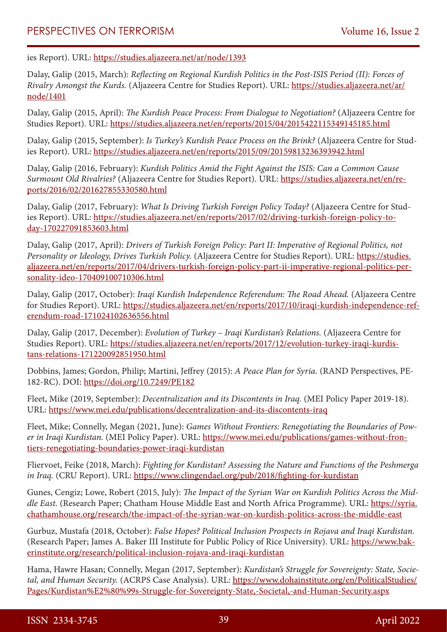ies Report). URL: <https://studies.aljazeera.net/ar/node/1393>

Dalay, Galip (2015, March): *Reflecting on Regional Kurdish Politics in the Post-ISIS Period (II): Forces of Rivalry Amongst the Kurds.* (Aljazeera Centre for Studies Report). URL: [https://studies.aljazeera.net/ar/](https://studies.aljazeera.net/ar/node/1401) [node/1401](https://studies.aljazeera.net/ar/node/1401)

Dalay, Galip (2015, April): *The Kurdish Peace Process: From Dialogue to Negotiation?* (Aljazeera Centre for Studies Report). URL: <https://studies.aljazeera.net/en/reports/2015/04/2015422115349145185.html>

Dalay, Galip (2015, September): *Is Turkey's Kurdish Peace Process on the Brink?* (Aljazeera Centre for Studies Report). URL: <https://studies.aljazeera.net/en/reports/2015/09/20159813236393942.html>

Dalay, Galip (2016, February): *Kurdish Politics Amid the Fight Against the ISIS: Can a Common Cause Surmount Old Rivalries?* (Aljazeera Centre for Studies Report). URL: [https://studies.aljazeera.net/en/re](https://studies.aljazeera.net/en/reports/2016/02/201627855330580.html)[ports/2016/02/201627855330580.html](https://studies.aljazeera.net/en/reports/2016/02/201627855330580.html)

Dalay, Galip (2017, February): *What Is Driving Turkish Foreign Policy Today?* (Aljazeera Centre for Studies Report). URL: [https://studies.aljazeera.net/en/reports/2017/02/driving-turkish-foreign-policy-to](https://studies.aljazeera.net/en/reports/2017/02/driving-turkish-foreign-policy-today-170227091853603.html)[day-170227091853603.html](https://studies.aljazeera.net/en/reports/2017/02/driving-turkish-foreign-policy-today-170227091853603.html)

Dalay, Galip (2017, April): *Drivers of Turkish Foreign Policy: Part II: Imperative of Regional Politics, not Personality or Ideology, Drives Turkish Policy.* (Aljazeera Centre for Studies Report). URL: [https://studies.](https://studies.aljazeera.net/en/reports/2017/04/drivers-turkish-foreign-policy-part-ii-imperative-regional-politics-personality-ideo-170409100710306.html) [aljazeera.net/en/reports/2017/04/drivers-turkish-foreign-policy-part-ii-imperative-regional-politics-per](https://studies.aljazeera.net/en/reports/2017/04/drivers-turkish-foreign-policy-part-ii-imperative-regional-politics-personality-ideo-170409100710306.html)[sonality-ideo-170409100710306.html](https://studies.aljazeera.net/en/reports/2017/04/drivers-turkish-foreign-policy-part-ii-imperative-regional-politics-personality-ideo-170409100710306.html)

Dalay, Galip (2017, October): *Iraqi Kurdish Independence Referendum: The Road Ahead.* (Aljazeera Centre for Studies Report). URL: [https://studies.aljazeera.net/en/reports/2017/10/iraqi-kurdish-independence-ref](https://studies.aljazeera.net/en/reports/2017/10/iraqi-kurdish-independence-referendum-road-171024102636556.html)[erendum-road-171024102636556.html](https://studies.aljazeera.net/en/reports/2017/10/iraqi-kurdish-independence-referendum-road-171024102636556.html)

Dalay, Galip (2017, December): *Evolution of Turkey – Iraqi Kurdistan's Relations.* (Aljazeera Centre for Studies Report). URL: [https://studies.aljazeera.net/en/reports/2017/12/evolution-turkey-iraqi-kurdis](https://studies.aljazeera.net/en/reports/2017/12/evolution-turkey-iraqi-kurdistans-relations-171220092851950.html)[tans-relations-171220092851950.html](https://studies.aljazeera.net/en/reports/2017/12/evolution-turkey-iraqi-kurdistans-relations-171220092851950.html)

Dobbins, James; Gordon, Philip; Martini, Jeffrey (2015): *A Peace Plan for Syria.* (RAND Perspectives, PE-182-RC). DOI: <https://doi.org/10.7249/PE182>

Fleet, Mike (2019, September): *Decentralization and its Discontents in Iraq.* (MEI Policy Paper 2019-18). URL: <https://www.mei.edu/publications/decentralization-and-its-discontents-iraq>

Fleet, Mike; Connelly, Megan (2021, June): *Games Without Frontiers: Renegotiating the Boundaries of Power in Iraqi Kurdistan.* (MEI Policy Paper). URL: [https://www.mei.edu/publications/games-without-fron](https://www.mei.edu/publications/games-without-frontiers-renegotiating-boundaries-power-iraqi-kurdistan)[tiers-renegotiating-boundaries-power-iraqi-kurdistan](https://www.mei.edu/publications/games-without-frontiers-renegotiating-boundaries-power-iraqi-kurdistan)

Fliervoet, Feike (2018, March): *Fighting for Kurdistan? Assessing the Nature and Functions of the Peshmerga in Iraq.* (CRU Report). URL:<https://www.clingendael.org/pub/2018/fighting-for-kurdistan>

Gunes, Cengiz; Lowe, Robert (2015, July): *The Impact of the Syrian War on Kurdish Politics Across the Middle East.* (Research Paper; Chatham House Middle East and North Africa Programme). URL: [https://syria.](https://syria.chathamhouse.org/research/the-impact-of-the-syrian-war-on-kurdish-politics-across-the-middle-east) [chathamhouse.org/research/the-impact-of-the-syrian-war-on-kurdish-politics-across-the-middle-east](https://syria.chathamhouse.org/research/the-impact-of-the-syrian-war-on-kurdish-politics-across-the-middle-east)

Gurbuz, Mustafa (2018, October): *False Hopes? Political Inclusion Prospects in Rojava and Iraqi Kurdistan.* (Research Paper; James A. Baker III Institute for Public Policy of Rice University). URL: [https://www.bak](https://www.bakerinstitute.org/research/political-inclusion-rojava-and-iraqi-kurdistan)[erinstitute.org/research/political-inclusion-rojava-and-iraqi-kurdistan](https://www.bakerinstitute.org/research/political-inclusion-rojava-and-iraqi-kurdistan)

Hama, Hawre Hasan; Connelly, Megan (2017, September): *Kurdistan's Struggle for Sovereignty: State, Societal, and Human Security.* (ACRPS Case Analysis). URL: [https://www.dohainstitute.org/en/PoliticalStudies/](https://www.dohainstitute.org/en/PoliticalStudies/Pages/Kurdistan%E2%80%99s-Struggle-for-Sovereignty-State,-Societal,-and-Human-Security.aspx) [Pages/Kurdistan%E2%80%99s-Struggle-for-Sovereignty-State,-Societal,-and-Human-Security.aspx](https://www.dohainstitute.org/en/PoliticalStudies/Pages/Kurdistan%E2%80%99s-Struggle-for-Sovereignty-State,-Societal,-and-Human-Security.aspx)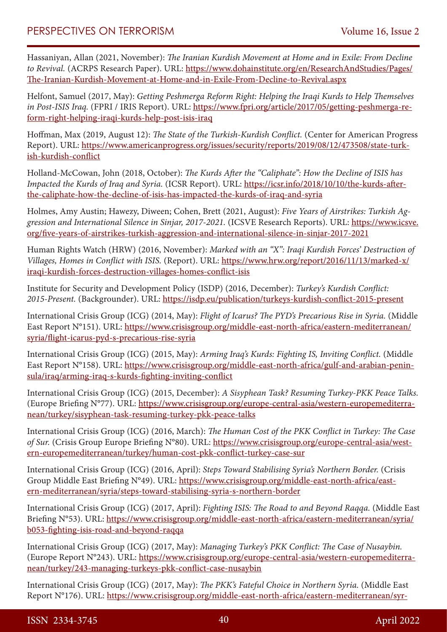Hassaniyan, Allan (2021, November): *The Iranian Kurdish Movement at Home and in Exile: From Decline to Revival.* (ACRPS Research Paper). URL: [https://www.dohainstitute.org/en/ResearchAndStudies/Pages/](https://www.dohainstitute.org/en/ResearchAndStudies/Pages/The-Iranian-Kurdish-Movement-at-Home-and-in-Exile-From-Decline-to-Revival.aspx) [The-Iranian-Kurdish-Movement-at-Home-and-in-Exile-From-Decline-to-Revival.aspx](https://www.dohainstitute.org/en/ResearchAndStudies/Pages/The-Iranian-Kurdish-Movement-at-Home-and-in-Exile-From-Decline-to-Revival.aspx)

Helfont, Samuel (2017, May): *Getting Peshmerga Reform Right: Helping the Iraqi Kurds to Help Themselves in Post-ISIS Iraq.* (FPRI / IRIS Report). URL: [https://www.fpri.org/article/2017/05/getting-peshmerga-re](https://www.fpri.org/article/2017/05/getting-peshmerga-reform-right-helping-iraqi-kurds-help-post-isis-iraq)[form-right-helping-iraqi-kurds-help-post-isis-iraq](https://www.fpri.org/article/2017/05/getting-peshmerga-reform-right-helping-iraqi-kurds-help-post-isis-iraq)

Hoffman, Max (2019, August 12): *The State of the Turkish-Kurdish Conflict.* (Center for American Progress Report). URL: [https://www.americanprogress.org/issues/security/reports/2019/08/12/473508/state-turk](https://www.americanprogress.org/issues/security/reports/2019/08/12/473508/state-turkish-kurdish-conflict)[ish-kurdish-conflict](https://www.americanprogress.org/issues/security/reports/2019/08/12/473508/state-turkish-kurdish-conflict)

Holland-McCowan, John (2018, October): *The Kurds After the "Caliphate": How the Decline of ISIS has Impacted the Kurds of Iraq and Syria.* (ICSR Report). URL: [https://icsr.info/2018/10/10/the-kurds-after](https://icsr.info/2018/10/10/the-kurds-after-the-caliphate-how-the-decline-of-isis-has-impacted-the-kurds-of-iraq-and-syria)[the-caliphate-how-the-decline-of-isis-has-impacted-the-kurds-of-iraq-and-syria](https://icsr.info/2018/10/10/the-kurds-after-the-caliphate-how-the-decline-of-isis-has-impacted-the-kurds-of-iraq-and-syria)

Holmes, Amy Austin; Hawezy, Diween; Cohen, Brett (2021, August): *Five Years of Airstrikes: Turkish Aggression and International Silence in Sinjar, 2017-2021.* (ICSVE Research Reports). URL: [https://www.icsve.](https://www.icsve.org/five-years-of-airstrikes-turkish-aggression-and-international-silence-in-sinjar-2017-2021) [org/five-years-of-airstrikes-turkish-aggression-and-international-silence-in-sinjar-2017-2021](https://www.icsve.org/five-years-of-airstrikes-turkish-aggression-and-international-silence-in-sinjar-2017-2021)

Human Rights Watch (HRW) (2016, November): *Marked with an "X": Iraqi Kurdish Forces' Destruction of Villages, Homes in Conflict with ISIS.* (Report). URL: [https://www.hrw.org/report/2016/11/13/marked-x/](https://www.hrw.org/report/2016/11/13/marked-x/iraqi-kurdish-forces-destruction-villages-homes-conflict-isis) [iraqi-kurdish-forces-destruction-villages-homes-conflict-isis](https://www.hrw.org/report/2016/11/13/marked-x/iraqi-kurdish-forces-destruction-villages-homes-conflict-isis)

Institute for Security and Development Policy (ISDP) (2016, December): *Turkey's Kurdish Conflict: 2015-Present.* (Backgrounder). URL: <https://isdp.eu/publication/turkeys-kurdish-conflict-2015-present>

International Crisis Group (ICG) (2014, May): *Flight of Icarus? The PYD's Precarious Rise in Syria.* (Middle East Report N°151). URL: [https://www.crisisgroup.org/middle-east-north-africa/eastern-mediterranean/](https://www.crisisgroup.org/middle-east-north-africa/eastern-mediterranean/syria/flight-icarus-pyd-s-precarious-rise-syria) [syria/flight-icarus-pyd-s-precarious-rise-syria](https://www.crisisgroup.org/middle-east-north-africa/eastern-mediterranean/syria/flight-icarus-pyd-s-precarious-rise-syria)

International Crisis Group (ICG) (2015, May): *Arming Iraq's Kurds: Fighting IS, Inviting Conflict.* (Middle East Report N°158). URL: [https://www.crisisgroup.org/middle-east-north-africa/gulf-and-arabian-penin](https://www.crisisgroup.org/middle-east-north-africa/gulf-and-arabian-peninsula/iraq/arming-iraq-s-kurds-fighting-inviting-conflict)[sula/iraq/arming-iraq-s-kurds-fighting-inviting-conflict](https://www.crisisgroup.org/middle-east-north-africa/gulf-and-arabian-peninsula/iraq/arming-iraq-s-kurds-fighting-inviting-conflict)

International Crisis Group (ICG) (2015, December): *A Sisyphean Task? Resuming Turkey-PKK Peace Talks.* (Europe Briefing N°77). URL: [https://www.crisisgroup.org/europe-central-asia/western-europemediterra](https://www.crisisgroup.org/europe-central-asia/western-europemediterranean/turkey/sisyphean-task-resuming-turkey-pkk-peace-talks)[nean/turkey/sisyphean-task-resuming-turkey-pkk-peace-talks](https://www.crisisgroup.org/europe-central-asia/western-europemediterranean/turkey/sisyphean-task-resuming-turkey-pkk-peace-talks)

International Crisis Group (ICG) (2016, March): *The Human Cost of the PKK Conflict in Turkey: The Case of Sur.* (Crisis Group Europe Briefing N°80). URL: [https://www.crisisgroup.org/europe-central-asia/west](https://www.crisisgroup.org/europe-central-asia/western-europemediterranean/turkey/human-cost-pkk-conflict-turkey-case-sur)[ern-europemediterranean/turkey/human-cost-pkk-conflict-turkey-case-sur](https://www.crisisgroup.org/europe-central-asia/western-europemediterranean/turkey/human-cost-pkk-conflict-turkey-case-sur)

International Crisis Group (ICG) (2016, April): *Steps Toward Stabilising Syria's Northern Border.* (Crisis Group Middle East Briefing N°49). URL: [https://www.crisisgroup.org/middle-east-north-africa/east](https://www.crisisgroup.org/middle-east-north-africa/eastern-mediterranean/syria/steps-toward-stabilising-syria-s-northern-border)[ern-mediterranean/syria/steps-toward-stabilising-syria-s-northern-border](https://www.crisisgroup.org/middle-east-north-africa/eastern-mediterranean/syria/steps-toward-stabilising-syria-s-northern-border)

International Crisis Group (ICG) (2017, April): *Fighting ISIS: The Road to and Beyond Raqqa.* (Middle East Briefing N°53). URL: [https://www.crisisgroup.org/middle-east-north-africa/eastern-mediterranean/syria/](https://www.crisisgroup.org/middle-east-north-africa/eastern-mediterranean/syria/b053-fighting-isis-road-and-beyond-raqqa) [b053-fighting-isis-road-and-beyond-raqqa](https://www.crisisgroup.org/middle-east-north-africa/eastern-mediterranean/syria/b053-fighting-isis-road-and-beyond-raqqa)

International Crisis Group (ICG) (2017, May): *Managing Turkey's PKK Conflict: The Case of Nusaybin.* (Europe Report N°243). URL: [https://www.crisisgroup.org/europe-central-asia/western-europemediterra](https://www.crisisgroup.org/europe-central-asia/western-europemediterranean/turkey/243-managing-turkeys-pkk-conflict-case-nusaybin)[nean/turkey/243-managing-turkeys-pkk-conflict-case-nusaybin](https://www.crisisgroup.org/europe-central-asia/western-europemediterranean/turkey/243-managing-turkeys-pkk-conflict-case-nusaybin)

International Crisis Group (ICG) (2017, May): *The PKK's Fateful Choice in Northern Syria.* (Middle East Report N°176). URL: [https://www.crisisgroup.org/middle-east-north-africa/eastern-mediterranean/syr-](https://www.crisisgroup.org/middle-east-north-africa/eastern-mediterranean/syria/176-pkk-s-fateful-choice-northern-syria)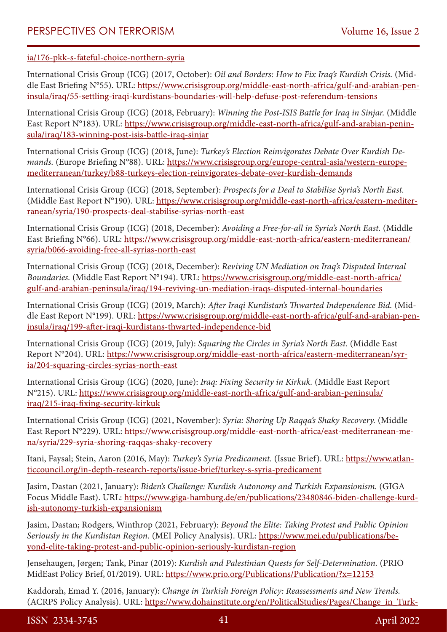#### [ia/176-pkk-s-fateful-choice-northern-syria](https://www.crisisgroup.org/middle-east-north-africa/eastern-mediterranean/syria/176-pkk-s-fateful-choice-northern-syria)

International Crisis Group (ICG) (2017, October): *Oil and Borders: How to Fix Iraq's Kurdish Crisis.* (Middle East Briefing N°55). URL: [https://www.crisisgroup.org/middle-east-north-africa/gulf-and-arabian-pen](https://www.crisisgroup.org/middle-east-north-africa/gulf-and-arabian-peninsula/iraq/55-settling-iraqi-kurdistans-boundaries-will-help-defuse-post-referendum-tensions)[insula/iraq/55-settling-iraqi-kurdistans-boundaries-will-help-defuse-post-referendum-tensions](https://www.crisisgroup.org/middle-east-north-africa/gulf-and-arabian-peninsula/iraq/55-settling-iraqi-kurdistans-boundaries-will-help-defuse-post-referendum-tensions)

International Crisis Group (ICG) (2018, February): *Winning the Post-ISIS Battle for Iraq in Sinjar.* (Middle East Report N°183). URL: [https://www.crisisgroup.org/middle-east-north-africa/gulf-and-arabian-penin](https://www.crisisgroup.org/middle-east-north-africa/gulf-and-arabian-peninsula/iraq/183-winning-post-isis-battle-iraq-sinjar)[sula/iraq/183-winning-post-isis-battle-iraq-sinjar](https://www.crisisgroup.org/middle-east-north-africa/gulf-and-arabian-peninsula/iraq/183-winning-post-isis-battle-iraq-sinjar)

International Crisis Group (ICG) (2018, June): *Turkey's Election Reinvigorates Debate Over Kurdish Demands.* (Europe Briefing N°88). URL: [https://www.crisisgroup.org/europe-central-asia/western-europe](https://www.crisisgroup.org/europe-central-asia/western-europemediterranean/turkey/b88-turkeys-election-reinvigorates-debate-over-kurdish-demands)[mediterranean/turkey/b88-turkeys-election-reinvigorates-debate-over-kurdish-demands](https://www.crisisgroup.org/europe-central-asia/western-europemediterranean/turkey/b88-turkeys-election-reinvigorates-debate-over-kurdish-demands)

International Crisis Group (ICG) (2018, September): *Prospects for a Deal to Stabilise Syria's North East.* (Middle East Report N°190). URL: [https://www.crisisgroup.org/middle-east-north-africa/eastern-mediter](https://www.crisisgroup.org/middle-east-north-africa/eastern-mediterranean/syria/190-prospects-deal-stabilise-syrias-north-east)[ranean/syria/190-prospects-deal-stabilise-syrias-north-east](https://www.crisisgroup.org/middle-east-north-africa/eastern-mediterranean/syria/190-prospects-deal-stabilise-syrias-north-east)

International Crisis Group (ICG) (2018, December): *Avoiding a Free-for-all in Syria's North East.* (Middle East Briefing N°66). URL: [https://www.crisisgroup.org/middle-east-north-africa/eastern-mediterranean/](https://www.crisisgroup.org/middle-east-north-africa/eastern-mediterranean/syria/b066-avoiding-free-all-syrias-north-east) [syria/b066-avoiding-free-all-syrias-north-east](https://www.crisisgroup.org/middle-east-north-africa/eastern-mediterranean/syria/b066-avoiding-free-all-syrias-north-east)

International Crisis Group (ICG) (2018, December): *Reviving UN Mediation on Iraq's Disputed Internal Boundaries.* (Middle East Report N°194). URL: [https://www.crisisgroup.org/middle-east-north-africa/](https://www.crisisgroup.org/middle-east-north-africa/gulf-and-arabian-peninsula/iraq/194-reviving-un-mediation-iraqs-disputed-internal-boundaries) [gulf-and-arabian-peninsula/iraq/194-reviving-un-mediation-iraqs-disputed-internal-boundaries](https://www.crisisgroup.org/middle-east-north-africa/gulf-and-arabian-peninsula/iraq/194-reviving-un-mediation-iraqs-disputed-internal-boundaries)

International Crisis Group (ICG) (2019, March): *After Iraqi Kurdistan's Thwarted Independence Bid.* (Middle East Report N°199). URL: [https://www.crisisgroup.org/middle-east-north-africa/gulf-and-arabian-pen](https://www.crisisgroup.org/middle-east-north-africa/gulf-and-arabian-peninsula/iraq/199-after-iraqi-kurdistans-thwarted-independence-bid)[insula/iraq/199-after-iraqi-kurdistans-thwarted-independence-bid](https://www.crisisgroup.org/middle-east-north-africa/gulf-and-arabian-peninsula/iraq/199-after-iraqi-kurdistans-thwarted-independence-bid)

International Crisis Group (ICG) (2019, July): *Squaring the Circles in Syria's North East.* (Middle East Report N°204). URL: [https://www.crisisgroup.org/middle-east-north-africa/eastern-mediterranean/syr](https://www.crisisgroup.org/middle-east-north-africa/eastern-mediterranean/syria/204-squaring-circles-syrias-north-east)[ia/204-squaring-circles-syrias-north-east](https://www.crisisgroup.org/middle-east-north-africa/eastern-mediterranean/syria/204-squaring-circles-syrias-north-east)

International Crisis Group (ICG) (2020, June): *Iraq: Fixing Security in Kirkuk.* (Middle East Report N°215). URL: [https://www.crisisgroup.org/middle-east-north-africa/gulf-and-arabian-peninsula/](https://www.crisisgroup.org/middle-east-north-africa/gulf-and-arabian-peninsula/iraq/215-iraq-fixing-security-kirkuk) [iraq/215-iraq-fixing-security-kirkuk](https://www.crisisgroup.org/middle-east-north-africa/gulf-and-arabian-peninsula/iraq/215-iraq-fixing-security-kirkuk)

International Crisis Group (ICG) (2021, November): *Syria: Shoring Up Raqqa's Shaky Recovery.* (Middle East Report N°229). URL: [https://www.crisisgroup.org/middle-east-north-africa/east-mediterranean-me](https://www.crisisgroup.org/middle-east-north-africa/east-mediterranean-mena/syria/229-syria-shoring-raqqas-shaky-recovery)[na/syria/229-syria-shoring-raqqas-shaky-recovery](https://www.crisisgroup.org/middle-east-north-africa/east-mediterranean-mena/syria/229-syria-shoring-raqqas-shaky-recovery)

Itani, Faysal; Stein, Aaron (2016, May): *Turkey's Syria Predicament.* (Issue Brief). URL: [https://www.atlan](https://www.atlanticcouncil.org/in-depth-research-reports/issue-brief/turkey-s-syria-predicament)[ticcouncil.org/in-depth-research-reports/issue-brief/turkey-s-syria-predicament](https://www.atlanticcouncil.org/in-depth-research-reports/issue-brief/turkey-s-syria-predicament)

Jasim, Dastan (2021, January): *Biden's Challenge: Kurdish Autonomy and Turkish Expansionism.* (GIGA Focus Middle East). URL: [https://www.giga-hamburg.de/en/publications/23480846-biden-challenge-kurd](https://www.giga-hamburg.de/en/publications/23480846-biden-challenge-kurdish-autonomy-turkish-expansionism)[ish-autonomy-turkish-expansionism](https://www.giga-hamburg.de/en/publications/23480846-biden-challenge-kurdish-autonomy-turkish-expansionism)

Jasim, Dastan; Rodgers, Winthrop (2021, February): *Beyond the Elite: Taking Protest and Public Opinion Seriously in the Kurdistan Region.* (MEI Policy Analysis). URL: [https://www.mei.edu/publications/be](https://www.mei.edu/publications/beyond-elite-taking-protest-and-public-opinion-seriously-kurdistan-region)[yond-elite-taking-protest-and-public-opinion-seriously-kurdistan-region](https://www.mei.edu/publications/beyond-elite-taking-protest-and-public-opinion-seriously-kurdistan-region)

Jensehaugen, Jørgen; Tank, Pinar (2019): *Kurdish and Palestinian Quests for Self-Determination.* (PRIO MidEast Policy Brief, 01/2019). URL: <https://www.prio.org/Publications/Publication/?x=12153>

Kaddorah, Emad Y. (2016, January): *Change in Turkish Foreign Policy: Reassessments and New Trends.* (ACRPS Policy Analysis). URL: [https://www.dohainstitute.org/en/PoliticalStudies/Pages/Change\\_in\\_Turk-](https://www.dohainstitute.org/en/PoliticalStudies/Pages/Change_in_Turkish_Foreign_Policy_Reassessment_and_New_Trends.aspx)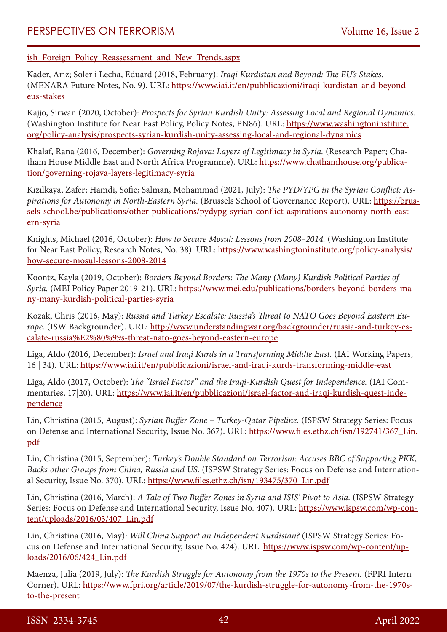[ish\\_Foreign\\_Policy\\_Reassessment\\_and\\_New\\_Trends.aspx](https://www.dohainstitute.org/en/PoliticalStudies/Pages/Change_in_Turkish_Foreign_Policy_Reassessment_and_New_Trends.aspx)

Kader, Ariz; Soler i Lecha, Eduard (2018, February): *Iraqi Kurdistan and Beyond: The EU's Stakes.* (MENARA Future Notes, No. 9). URL: [https://www.iai.it/en/pubblicazioni/iraqi-kurdistan-and-beyond](https://www.iai.it/en/pubblicazioni/iraqi-kurdistan-and-beyond-eus-stakes)[eus-stakes](https://www.iai.it/en/pubblicazioni/iraqi-kurdistan-and-beyond-eus-stakes)

Kajjo, Sirwan (2020, October): *Prospects for Syrian Kurdish Unity: Assessing Local and Regional Dynamics.* (Washington Institute for Near East Policy, Policy Notes, PN86). URL: [https://www.washingtoninstitute.](https://www.washingtoninstitute.org/policy-analysis/prospects-syrian-kurdish-unity-assessing-local-and-regional-dynamics) [org/policy-analysis/prospects-syrian-kurdish-unity-assessing-local-and-regional-dynamics](https://www.washingtoninstitute.org/policy-analysis/prospects-syrian-kurdish-unity-assessing-local-and-regional-dynamics)

Khalaf, Rana (2016, December): *Governing Rojava: Layers of Legitimacy in Syria.* (Research Paper; Chatham House Middle East and North Africa Programme). URL: [https://www.chathamhouse.org/publica](https://www.chathamhouse.org/publication/governing-rojava-layers-legitimacy-syria)[tion/governing-rojava-layers-legitimacy-syria](https://www.chathamhouse.org/publication/governing-rojava-layers-legitimacy-syria)

Kızılkaya, Zafer; Hamdi, Sofie; Salman, Mohammad (2021, July): *The PYD/YPG in the Syrian Conflict: Aspirations for Autonomy in North-Eastern Syria.* (Brussels School of Governance Report). URL: [https://brus](https://brussels-school.be/publications/other-publications/pydypg-syrian-conflict-aspirations-autonomy-north-eastern-syria)[sels-school.be/publications/other-publications/pydypg-syrian-conflict-aspirations-autonomy-north-east](https://brussels-school.be/publications/other-publications/pydypg-syrian-conflict-aspirations-autonomy-north-eastern-syria)[ern-syria](https://brussels-school.be/publications/other-publications/pydypg-syrian-conflict-aspirations-autonomy-north-eastern-syria)

Knights, Michael (2016, October): *How to Secure Mosul: Lessons from 2008–2014.* (Washington Institute for Near East Policy, Research Notes, No. 38). URL: [https://www.washingtoninstitute.org/policy-analysis/](https://www.washingtoninstitute.org/policy-analysis/how-secure-mosul-lessons-2008-2014) [how-secure-mosul-lessons-2008-2014](https://www.washingtoninstitute.org/policy-analysis/how-secure-mosul-lessons-2008-2014)

Koontz, Kayla (2019, October): *Borders Beyond Borders: The Many (Many) Kurdish Political Parties of Syria.* (MEI Policy Paper 2019-21). URL: [https://www.mei.edu/publications/borders-beyond-borders-ma](https://www.mei.edu/publications/borders-beyond-borders-many-many-kurdish-political-parties-syria)[ny-many-kurdish-political-parties-syria](https://www.mei.edu/publications/borders-beyond-borders-many-many-kurdish-political-parties-syria)

Kozak, Chris (2016, May): *Russia and Turkey Escalate: Russia's Threat to NATO Goes Beyond Eastern Europe.* (ISW Backgrounder). URL: [http://www.understandingwar.org/backgrounder/russia-and-turkey-es](http://www.understandingwar.org/backgrounder/russia-and-turkey-escalate-russia%E2%80%99s-threat-nato-goes-beyond-eastern-europe)[calate-russia%E2%80%99s-threat-nato-goes-beyond-eastern-europe](http://www.understandingwar.org/backgrounder/russia-and-turkey-escalate-russia%E2%80%99s-threat-nato-goes-beyond-eastern-europe)

Liga, Aldo (2016, December): *Israel and Iraqi Kurds in a Transforming Middle East.* (IAI Working Papers, 16 | 34). URL:<https://www.iai.it/en/pubblicazioni/israel-and-iraqi-kurds-transforming-middle-east>

Liga, Aldo (2017, October): *The "Israel Factor" and the Iraqi-Kurdish Quest for Independence.* (IAI Commentaries, 17|20). URL: [https://www.iai.it/en/pubblicazioni/israel-factor-and-iraqi-kurdish-quest-inde](https://www.iai.it/en/pubblicazioni/israel-factor-and-iraqi-kurdish-quest-independence)[pendence](https://www.iai.it/en/pubblicazioni/israel-factor-and-iraqi-kurdish-quest-independence)

Lin, Christina (2015, August): *Syrian Buffer Zone – Turkey-Qatar Pipeline.* (ISPSW Strategy Series: Focus on Defense and International Security, Issue No. 367). URL: [https://www.files.ethz.ch/isn/192741/367\\_Lin.](https://www.files.ethz.ch/isn/192741/367_Lin.pdf) [pdf](https://www.files.ethz.ch/isn/192741/367_Lin.pdf)

Lin, Christina (2015, September): *Turkey's Double Standard on Terrorism: Accuses BBC of Supporting PKK, Backs other Groups from China, Russia and US.* (ISPSW Strategy Series: Focus on Defense and International Security, Issue No. 370). URL: [https://www.files.ethz.ch/isn/193475/370\\_Lin.pdf](https://www.files.ethz.ch/isn/193475/370_Lin.pdf)

Lin, Christina (2016, March): *A Tale of Two Buffer Zones in Syria and ISIS' Pivot to Asia.* (ISPSW Strategy Series: Focus on Defense and International Security, Issue No. 407). URL: [https://www.ispsw.com/wp-con](https://www.ispsw.com/wp-content/uploads/2016/03/407_Lin.pdf)[tent/uploads/2016/03/407\\_Lin.pdf](https://www.ispsw.com/wp-content/uploads/2016/03/407_Lin.pdf)

Lin, Christina (2016, May): *Will China Support an Independent Kurdistan?* (ISPSW Strategy Series: Focus on Defense and International Security, Issue No. 424). URL: [https://www.ispsw.com/wp-content/up](https://www.ispsw.com/wp-content/uploads/2016/06/424_Lin.pdf)[loads/2016/06/424\\_Lin.pdf](https://www.ispsw.com/wp-content/uploads/2016/06/424_Lin.pdf)

Maenza, Julia (2019, July): *The Kurdish Struggle for Autonomy from the 1970s to the Present.* (FPRI Intern Corner). URL: [https://www.fpri.org/article/2019/07/the-kurdish-struggle-for-autonomy-from-the-1970s](https://www.fpri.org/article/2019/07/the-kurdish-struggle-for-autonomy-from-the-1970s-to-the-present)[to-the-present](https://www.fpri.org/article/2019/07/the-kurdish-struggle-for-autonomy-from-the-1970s-to-the-present)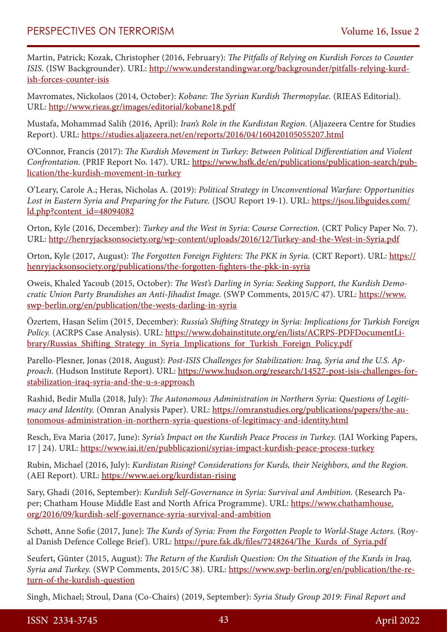Martin, Patrick; Kozak, Christopher (2016, February): *The Pitfalls of Relying on Kurdish Forces to Counter ISIS.* (ISW Backgrounder). URL: [http://www.understandingwar.org/backgrounder/pitfalls-relying-kurd](http://www.understandingwar.org/backgrounder/pitfalls-relying-kurdish-forces-counter-isis)[ish-forces-counter-isis](http://www.understandingwar.org/backgrounder/pitfalls-relying-kurdish-forces-counter-isis)

Mavromates, Nickolaos (2014, October): *Kobane: The Syrian Kurdish Thermopylae.* (RIEAS Editorial). URL: <http://www.rieas.gr/images/editorial/kobane18.pdf>

Mustafa, Mohammad Salih (2016, April): *Iran's Role in the Kurdistan Region.* (Aljazeera Centre for Studies Report). URL: <https://studies.aljazeera.net/en/reports/2016/04/160420105055207.html>

O'Connor, Francis (2017): *The Kurdish Movement in Turkey: Between Political Differentiation and Violent Confrontation.* (PRIF Report No. 147). URL: [https://www.hsfk.de/en/publications/publication-search/pub](https://www.hsfk.de/en/publications/publication-search/publication/the-kurdish-movement-in-turkey)[lication/the-kurdish-movement-in-turkey](https://www.hsfk.de/en/publications/publication-search/publication/the-kurdish-movement-in-turkey)

O'Leary, Carole A.; Heras, Nicholas A. (2019): *Political Strategy in Unconventional Warfare: Opportunities Lost in Eastern Syria and Preparing for the Future.* (JSOU Report 19-1). URL: [https://jsou.libguides.com/](https://jsou.libguides.com/ld.php?content_id=48094082) [ld.php?content\\_id=48094082](https://jsou.libguides.com/ld.php?content_id=48094082)

Orton, Kyle (2016, December): *Turkey and the West in Syria: Course Correction.* (CRT Policy Paper No. 7). URL: <http://henryjacksonsociety.org/wp-content/uploads/2016/12/Turkey-and-the-West-in-Syria.pdf>

Orton, Kyle (2017, August): *The Forgotten Foreign Fighters: The PKK in Syria.* (CRT Report). URL: [https://](https://henryjacksonsociety.org/publications/the-forgotten-fighters-the-pkk-in-syria) [henryjacksonsociety.org/publications/the-forgotten-fighters-the-pkk-in-syria](https://henryjacksonsociety.org/publications/the-forgotten-fighters-the-pkk-in-syria)

Oweis, Khaled Yacoub (2015, October): *The West's Darling in Syria: Seeking Support, the Kurdish Democratic Union Party Brandishes an Anti-Jihadist Image.* (SWP Comments, 2015/C 47). URL: [https://www.](https://www.swp-berlin.org/en/publication/the-wests-darling-in-syria) [swp-berlin.org/en/publication/the-wests-darling-in-syria](https://www.swp-berlin.org/en/publication/the-wests-darling-in-syria)

Özertem, Hasan Selim (2015, December): *Russia's Shifting Strategy in Syria: Implications for Turkish Foreign Policy.* (ACRPS Case Analysis). URL: [https://www.dohainstitute.org/en/lists/ACRPS-PDFDocumentLi](https://www.dohainstitute.org/en/lists/ACRPS-PDFDocumentLibrary/Russias_Shifting_Strategy_in_Syria_Implications_for_Turkish_Foreign_Policy.pdf)[brary/Russias\\_Shifting\\_Strategy\\_in\\_Syria\\_Implications\\_for\\_Turkish\\_Foreign\\_Policy.pdf](https://www.dohainstitute.org/en/lists/ACRPS-PDFDocumentLibrary/Russias_Shifting_Strategy_in_Syria_Implications_for_Turkish_Foreign_Policy.pdf)

Parello-Plesner, Jonas (2018, August): *Post-ISIS Challenges for Stabilization: Iraq, Syria and the U.S. Approach.* (Hudson Institute Report). URL: [https://www.hudson.org/research/14527-post-isis-challenges-for](https://www.hudson.org/research/14527-post-isis-challenges-for-stabilization-iraq-syria-and-the-u-s-approach)[stabilization-iraq-syria-and-the-u-s-approach](https://www.hudson.org/research/14527-post-isis-challenges-for-stabilization-iraq-syria-and-the-u-s-approach)

Rashid, Bedir Mulla (2018, July): *The Autonomous Administration in Northern Syria: Questions of Legitimacy and Identity.* (Omran Analysis Paper). URL: [https://omranstudies.org/publications/papers/the-au](https://omranstudies.org/publications/papers/the-autonomous-administration-in-northern-syria-questions-of-legitimacy-and-identity.html)[tonomous-administration-in-northern-syria-questions-of-legitimacy-and-identity.html](https://omranstudies.org/publications/papers/the-autonomous-administration-in-northern-syria-questions-of-legitimacy-and-identity.html)

Resch, Eva Maria (2017, June): *Syria's Impact on the Kurdish Peace Process in Turkey.* (IAI Working Papers, 17 | 24). URL:<https://www.iai.it/en/pubblicazioni/syrias-impact-kurdish-peace-process-turkey>

Rubin, Michael (2016, July): *Kurdistan Rising? Considerations for Kurds, their Neighbors, and the Region.* (AEI Report). URL:<https://www.aei.org/kurdistan-rising>

Sary, Ghadi (2016, September): *Kurdish Self-Governance in Syria: Survival and Ambition.* (Research Paper; Chatham House Middle East and North Africa Programme). URL: [https://www.chathamhouse.](https://www.chathamhouse.org/2016/09/kurdish-self-governance-syria-survival-and-ambition) [org/2016/09/kurdish-self-governance-syria-survival-and-ambition](https://www.chathamhouse.org/2016/09/kurdish-self-governance-syria-survival-and-ambition)

Schøtt, Anne Sofie (2017, June): *The Kurds of Syria: From the Forgotten People to World-Stage Actors.* (Royal Danish Defence College Brief). URL: [https://pure.fak.dk/files/7248264/The\\_Kurds\\_of\\_Syria.pdf](https://pure.fak.dk/files/7248264/The_Kurds_of_Syria.pdf)

Seufert, Günter (2015, August): *The Return of the Kurdish Question: On the Situation of the Kurds in Iraq, Syria and Turkey.* (SWP Comments, 2015/C 38). URL: [https://www.swp-berlin.org/en/publication/the-re](https://www.swp-berlin.org/en/publication/the-return-of-the-kurdish-question)[turn-of-the-kurdish-question](https://www.swp-berlin.org/en/publication/the-return-of-the-kurdish-question)

Singh, Michael; Stroul, Dana (Co-Chairs) (2019, September): *Syria Study Group 2019: Final Report and*